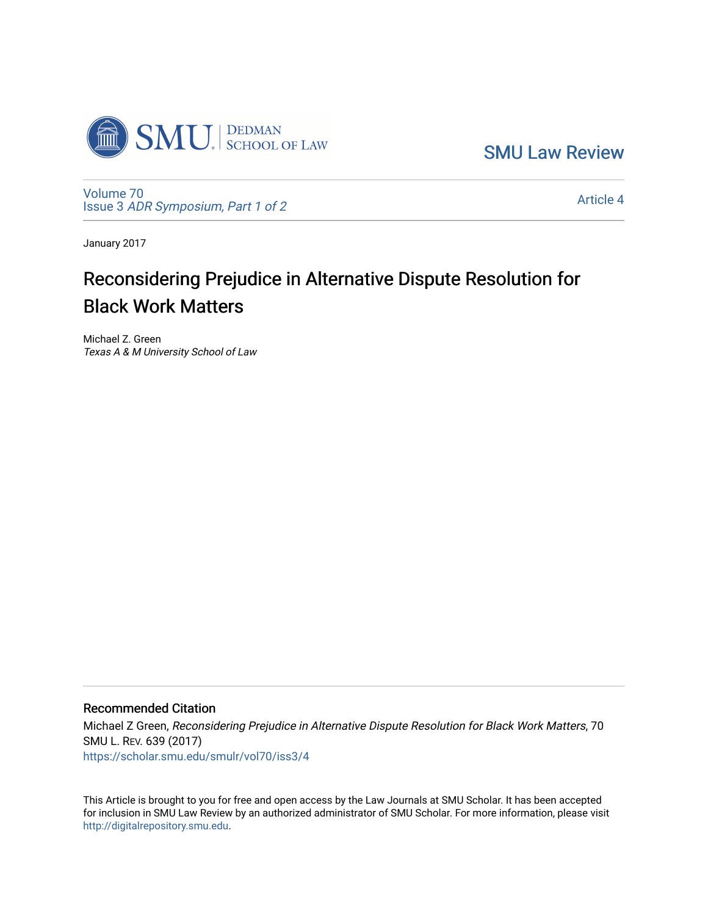

[SMU Law Review](https://scholar.smu.edu/smulr) 

[Volume 70](https://scholar.smu.edu/smulr/vol70) Issue 3 [ADR Symposium, Part 1 of 2](https://scholar.smu.edu/smulr/vol70/iss3) 

[Article 4](https://scholar.smu.edu/smulr/vol70/iss3/4) 

January 2017

# Reconsidering Prejudice in Alternative Dispute Resolution for Black Work Matters

Michael Z. Green Texas A & M University School of Law

## Recommended Citation

Michael Z Green, Reconsidering Prejudice in Alternative Dispute Resolution for Black Work Matters, 70 SMU L. REV. 639 (2017) [https://scholar.smu.edu/smulr/vol70/iss3/4](https://scholar.smu.edu/smulr/vol70/iss3/4?utm_source=scholar.smu.edu%2Fsmulr%2Fvol70%2Fiss3%2F4&utm_medium=PDF&utm_campaign=PDFCoverPages) 

This Article is brought to you for free and open access by the Law Journals at SMU Scholar. It has been accepted for inclusion in SMU Law Review by an authorized administrator of SMU Scholar. For more information, please visit [http://digitalrepository.smu.edu.](http://digitalrepository.smu.edu/)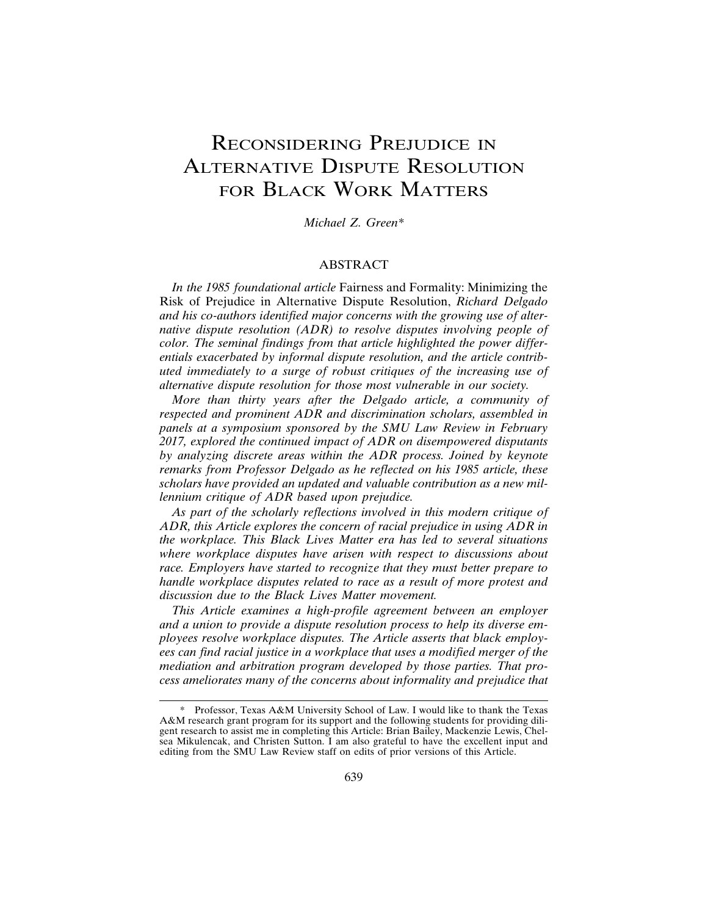## RECONSIDERING PREJUDICE IN ALTERNATIVE DISPUTE RESOLUTION FOR BLACK WORK MATTERS

*Michael Z. Green\**

#### ABSTRACT

*In the 1985 foundational article* Fairness and Formality: Minimizing the Risk of Prejudice in Alternative Dispute Resolution, *Richard Delgado and his co-authors identified major concerns with the growing use of alternative dispute resolution (ADR) to resolve disputes involving people of color. The seminal findings from that article highlighted the power differentials exacerbated by informal dispute resolution, and the article contributed immediately to a surge of robust critiques of the increasing use of alternative dispute resolution for those most vulnerable in our society.*

*More than thirty years after the Delgado article, a community of respected and prominent ADR and discrimination scholars, assembled in panels at a symposium sponsored by the SMU Law Review in February 2017, explored the continued impact of ADR on disempowered disputants by analyzing discrete areas within the ADR process. Joined by keynote remarks from Professor Delgado as he reflected on his 1985 article, these scholars have provided an updated and valuable contribution as a new millennium critique of ADR based upon prejudice.*

*As part of the scholarly reflections involved in this modern critique of ADR, this Article explores the concern of racial prejudice in using ADR in the workplace. This Black Lives Matter era has led to several situations where workplace disputes have arisen with respect to discussions about race. Employers have started to recognize that they must better prepare to handle workplace disputes related to race as a result of more protest and discussion due to the Black Lives Matter movement.*

*This Article examines a high-profile agreement between an employer and a union to provide a dispute resolution process to help its diverse employees resolve workplace disputes. The Article asserts that black employees can find racial justice in a workplace that uses a modified merger of the mediation and arbitration program developed by those parties. That process ameliorates many of the concerns about informality and prejudice that*

Professor, Texas A&M University School of Law. I would like to thank the Texas A&M research grant program for its support and the following students for providing diligent research to assist me in completing this Article: Brian Bailey, Mackenzie Lewis, Chelsea Mikulencak, and Christen Sutton. I am also grateful to have the excellent input and editing from the SMU Law Review staff on edits of prior versions of this Article.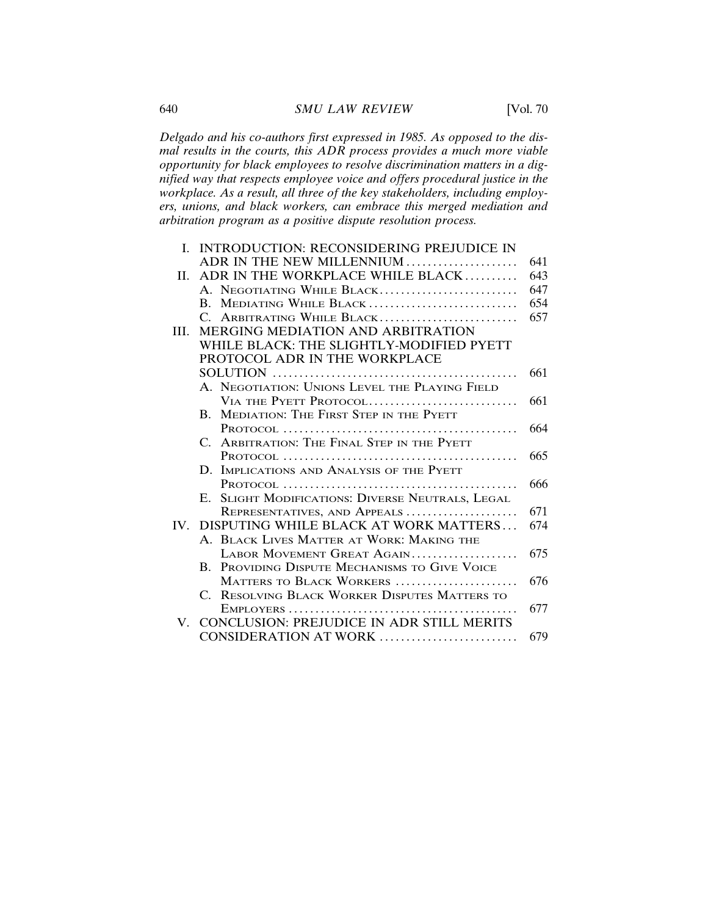*Delgado and his co-authors first expressed in 1985. As opposed to the dismal results in the courts, this ADR process provides a much more viable opportunity for black employees to resolve discrimination matters in a dignified way that respects employee voice and offers procedural justice in the workplace. As a result, all three of the key stakeholders, including employers, unions, and black workers, can embrace this merged mediation and arbitration program as a positive dispute resolution process.*

|                   | I. INTRODUCTION: RECONSIDERING PREJUDICE IN                  |     |
|-------------------|--------------------------------------------------------------|-----|
|                   | ADR IN THE NEW MILLENNIUM                                    | 641 |
| H.                | ADR IN THE WORKPLACE WHILE BLACK                             | 643 |
|                   | A. NEGOTIATING WHILE BLACK                                   | 647 |
|                   | MEDIATING WHILE BLACK<br>B.                                  | 654 |
|                   | C. ARBITRATING WHILE BLACK                                   | 657 |
| HI.               | MERGING MEDIATION AND ARBITRATION                            |     |
|                   | WHILE BLACK: THE SLIGHTLY-MODIFIED PYETT                     |     |
|                   | PROTOCOL ADR IN THE WORKPLACE                                |     |
|                   |                                                              | 661 |
|                   | A. NEGOTIATION: UNIONS LEVEL THE PLAYING FIELD               |     |
|                   | VIA THE PYETT PROTOCOL                                       | 661 |
|                   | MEDIATION: THE FIRST STEP IN THE PYETT<br>$B_{\cdot}$        |     |
|                   |                                                              | 664 |
|                   | ARBITRATION: THE FINAL STEP IN THE PYETT<br>$C_{\cdot}$      |     |
|                   |                                                              | 665 |
|                   | D. IMPLICATIONS AND ANALYSIS OF THE PYETT                    |     |
|                   |                                                              | 666 |
|                   | E. SLIGHT MODIFICATIONS: DIVERSE NEUTRALS, LEGAL             |     |
|                   | REPRESENTATIVES, AND APPEALS                                 | 671 |
| $\mathbf{IV}_{-}$ | DISPUTING WHILE BLACK AT WORK MATTERS                        | 674 |
|                   | A. BLACK LIVES MATTER AT WORK: MAKING THE                    |     |
|                   | LABOR MOVEMENT GREAT AGAIN                                   | 675 |
|                   | PROVIDING DISPUTE MECHANISMS TO GIVE VOICE<br>$\mathbf{B}$ . |     |
|                   | MATTERS TO BLACK WORKERS                                     | 676 |
|                   | C. RESOLVING BLACK WORKER DISPUTES MATTERS TO                |     |
|                   |                                                              | 677 |
| V.                | <b>CONCLUSION: PREJUDICE IN ADR STILL MERITS</b>             |     |
|                   | CONSIDERATION AT WORK                                        | 679 |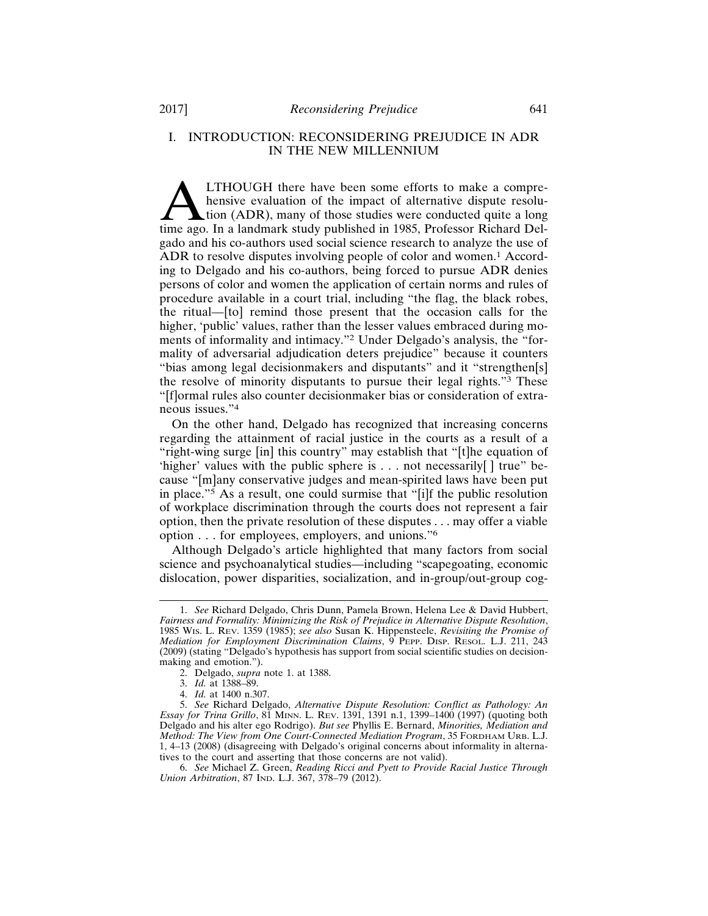## I. INTRODUCTION: RECONSIDERING PREJUDICE IN ADR IN THE NEW MILLENNIUM

**ALTHOUGH there have been some efforts to make a comprehensive evaluation of the impact of alternative dispute resolution (ADR), many of those studies were conducted quite a long time ago. In a landmark study published in** hensive evaluation of the impact of alternative dispute resolution (ADR), many of those studies were conducted quite a long gado and his co-authors used social science research to analyze the use of ADR to resolve disputes involving people of color and women.<sup>1</sup> According to Delgado and his co-authors, being forced to pursue ADR denies persons of color and women the application of certain norms and rules of procedure available in a court trial, including "the flag, the black robes, the ritual—[to] remind those present that the occasion calls for the higher, 'public' values, rather than the lesser values embraced during moments of informality and intimacy."2 Under Delgado's analysis, the "formality of adversarial adjudication deters prejudice" because it counters "bias among legal decisionmakers and disputants" and it "strengthen[s] the resolve of minority disputants to pursue their legal rights."3 These "[f]ormal rules also counter decisionmaker bias or consideration of extraneous issues."<sup>4</sup>

On the other hand, Delgado has recognized that increasing concerns regarding the attainment of racial justice in the courts as a result of a "right-wing surge [in] this country" may establish that "[t]he equation of 'higher' values with the public sphere is . . . not necessarily[ ] true" because "[m]any conservative judges and mean-spirited laws have been put in place."5 As a result, one could surmise that "[i]f the public resolution of workplace discrimination through the courts does not represent a fair option, then the private resolution of these disputes . . . may offer a viable option . . . for employees, employers, and unions."<sup>6</sup>

Although Delgado's article highlighted that many factors from social science and psychoanalytical studies—including "scapegoating, economic dislocation, power disparities, socialization, and in-group/out-group cog-

<sup>1.</sup> *See* Richard Delgado, Chris Dunn, Pamela Brown, Helena Lee & David Hubbert, *Fairness and Formality: Minimizing the Risk of Prejudice in Alternative Dispute Resolution*, 1985 WIS. L. REV. 1359 (1985); *see also* Susan K. Hippensteele, *Revisiting the Promise of Mediation for Employment Discrimination Claims*, 9 PEPP. DISP. RESOL. L.J. 211, 243 (2009) (stating "Delgado's hypothesis has support from social scientific studies on decisionmaking and emotion.").

<sup>2.</sup> Delgado, *supra* note 1. at 1388.

<sup>3.</sup> *Id.* at 1388–89.

<sup>4.</sup> *Id.* at 1400 n.307.

<sup>5.</sup> *See* Richard Delgado, *Alternative Dispute Resolution: Conflict as Pathology: An Essay for Trina Grillo*, 81 MINN. L. REV. 1391, 1391 n.1, 1399–1400 (1997) (quoting both Delgado and his alter ego Rodrigo). *But see* Phyllis E. Bernard, *Minorities, Mediation and Method: The View from One Court-Connected Mediation Program*, 35 FORDHAM URB. L.J. 1, 4–13 (2008) (disagreeing with Delgado's original concerns about informality in alternatives to the court and asserting that those concerns are not valid).

<sup>6.</sup> *See* Michael Z. Green, *Reading Ricci and Pyett to Provide Racial Justice Through Union Arbitration*, 87 IND. L.J. 367, 378–79 (2012).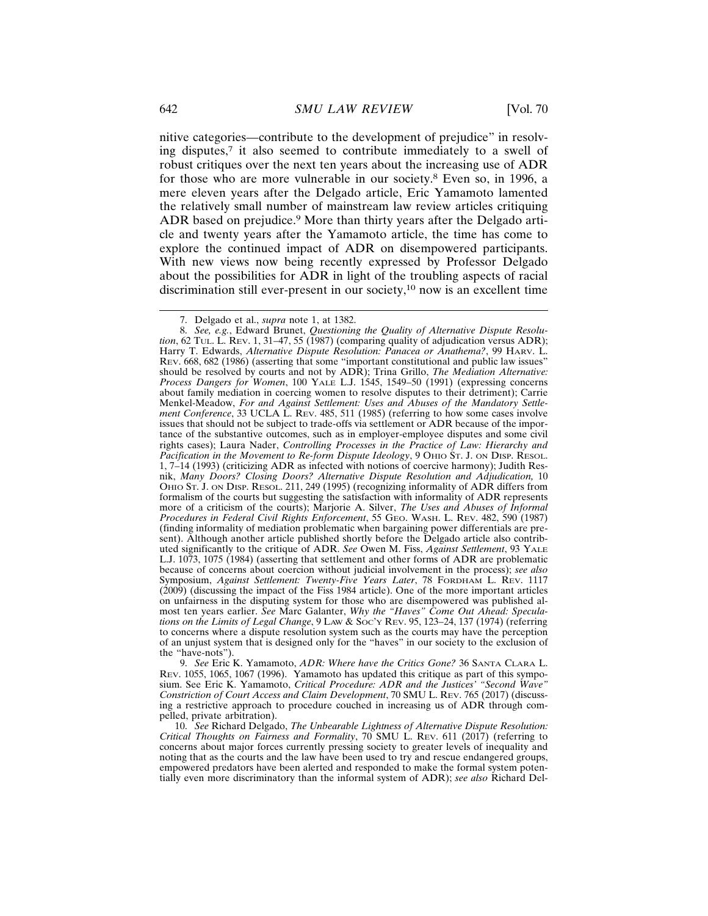nitive categories—contribute to the development of prejudice" in resolving disputes,7 it also seemed to contribute immediately to a swell of robust critiques over the next ten years about the increasing use of ADR for those who are more vulnerable in our society.8 Even so, in 1996, a mere eleven years after the Delgado article, Eric Yamamoto lamented the relatively small number of mainstream law review articles critiquing ADR based on prejudice.<sup>9</sup> More than thirty years after the Delgado article and twenty years after the Yamamoto article, the time has come to explore the continued impact of ADR on disempowered participants. With new views now being recently expressed by Professor Delgado about the possibilities for ADR in light of the troubling aspects of racial discrimination still ever-present in our society,10 now is an excellent time

9. *See* Eric K. Yamamoto, *ADR: Where have the Critics Gone?* 36 SANTA CLARA L. REV. 1055, 1065, 1067 (1996). Yamamoto has updated this critique as part of this symposium. See Eric K. Yamamoto, *Critical Procedure: ADR and the Justices' "Second Wave" Constriction of Court Access and Claim Development*, 70 SMU L. REV. 765 (2017) (discussing a restrictive approach to procedure couched in increasing us of ADR through compelled, private arbitration).

10. *See* Richard Delgado, *The Unbearable Lightness of Alternative Dispute Resolution: Critical Thoughts on Fairness and Formality*, 70 SMU L. REV. 611 (2017) (referring to concerns about major forces currently pressing society to greater levels of inequality and noting that as the courts and the law have been used to try and rescue endangered groups, empowered predators have been alerted and responded to make the formal system potentially even more discriminatory than the informal system of ADR); *see also* Richard Del-

<sup>7.</sup> Delgado et al., *supra* note 1, at 1382.

<sup>8.</sup> *See, e.g.*, Edward Brunet, *Questioning the Quality of Alternative Dispute Resolution*, 62 TUL. L. REV. 1, 31–47, 55 (1987) (comparing quality of adjudication versus ADR); Harry T. Edwards, *Alternative Dispute Resolution: Panacea or Anathema?*, 99 HARV. L. REV. 668, 682 (1986) (asserting that some "important constitutional and public law issues" should be resolved by courts and not by ADR); Trina Grillo, *The Mediation Alternative: Process Dangers for Women*, 100 YALE L.J. 1545, 1549–50 (1991) (expressing concerns about family mediation in coercing women to resolve disputes to their detriment); Carrie Menkel-Meadow, *For and Against Settlement: Uses and Abuses of the Mandatory Settlement Conference*, 33 UCLA L. REV. 485, 511 (1985) (referring to how some cases involve issues that should not be subject to trade-offs via settlement or ADR because of the importance of the substantive outcomes, such as in employer-employee disputes and some civil rights cases); Laura Nader, *Controlling Processes in the Practice of Law: Hierarchy and Pacification in the Movement to Re-form Dispute Ideology*, 9 OHIO ST. J. ON DISP. RESOL. 1, 7–14 (1993) (criticizing ADR as infected with notions of coercive harmony); Judith Resnik, *Many Doors? Closing Doors? Alternative Dispute Resolution and Adjudication,* 10 OHIO ST. J. ON DISP. RESOL. 211, 249 (1995) (recognizing informality of ADR differs from formalism of the courts but suggesting the satisfaction with informality of ADR represents more of a criticism of the courts); Marjorie A. Silver, *The Uses and Abuses of Informal Procedures in Federal Civil Rights Enforcement*, 55 GEO. WASH. L. REV. 482, 590 (1987) (finding informality of mediation problematic when bargaining power differentials are present). Although another article published shortly before the Delgado article also contributed significantly to the critique of ADR. *See* Owen M. Fiss, *Against Settlement*, 93 YALE L.J. 1073, 1075 (1984) (asserting that settlement and other forms of ADR are problematic because of concerns about coercion without judicial involvement in the process); *see also* Symposium, *Against Settlement: Twenty-Five Years Later*, 78 FORDHAM L. REV. 1117 (2009) (discussing the impact of the Fiss 1984 article). One of the more important articles on unfairness in the disputing system for those who are disempowered was published almost ten years earlier. *See* Marc Galanter, *Why the "Haves" Come Out Ahead: Speculations on the Limits of Legal Change*, 9 LAW & SOC'Y REV. 95, 123–24, 137 (1974) (referring to concerns where a dispute resolution system such as the courts may have the perception of an unjust system that is designed only for the "haves" in our society to the exclusion of the "have-nots").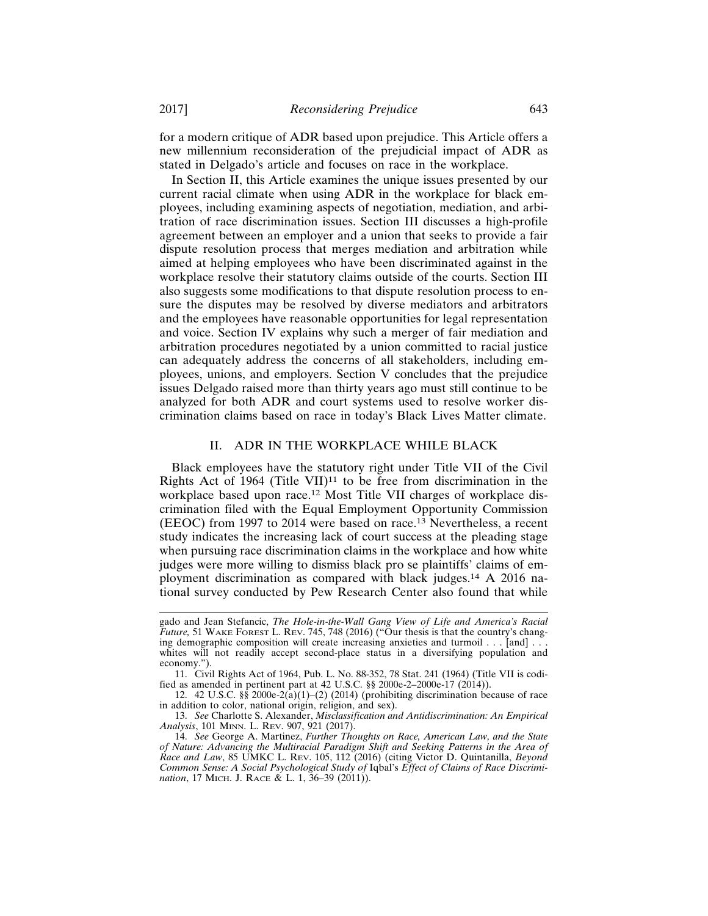for a modern critique of ADR based upon prejudice. This Article offers a new millennium reconsideration of the prejudicial impact of ADR as stated in Delgado's article and focuses on race in the workplace.

In Section II, this Article examines the unique issues presented by our current racial climate when using ADR in the workplace for black employees, including examining aspects of negotiation, mediation, and arbitration of race discrimination issues. Section III discusses a high-profile agreement between an employer and a union that seeks to provide a fair dispute resolution process that merges mediation and arbitration while aimed at helping employees who have been discriminated against in the workplace resolve their statutory claims outside of the courts. Section III also suggests some modifications to that dispute resolution process to ensure the disputes may be resolved by diverse mediators and arbitrators and the employees have reasonable opportunities for legal representation and voice. Section IV explains why such a merger of fair mediation and arbitration procedures negotiated by a union committed to racial justice can adequately address the concerns of all stakeholders, including employees, unions, and employers. Section V concludes that the prejudice issues Delgado raised more than thirty years ago must still continue to be analyzed for both ADR and court systems used to resolve worker discrimination claims based on race in today's Black Lives Matter climate.

## II. ADR IN THE WORKPLACE WHILE BLACK

Black employees have the statutory right under Title VII of the Civil Rights Act of 1964 (Title VII)<sup>11</sup> to be free from discrimination in the workplace based upon race.12 Most Title VII charges of workplace discrimination filed with the Equal Employment Opportunity Commission (EEOC) from 1997 to 2014 were based on race.13 Nevertheless, a recent study indicates the increasing lack of court success at the pleading stage when pursuing race discrimination claims in the workplace and how white judges were more willing to dismiss black pro se plaintiffs' claims of employment discrimination as compared with black judges.14 A 2016 national survey conducted by Pew Research Center also found that while

gado and Jean Stefancic, *The Hole-in-the-Wall Gang View of Life and America's Racial Future,* 51 WAKE FOREST L. REV. 745, 748 (2016) ("Our thesis is that the country's changing demographic composition will create increasing anxieties and turmoil . . . [and] . . . whites will not readily accept second-place status in a diversifying population and economy.")

<sup>11.</sup> Civil Rights Act of 1964, Pub. L. No. 88-352, 78 Stat. 241 (1964) (Title VII is codified as amended in pertinent part at 42 U.S.C. §§ 2000e-2–2000e-17 (2014)).

<sup>12. 42</sup> U.S.C.  $\S$  2000e-2(a)(1)–(2) (2014) (prohibiting discrimination because of race in addition to color, national origin, religion, and sex).

<sup>13.</sup> *See* Charlotte S. Alexander, *Misclassification and Antidiscrimination: An Empirical Analysis*, 101 MINN. L. REV. 907, 921 (2017).

<sup>14.</sup> *See* George A. Martinez, *Further Thoughts on Race, American Law, and the State of Nature: Advancing the Multiracial Paradigm Shift and Seeking Patterns in the Area of Race and Law*, 85 UMKC L. REV. 105, 112 (2016) (citing Victor D. Quintanilla, *Beyond Common Sense: A Social Psychological Study of* Iqbal's *Effect of Claims of Race Discrimination*, 17 MICH. J. RACE & L. 1, 36–39 (2011)).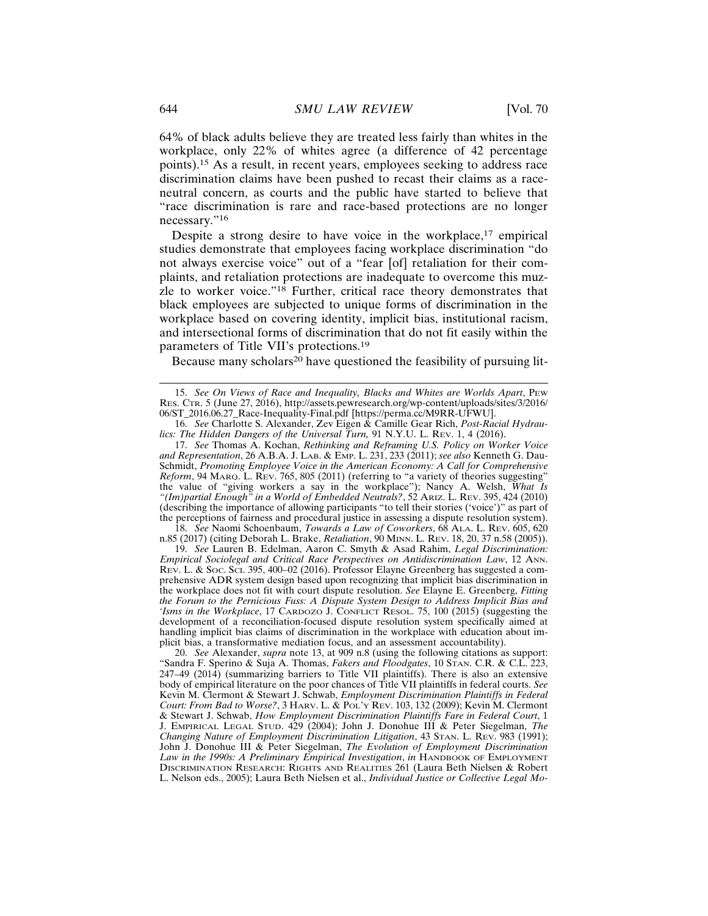64% of black adults believe they are treated less fairly than whites in the workplace, only 22% of whites agree (a difference of 42 percentage points).15 As a result, in recent years, employees seeking to address race discrimination claims have been pushed to recast their claims as a raceneutral concern, as courts and the public have started to believe that "race discrimination is rare and race-based protections are no longer necessary."<sup>16</sup>

Despite a strong desire to have voice in the workplace, $17$  empirical studies demonstrate that employees facing workplace discrimination "do not always exercise voice" out of a "fear [of] retaliation for their complaints, and retaliation protections are inadequate to overcome this muzzle to worker voice."18 Further, critical race theory demonstrates that black employees are subjected to unique forms of discrimination in the workplace based on covering identity, implicit bias, institutional racism, and intersectional forms of discrimination that do not fit easily within the parameters of Title VII's protections.<sup>19</sup>

Because many scholars<sup>20</sup> have questioned the feasibility of pursuing lit-

17. *See* Thomas A. Kochan, *Rethinking and Reframing U.S. Policy on Worker Voice and Representation*, 26 A.B.A. J. LAB. & EMP. L. 231, 233 (2011); *see also* Kenneth G. Dau-Schmidt, *Promoting Employee Voice in the American Economy: A Call for Comprehensive Reform*, 94 MARQ. L. REV. 765, 805 (2011) (referring to "a variety of theories suggesting" the value of "giving workers a say in the workplace"); Nancy A. Welsh, *What Is "(Im)partial Enough" in a World of Embedded Neutrals?*, 52 ARIZ. L. REV. 395, 424 (2010) (describing the importance of allowing participants "to tell their stories ('voice')" as part of the perceptions of fairness and procedural justice in assessing a dispute resolution system).

18. *See* Naomi Schoenbaum, *Towards a Law of Coworkers*, 68 ALA. L. REV. 605, 620 n.85 (2017) (citing Deborah L. Brake, *Retaliation*, 90 MINN. L. REV. 18, 20, 37 n.58 (2005)).

19. *See* Lauren B. Edelman, Aaron C. Smyth & Asad Rahim, *Legal Discrimination: Empirical Sociolegal and Critical Race Perspectives on Antidiscrimination Law*, 12 ANN. REV. L. & SOC. SCI. 395, 400–02 (2016). Professor Elayne Greenberg has suggested a comprehensive ADR system design based upon recognizing that implicit bias discrimination in the workplace does not fit with court dispute resolution. *See* Elayne E. Greenberg, *Fitting the Forum to the Pernicious Fuss: A Dispute System Design to Address Implicit Bias and 'Isms in the Workplace*, 17 CARDOZO J. CONFLICT RESOL. 75, 100 (2015) (suggesting the development of a reconciliation-focused dispute resolution system specifically aimed at handling implicit bias claims of discrimination in the workplace with education about implicit bias, a transformative mediation focus, and an assessment accountability).

20. *See* Alexander, *supra* note 13, at 909 n.8 (using the following citations as support: "Sandra F. Sperino & Suja A. Thomas, *Fakers and Floodgates*, 10 STAN. C.R. & C.L. 223,  $247-49$  ( $2014$ ) (summarizing barriers to Title VII plaintiffs). There is also an extensive body of empirical literature on the poor chances of Title VII plaintiffs in federal courts. *See* Kevin M. Clermont & Stewart J. Schwab, *Employment Discrimination Plaintiffs in Federal Court: From Bad to Worse?*, 3 HARV. L. & POL'Y REV. 103, 132 (2009); Kevin M. Clermont & Stewart J. Schwab, *How Employment Discrimination Plaintiffs Fare in Federal Court*, 1 J. EMPIRICAL LEGAL STUD. 429 (2004); John J. Donohue III & Peter Siegelman, *The Changing Nature of Employment Discrimination Litigation*, 43 STAN. L. REV. 983 (1991); John J. Donohue III & Peter Siegelman, *The Evolution of Employment Discrimination* Law in the 1990s: A Preliminary Empirical Investigation, in HANDBOOK OF EMPLOYMENT DISCRIMINATION RESEARCH: RIGHTS AND REALITIES 261 (Laura Beth Nielsen & Robert L. Nelson eds., 2005); Laura Beth Nielsen et al., *Individual Justice or Collective Legal Mo-*

<sup>15.</sup> *See On Views of Race and Inequality, Blacks and Whites are Worlds Apart*, PEW RES. CTR. 5 (June 27, 2016), http://assets.pewresearch.org/wp-content/uploads/sites/3/2016/ 06/ST\_2016.06.27\_Race-Inequality-Final.pdf [https://perma.cc/M9RR-UFWU].

<sup>16.</sup> *See* Charlotte S. Alexander, Zev Eigen & Camille Gear Rich, *Post-Racial Hydraulics: The Hidden Dangers of the Universal Turn,* 91 N.Y.U. L. REV. 1, 4 (2016).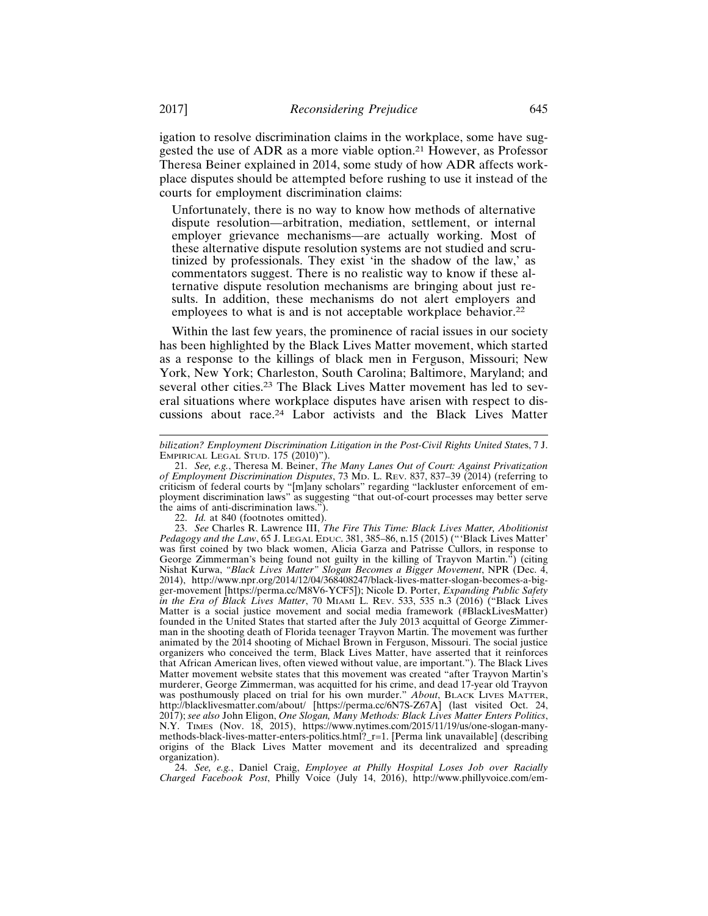igation to resolve discrimination claims in the workplace, some have suggested the use of ADR as a more viable option.21 However, as Professor Theresa Beiner explained in 2014, some study of how ADR affects workplace disputes should be attempted before rushing to use it instead of the courts for employment discrimination claims:

Unfortunately, there is no way to know how methods of alternative dispute resolution—arbitration, mediation, settlement, or internal employer grievance mechanisms—are actually working. Most of these alternative dispute resolution systems are not studied and scrutinized by professionals. They exist 'in the shadow of the law,' as commentators suggest. There is no realistic way to know if these alternative dispute resolution mechanisms are bringing about just results. In addition, these mechanisms do not alert employers and employees to what is and is not acceptable workplace behavior.<sup>22</sup>

Within the last few years, the prominence of racial issues in our society has been highlighted by the Black Lives Matter movement, which started as a response to the killings of black men in Ferguson, Missouri; New York, New York; Charleston, South Carolina; Baltimore, Maryland; and several other cities.<sup>23</sup> The Black Lives Matter movement has led to several situations where workplace disputes have arisen with respect to discussions about race.24 Labor activists and the Black Lives Matter

22. *Id.* at 840 (footnotes omitted).

24. *See, e.g.*, Daniel Craig, *Employee at Philly Hospital Loses Job over Racially Charged Facebook Post*, Philly Voice (July 14, 2016), http://www.phillyvoice.com/em-

*bilization? Employment Discrimination Litigation in the Post-Civil Rights United State*s, 7 J. EMPIRICAL LEGAL STUD. 175 (2010)").

<sup>21.</sup> *See, e.g.*, Theresa M. Beiner, *The Many Lanes Out of Court: Against Privatization of Employment Discrimination Disputes*, 73 MD. L. REV. 837, 837–39 (2014) (referring to criticism of federal courts by "[m]any scholars" regarding "lackluster enforcement of employment discrimination laws" as suggesting "that out-of-court processes may better serve the aims of anti-discrimination laws.").

<sup>23.</sup> *See* Charles R. Lawrence III, *The Fire This Time: Black Lives Matter, Abolitionist Pedagogy and the Law*, 65 J. LEGAL EDUC. 381, 385–86, n.15 (2015) ("'Black Lives Matter' was first coined by two black women, Alicia Garza and Patrisse Cullors, in response to George Zimmerman's being found not guilty in the killing of Trayvon Martin.") (citing Nishat Kurwa, *"Black Lives Matter" Slogan Becomes a Bigger Movement*, NPR (Dec. 4, 2014), http://www.npr.org/2014/12/04/368408247/black-lives-matter-slogan-becomes-a-bigger-movement [https://perma.cc/M8V6-YCF5]); Nicole D. Porter, *Expanding Public Safety in the Era of Black Lives Matter*, 70 MIAMI L. REV. 533, 535 n.3 (2016) ("Black Lives Matter is a social justice movement and social media framework (#BlackLivesMatter) founded in the United States that started after the July 2013 acquittal of George Zimmerman in the shooting death of Florida teenager Trayvon Martin. The movement was further animated by the 2014 shooting of Michael Brown in Ferguson, Missouri. The social justice organizers who conceived the term, Black Lives Matter, have asserted that it reinforces that African American lives, often viewed without value, are important."). The Black Lives Matter movement website states that this movement was created "after Trayvon Martin's murderer, George Zimmerman, was acquitted for his crime, and dead 17-year old Trayvon was posthumously placed on trial for his own murder." *About*, BLACK LIVES MATTER, http://blacklivesmatter.com/about/ [https://perma.cc/6N7S-Z67A] (last visited Oct. 24, 2017); *see also* John Eligon, *One Slogan, Many Methods: Black Lives Matter Enters Politics*, TIMES (Nov. 18, 2015), https://www.nytimes.com/2015/11/19/us/one-slogan-manymethods-black-lives-matter-enters-politics.html?\_r=1. [Perma link unavailable] (describing origins of the Black Lives Matter movement and its decentralized and spreading organization).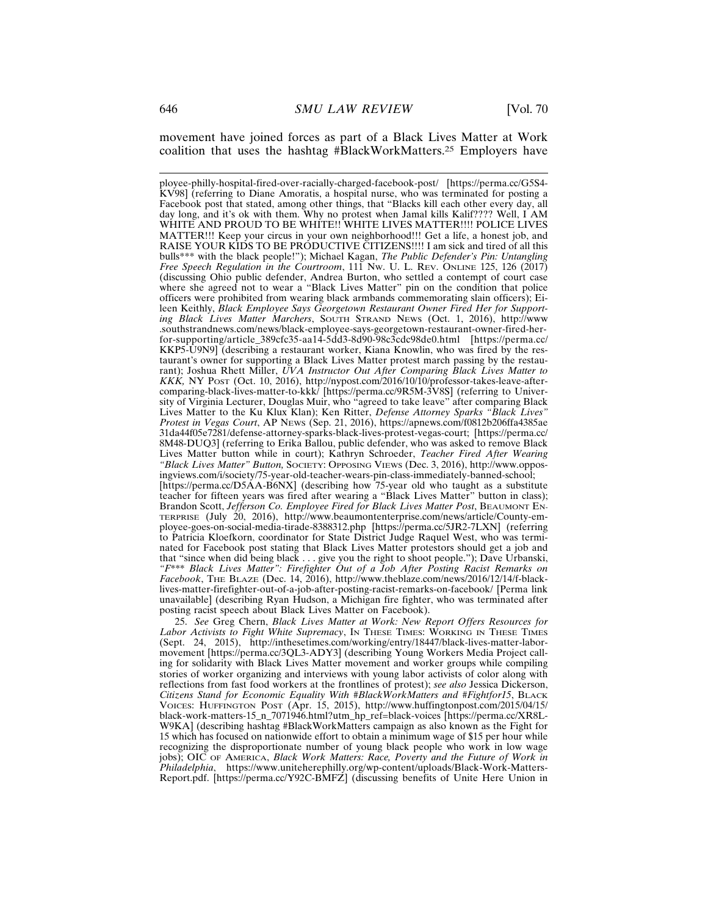movement have joined forces as part of a Black Lives Matter at Work coalition that uses the hashtag #BlackWorkMatters.25 Employers have

25. *See* Greg Chern, *Black Lives Matter at Work: New Report Offers Resources for* Labor Activists to Fight White Supremacy, In THESE TIMES: WORKING IN THESE TIMES (Sept. 24, 2015), http://inthesetimes.com/working/entry/18447/black-lives-matter-labormovement [https://perma.cc/3QL3-ADY3] (describing Young Workers Media Project calling for solidarity with Black Lives Matter movement and worker groups while compiling stories of worker organizing and interviews with young labor activists of color along with reflections from fast food workers at the frontlines of protest); *see also* Jessica Dickerson, *Citizens Stand for Economic Equality With #BlackWorkMatters and #Fightfor15*, BLACK VOICES: HUFFINGTON POST (Apr. 15, 2015), http://www.huffingtonpost.com/2015/04/15/ black-work-matters-15\_n\_7071946.html?utm\_hp\_ref=black-voices [https://perma.cc/XR8L-W9KA] (describing hashtag #BlackWorkMatters campaign as also known as the Fight for 15 which has focused on nationwide effort to obtain a minimum wage of \$15 per hour while recognizing the disproportionate number of young black people who work in low wage jobs); OIC OF AMERICA, *Black Work Matters: Race, Poverty and the Future of Work in Philadelphia*, https://www.uniteherephilly.org/wp-content/uploads/Black-Work-Matters-Report.pdf. [https://perma.cc/Y92C-BMFZ] (discussing benefits of Unite Here Union in

ployee-philly-hospital-fired-over-racially-charged-facebook-post/ [https://perma.cc/G5S4- KV98] (referring to Diane Amoratis, a hospital nurse, who was terminated for posting a Facebook post that stated, among other things, that "Blacks kill each other every day, all day long, and it's ok with them. Why no protest when Jamal kills Kalif???? Well, I AM WHITE AND PROUD TO BE WHITE!! WHITE LIVES MATTER!!!! POLICE LIVES MATTER!!! Keep your circus in your own neighborhood!!! Get a life, a honest job, and RAISE YOUR KIDS TO BE PRODUCTIVE CITIZENS!!!! I am sick and tired of all this bulls\*\*\* with the black people!"); Michael Kagan, *The Public Defender's Pin: Untangling Free Speech Regulation in the Courtroom*, 111 NW. U. L. REV. ONLINE 125, 126 (2017) (discussing Ohio public defender, Andrea Burton, who settled a contempt of court case where she agreed not to wear a "Black Lives Matter" pin on the condition that police officers were prohibited from wearing black armbands commemorating slain officers); Eileen Keithly, *Black Employee Says Georgetown Restaurant Owner Fired Her for Supporting Black Lives Matter Marchers*, SOUTH STRAND NEWS (Oct. 1, 2016), http://www .southstrandnews.com/news/black-employee-says-georgetown-restaurant-owner-fired-herfor-supporting/article\_389cfc35-aa14-5dd3-8d90-98c3cdc98de0.html [https://perma.cc/ KKP5-U9N9] (describing a restaurant worker, Kiana Knowlin, who was fired by the restaurant's owner for supporting a Black Lives Matter protest march passing by the restaurant); Joshua Rhett Miller, *UVA Instructor Out After Comparing Black Lives Matter to KKK,* NY POST (Oct. 10, 2016), http://nypost.com/2016/10/10/professor-takes-leave-aftercomparing-black-lives-matter-to-kkk/ [https://perma.cc/9R5M-3V8S] (referring to University of Virginia Lecturer, Douglas Muir, who "agreed to take leave" after comparing Black Lives Matter to the Ku Klux Klan); Ken Ritter, *Defense Attorney Sparks "Black Lives" Protest in Vegas Court*, AP NEWS (Sep. 21, 2016), https://apnews.com/f0812b206ffa4385ae 31da44f05e7281/defense-attorney-sparks-black-lives-protest-vegas-court; [https://perma.cc/ 8M48-DUQ3] (referring to Erika Ballou, public defender, who was asked to remove Black Lives Matter button while in court); Kathryn Schroeder, *Teacher Fired After Wearing "Black Lives Matter" Button,* SOCIETY: OPPOSING VIEWS (Dec. 3, 2016), http://www.opposingviews.com/i/society/75-year-old-teacher-wears-pin-class-immediately-banned-school; [https://perma.cc/D5AA-B6NX] (describing how 75-year old who taught as a substitute teacher for fifteen years was fired after wearing a "Black Lives Matter" button in class); Brandon Scott, *Jefferson Co. Employee Fired for Black Lives Matter Post*, BEAUMONT EN-TERPRISE (July 20, 2016), http://www.beaumontenterprise.com/news/article/County-employee-goes-on-social-media-tirade-8388312.php [https://perma.cc/5JR2-7LXN] (referring to Patricia Kloefkorn, coordinator for State District Judge Raquel West, who was terminated for Facebook post stating that Black Lives Matter protestors should get a job and that "since when did being black . . . give you the right to shoot people."); Dave Urbanski, *"F\*\*\* Black Lives Matter": Firefighter Out of a Job After Posting Racist Remarks on Facebook*, THE BLAZE (Dec. 14, 2016), http://www.theblaze.com/news/2016/12/14/f-blacklives-matter-firefighter-out-of-a-job-after-posting-racist-remarks-on-facebook/ [Perma link unavailable] (describing Ryan Hudson, a Michigan fire fighter, who was terminated after posting racist speech about Black Lives Matter on Facebook).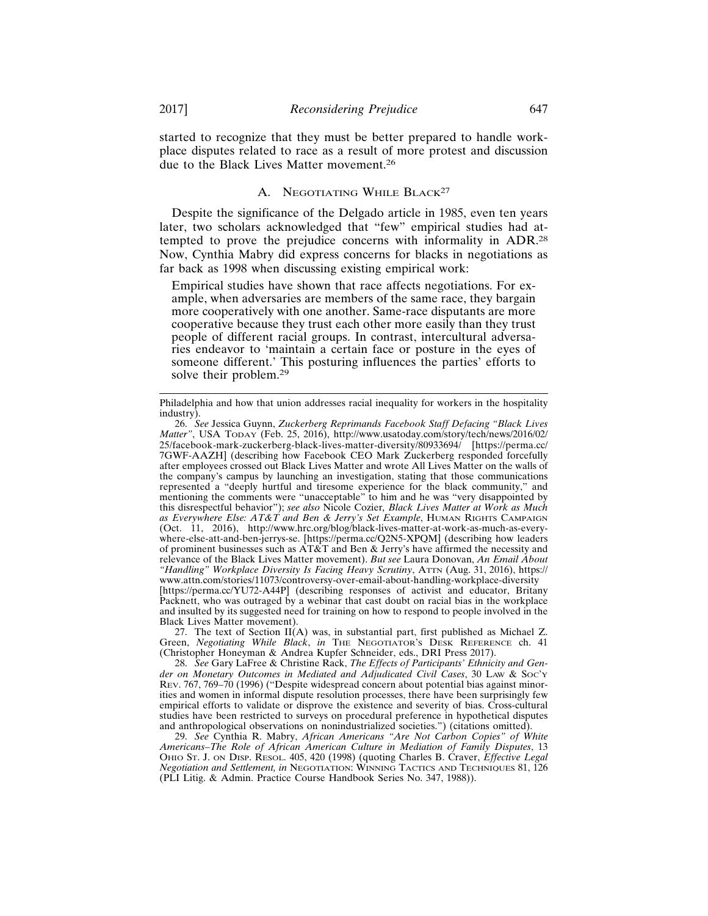started to recognize that they must be better prepared to handle workplace disputes related to race as a result of more protest and discussion due to the Black Lives Matter movement.<sup>26</sup>

## A. NEGOTIATING WHILE BLACK<sup>27</sup>

Despite the significance of the Delgado article in 1985, even ten years later, two scholars acknowledged that "few" empirical studies had attempted to prove the prejudice concerns with informality in ADR.<sup>28</sup> Now, Cynthia Mabry did express concerns for blacks in negotiations as far back as 1998 when discussing existing empirical work:

Empirical studies have shown that race affects negotiations. For example, when adversaries are members of the same race, they bargain more cooperatively with one another. Same-race disputants are more cooperative because they trust each other more easily than they trust people of different racial groups. In contrast, intercultural adversaries endeavor to 'maintain a certain face or posture in the eyes of someone different.' This posturing influences the parties' efforts to solve their problem.<sup>29</sup>

27. The text of Section  $II(A)$  was, in substantial part, first published as Michael Z. Green, *Negotiating While Black*, *in* THE NEGOTIATOR'S DESK REFERENCE ch. 41 (Christopher Honeyman & Andrea Kupfer Schneider, eds., DRI Press 2017).

28. *See* Gary LaFree & Christine Rack, *The Effects of Participants' Ethnicity and Gender on Monetary Outcomes in Mediated and Adjudicated Civil Cases*, 30 LAW & SOC'Y REV. 767, 769–70 (1996) ("Despite widespread concern about potential bias against minorities and women in informal dispute resolution processes, there have been surprisingly few empirical efforts to validate or disprove the existence and severity of bias. Cross-cultural studies have been restricted to surveys on procedural preference in hypothetical disputes and anthropological observations on nonindustrialized societies.") (citations omitted).

29. *See* Cynthia R. Mabry, *African Americans "Are Not Carbon Copies" of White Americans–The Role of African American Culture in Mediation of Family Disputes*, 13 OHIO ST. J. ON DISP. RESOL. 405, 420 (1998) (quoting Charles B. Craver, *Effective Legal Negotiation and Settlement, in* NEGOTIATION: WINNING TACTICS AND TECHNIQUES 81, 126 (PLI Litig. & Admin. Practice Course Handbook Series No. 347, 1988)).

Philadelphia and how that union addresses racial inequality for workers in the hospitality industry).

<sup>26.</sup> *See* Jessica Guynn, *Zuckerberg Reprimands Facebook Staff Defacing "Black Lives Matter"*, USA TODAY (Feb. 25, 2016), http://www.usatoday.com/story/tech/news/2016/02/ 25/facebook-mark-zuckerberg-black-lives-matter-diversity/80933694/ [https://perma.cc/ 7GWF-AAZH] (describing how Facebook CEO Mark Zuckerberg responded forcefully after employees crossed out Black Lives Matter and wrote All Lives Matter on the walls of the company's campus by launching an investigation, stating that those communications represented a "deeply hurtful and tiresome experience for the black community," and mentioning the comments were "unacceptable" to him and he was "very disappointed by this disrespectful behavior"); *see also* Nicole Cozier*, Black Lives Matter at Work as Much as Everywhere Else: AT&T and Ben & Jerry's Set Example*, HUMAN RIGHTS CAMPAIGN (Oct. 11, 2016), http://www.hrc.org/blog/black-lives-matter-at-work-as-much-as-everywhere-else-att-and-ben-jerrys-se. [https://perma.cc/Q2N5-XPQM] (describing how leaders of prominent businesses such as  $\widehat{AT\&T}$  and Ben & Jerry's have affirmed the necessity and relevance of the Black Lives Matter movement). *But see* Laura Donovan, *An Email About "Handling" Workplace Diversity Is Facing Heavy Scrutiny*, ATTN (Aug. 31, 2016), https:// www.attn.com/stories/11073/controversy-over-email-about-handling-workplace-diversity [https://perma.cc/YU72-A44P] (describing responses of activist and educator, Britany Packnett, who was outraged by a webinar that cast doubt on racial bias in the workplace and insulted by its suggested need for training on how to respond to people involved in the Black Lives Matter movement).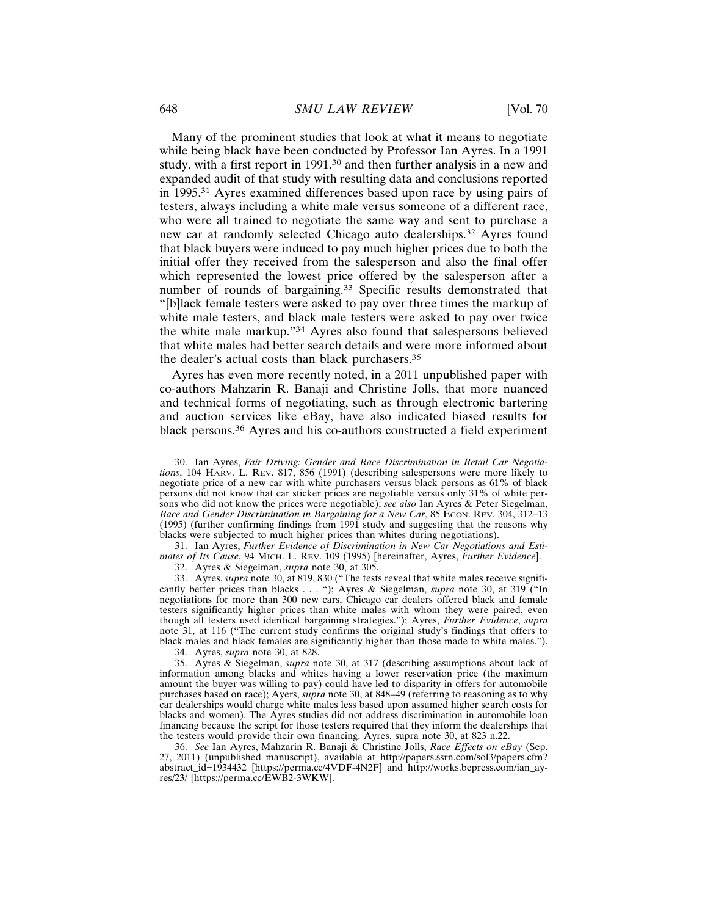Many of the prominent studies that look at what it means to negotiate while being black have been conducted by Professor Ian Ayres. In a 1991 study, with a first report in 1991,<sup>30</sup> and then further analysis in a new and expanded audit of that study with resulting data and conclusions reported in 1995,31 Ayres examined differences based upon race by using pairs of testers, always including a white male versus someone of a different race, who were all trained to negotiate the same way and sent to purchase a new car at randomly selected Chicago auto dealerships.32 Ayres found that black buyers were induced to pay much higher prices due to both the initial offer they received from the salesperson and also the final offer which represented the lowest price offered by the salesperson after a number of rounds of bargaining.<sup>33</sup> Specific results demonstrated that "[b]lack female testers were asked to pay over three times the markup of white male testers, and black male testers were asked to pay over twice the white male markup."34 Ayres also found that salespersons believed that white males had better search details and were more informed about the dealer's actual costs than black purchasers.<sup>35</sup>

Ayres has even more recently noted, in a 2011 unpublished paper with co-authors Mahzarin R. Banaji and Christine Jolls, that more nuanced and technical forms of negotiating, such as through electronic bartering and auction services like eBay, have also indicated biased results for black persons.36 Ayres and his co-authors constructed a field experiment

31. Ian Ayres, *Further Evidence of Discrimination in New Car Negotiations and Estimates of Its Cause*, 94 MICH. L. REV. 109 (1995) [hereinafter, Ayres, *Further Evidence*]. 32. Ayres & Siegelman, *supra* note 30, at 305.

33. Ayres, *supra* note 30, at 819, 830 ("The tests reveal that white males receive significantly better prices than blacks . . . "); Ayres & Siegelman, *supra* note 30, at 319 ("In negotiations for more than 300 new cars, Chicago car dealers offered black and female testers significantly higher prices than white males with whom they were paired, even though all testers used identical bargaining strategies."); Ayres, *Further Evidence*, *supra* note 31, at 116 ("The current study confirms the original study's findings that offers to black males and black females are significantly higher than those made to white males.").

34. Ayres, *supra* note 30, at 828.

35. Ayres & Siegelman, *supra* note 30, at 317 (describing assumptions about lack of information among blacks and whites having a lower reservation price (the maximum amount the buyer was willing to pay) could have led to disparity in offers for automobile purchases based on race); Ayers, *supra* note 30, at 848–49 (referring to reasoning as to why car dealerships would charge white males less based upon assumed higher search costs for blacks and women). The Ayres studies did not address discrimination in automobile loan financing because the script for those testers required that they inform the dealerships that the testers would provide their own financing. Ayres, supra note 30, at 823 n.22.

36. *See* Ian Ayres, Mahzarin R. Banaji & Christine Jolls, *Race Effects on eBay* (Sep. 27, 2011) (unpublished manuscript), available at http://papers.ssrn.com/sol3/papers.cfm? abstract\_id=1934432 [https://perma.cc/4VDF-4N2F] and http://works.bepress.com/ian\_ayres/23/ [https://perma.cc/EWB2-3WKW].

<sup>30.</sup> Ian Ayres, *Fair Driving: Gender and Race Discrimination in Retail Car Negotiations*, 104 HARV. L. REV. 817, 856 (1991) (describing salespersons were more likely to negotiate price of a new car with white purchasers versus black persons as 61% of black persons did not know that car sticker prices are negotiable versus only 31% of white persons who did not know the prices were negotiable); *see also* Ian Ayres & Peter Siegelman, *Race and Gender Discrimination in Bargaining for a New Car*, 85 Econ. Rev. 304, 312-13 (1995) (further confirming findings from 1991 study and suggesting that the reasons why blacks were subjected to much higher prices than whites during negotiations).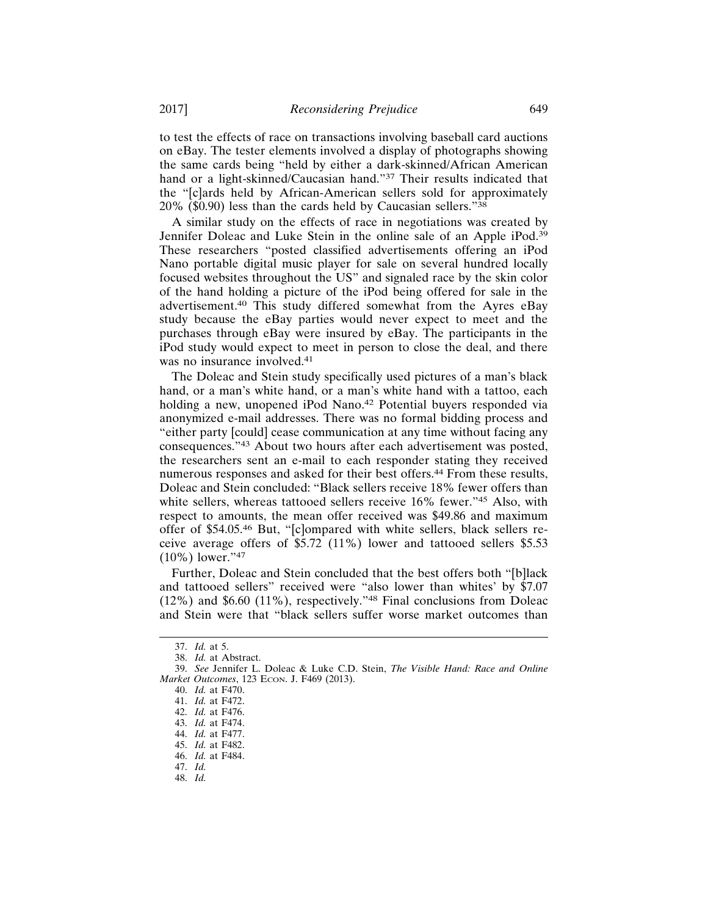to test the effects of race on transactions involving baseball card auctions on eBay. The tester elements involved a display of photographs showing the same cards being "held by either a dark-skinned/African American hand or a light-skinned/Caucasian hand."37 Their results indicated that the "[c]ards held by African-American sellers sold for approximately 20% (\$0.90) less than the cards held by Caucasian sellers."<sup>38</sup>

A similar study on the effects of race in negotiations was created by Jennifer Doleac and Luke Stein in the online sale of an Apple iPod.<sup>39</sup> These researchers "posted classified advertisements offering an iPod Nano portable digital music player for sale on several hundred locally focused websites throughout the US" and signaled race by the skin color of the hand holding a picture of the iPod being offered for sale in the advertisement.40 This study differed somewhat from the Ayres eBay study because the eBay parties would never expect to meet and the purchases through eBay were insured by eBay. The participants in the iPod study would expect to meet in person to close the deal, and there was no insurance involved.<sup>41</sup>

The Doleac and Stein study specifically used pictures of a man's black hand, or a man's white hand, or a man's white hand with a tattoo, each holding a new, unopened iPod Nano.<sup>42</sup> Potential buyers responded via anonymized e-mail addresses. There was no formal bidding process and "either party [could] cease communication at any time without facing any consequences."43 About two hours after each advertisement was posted, the researchers sent an e-mail to each responder stating they received numerous responses and asked for their best offers.<sup>44</sup> From these results, Doleac and Stein concluded: "Black sellers receive 18% fewer offers than white sellers, whereas tattooed sellers receive 16% fewer."45 Also, with respect to amounts, the mean offer received was \$49.86 and maximum offer of \$54.05.46 But, "[c]ompared with white sellers, black sellers receive average offers of \$5.72 (11%) lower and tattooed sellers \$5.53 (10%) lower."<sup>47</sup>

Further, Doleac and Stein concluded that the best offers both "[b]lack and tattooed sellers" received were "also lower than whites' by \$7.07 (12%) and \$6.60 (11%), respectively."48 Final conclusions from Doleac and Stein were that "black sellers suffer worse market outcomes than

<sup>37.</sup> *Id.* at 5.

<sup>38.</sup> *Id.* at Abstract.

<sup>39.</sup> *See* Jennifer L. Doleac & Luke C.D. Stein, *The Visible Hand: Race and Online Market Outcomes*, 123 ECON. J. F469 (2013).

<sup>40.</sup> *Id.* at F470.

<sup>41.</sup> *Id.* at F472.

<sup>42.</sup> *Id.* at F476.

<sup>43.</sup> *Id.* at F474.

<sup>44.</sup> *Id.* at F477.

<sup>45.</sup> *Id.* at F482.

<sup>46.</sup> *Id.* at F484.

<sup>47.</sup> *Id.*

<sup>48.</sup> *Id.*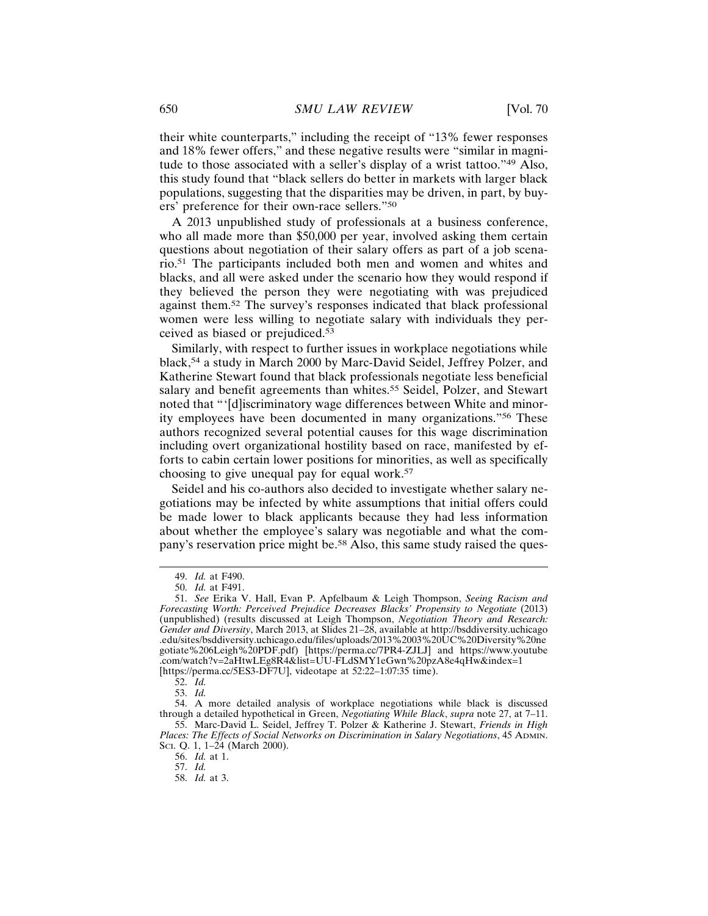their white counterparts," including the receipt of "13% fewer responses and 18% fewer offers," and these negative results were "similar in magnitude to those associated with a seller's display of a wrist tattoo."49 Also, this study found that "black sellers do better in markets with larger black populations, suggesting that the disparities may be driven, in part, by buyers' preference for their own-race sellers."<sup>50</sup>

A 2013 unpublished study of professionals at a business conference, who all made more than \$50,000 per year, involved asking them certain questions about negotiation of their salary offers as part of a job scenario.51 The participants included both men and women and whites and blacks, and all were asked under the scenario how they would respond if they believed the person they were negotiating with was prejudiced against them.52 The survey's responses indicated that black professional women were less willing to negotiate salary with individuals they perceived as biased or prejudiced.<sup>53</sup>

Similarly, with respect to further issues in workplace negotiations while black,54 a study in March 2000 by Marc-David Seidel, Jeffrey Polzer, and Katherine Stewart found that black professionals negotiate less beneficial salary and benefit agreements than whites.<sup>55</sup> Seidel, Polzer, and Stewart noted that "'[d]iscriminatory wage differences between White and minority employees have been documented in many organizations."56 These authors recognized several potential causes for this wage discrimination including overt organizational hostility based on race, manifested by efforts to cabin certain lower positions for minorities, as well as specifically choosing to give unequal pay for equal work.<sup>57</sup>

Seidel and his co-authors also decided to investigate whether salary negotiations may be infected by white assumptions that initial offers could be made lower to black applicants because they had less information about whether the employee's salary was negotiable and what the company's reservation price might be.<sup>58</sup> Also, this same study raised the ques-

57. *Id.*

<sup>49.</sup> *Id.* at F490.

<sup>50.</sup> *Id.* at F491.

<sup>51.</sup> *See* Erika V. Hall, Evan P. Apfelbaum & Leigh Thompson, *Seeing Racism and Forecasting Worth: Perceived Prejudice Decreases Blacks' Propensity to Negotiate* (2013) (unpublished) (results discussed at Leigh Thompson, *Negotiation Theory and Research: Gender and Diversity*, March 2013, at Slides 21–28, available at http://bsddiversity.uchicago .edu/sites/bsddiversity.uchicago.edu/files/uploads/2013%2003%20UC%20Diversity%20ne gotiate%206Leigh%20PDF.pdf) [https://perma.cc/7PR4-ZJLJ] and https://www.youtube .com/watch?v=2aHtwLEg8R4&list=UU-FLdSMY1eGwn%20pzA8e4qHw&index=1 [https://perma.cc/5ES3-DF7U], videotape at 52:22–1:07:35 time).

<sup>52.</sup> *Id.*

<sup>53.</sup> *Id.*

<sup>54.</sup> A more detailed analysis of workplace negotiations while black is discussed through a detailed hypothetical in Green, *Negotiating While Black*, *supra* note 27, at 7–11. 55. Marc-David L. Seidel, Jeffrey T. Polzer & Katherine J. Stewart, *Friends in High*

*Places: The Effects of Social Networks on Discrimination in Salary Negotiations*, 45 ADMIN. SCI. Q. 1, 1–24 (March 2000).

<sup>56.</sup> *Id.* at 1.

<sup>58.</sup> *Id.* at 3.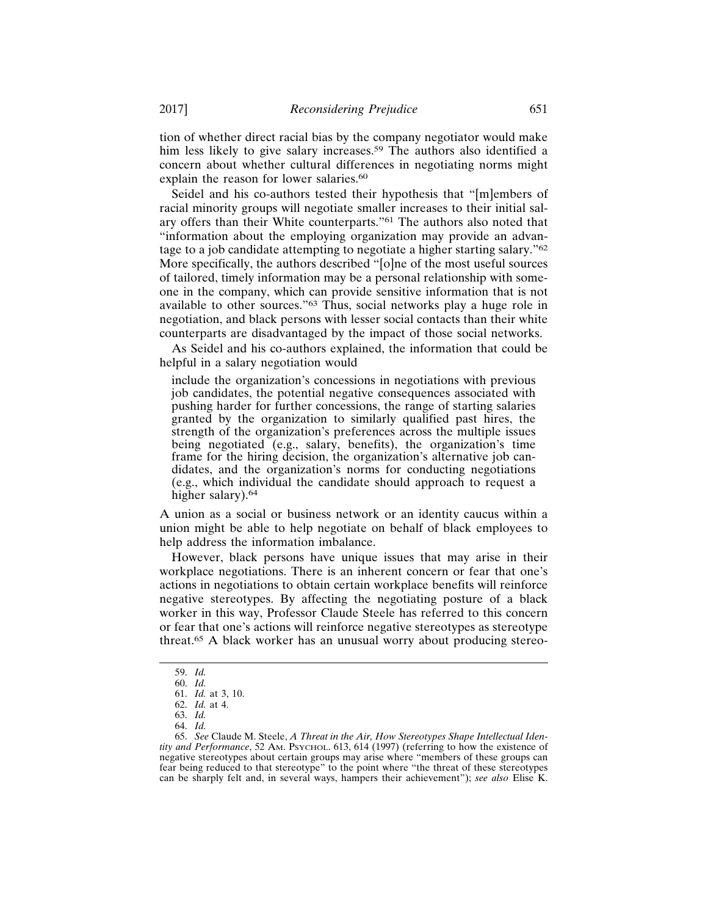tion of whether direct racial bias by the company negotiator would make him less likely to give salary increases.<sup>59</sup> The authors also identified a concern about whether cultural differences in negotiating norms might explain the reason for lower salaries.<sup>60</sup>

Seidel and his co-authors tested their hypothesis that "[m]embers of racial minority groups will negotiate smaller increases to their initial salary offers than their White counterparts."61 The authors also noted that "information about the employing organization may provide an advantage to a job candidate attempting to negotiate a higher starting salary."<sup>62</sup> More specifically, the authors described "[o]ne of the most useful sources of tailored, timely information may be a personal relationship with someone in the company, which can provide sensitive information that is not available to other sources."63 Thus, social networks play a huge role in negotiation, and black persons with lesser social contacts than their white counterparts are disadvantaged by the impact of those social networks.

As Seidel and his co-authors explained, the information that could be helpful in a salary negotiation would

include the organization's concessions in negotiations with previous job candidates, the potential negative consequences associated with pushing harder for further concessions, the range of starting salaries granted by the organization to similarly qualified past hires, the strength of the organization's preferences across the multiple issues being negotiated (e.g., salary, benefits), the organization's time frame for the hiring decision, the organization's alternative job candidates, and the organization's norms for conducting negotiations (e.g., which individual the candidate should approach to request a higher salary).<sup>64</sup>

A union as a social or business network or an identity caucus within a union might be able to help negotiate on behalf of black employees to help address the information imbalance.

However, black persons have unique issues that may arise in their workplace negotiations. There is an inherent concern or fear that one's actions in negotiations to obtain certain workplace benefits will reinforce negative stereotypes. By affecting the negotiating posture of a black worker in this way, Professor Claude Steele has referred to this concern or fear that one's actions will reinforce negative stereotypes as stereotype threat.65 A black worker has an unusual worry about producing stereo-

<sup>59.</sup> *Id.*

<sup>60.</sup> *Id.*

<sup>61.</sup> *Id.* at 3, 10.

<sup>62.</sup> *Id.* at 4.

<sup>63.</sup> *Id.*

<sup>64.</sup> *Id.*

<sup>65.</sup> *See* Claude M. Steele, *A Threat in the Air, How Stereotypes Shape Intellectual Identity and Performance*, 52 AM. PSYCHOL. 613, 614 (1997) (referring to how the existence of negative stereotypes about certain groups may arise where "members of these groups can fear being reduced to that stereotype" to the point where "the threat of these stereotypes can be sharply felt and, in several ways, hampers their achievement"); *see also* Elise K.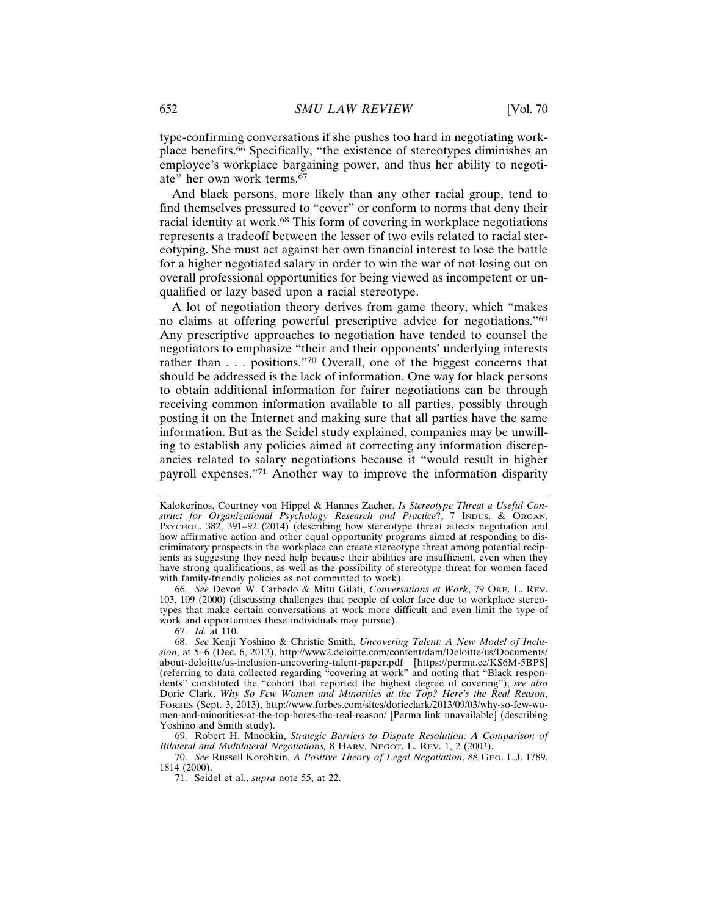type-confirming conversations if she pushes too hard in negotiating workplace benefits.66 Specifically, "the existence of stereotypes diminishes an employee's workplace bargaining power, and thus her ability to negotiate" her own work terms.<sup>67</sup>

And black persons, more likely than any other racial group, tend to find themselves pressured to "cover" or conform to norms that deny their racial identity at work.68 This form of covering in workplace negotiations represents a tradeoff between the lesser of two evils related to racial stereotyping. She must act against her own financial interest to lose the battle for a higher negotiated salary in order to win the war of not losing out on overall professional opportunities for being viewed as incompetent or unqualified or lazy based upon a racial stereotype.

A lot of negotiation theory derives from game theory, which "makes no claims at offering powerful prescriptive advice for negotiations."<sup>69</sup> Any prescriptive approaches to negotiation have tended to counsel the negotiators to emphasize "their and their opponents' underlying interests rather than . . . positions."70 Overall, one of the biggest concerns that should be addressed is the lack of information. One way for black persons to obtain additional information for fairer negotiations can be through receiving common information available to all parties, possibly through posting it on the Internet and making sure that all parties have the same information. But as the Seidel study explained, companies may be unwilling to establish any policies aimed at correcting any information discrepancies related to salary negotiations because it "would result in higher payroll expenses."71 Another way to improve the information disparity

66. *See* Devon W. Carbado & Mitu Gilati, *Conversations at Work*, 79 ORE. L. REV. 103, 109 (2000) (discussing challenges that people of color face due to workplace stereotypes that make certain conversations at work more difficult and even limit the type of work and opportunities these individuals may pursue).

67. *Id.* at 110.

69. Robert H. Mnookin, *Strategic Barriers to Dispute Resolution: A Comparison of Bilateral and Multilateral Negotiations,* 8 HARV. NEGOT. L. REV. 1, 2 (2003).

Kalokerinos, Courtney von Hippel & Hannes Zacher, *Is Stereotype Threat a Useful Construct for Organizational Psychology Research and Practice*?, 7 INDUS. & ORGAN. PSYCHOL. 382, 391-92 (2014) (describing how stereotype threat affects negotiation and how affirmative action and other equal opportunity programs aimed at responding to discriminatory prospects in the workplace can create stereotype threat among potential recipients as suggesting they need help because their abilities are insufficient, even when they have strong qualifications, as well as the possibility of stereotype threat for women faced with family-friendly policies as not committed to work).

<sup>68.</sup> *See* Kenji Yoshino & Christie Smith, *Uncovering Talent: A New Model of Inclusion*, at 5–6 (Dec. 6, 2013), http://www2.deloitte.com/content/dam/Deloitte/us/Documents/ about-deloitte/us-inclusion-uncovering-talent-paper.pdf [https://perma.cc/KS6M-5BPS] (referring to data collected regarding "covering at work" and noting that "Black respondents" constituted the "cohort that reported the highest degree of covering"); *see also* Dorie Clark, *Why So Few Women and Minorities at the Top? Here's the Real Reason*, FORBES (Sept. 3, 2013), http://www.forbes.com/sites/dorieclark/2013/09/03/why-so-few-women-and-minorities-at-the-top-heres-the-real-reason/ [Perma link unavailable] (describing Yoshino and Smith study).

<sup>70.</sup> *See* Russell Korobkin, *A Positive Theory of Legal Negotiation*, 88 GEO. L.J. 1789, 1814 (2000).

<sup>71.</sup> Seidel et al., *supra* note 55, at 22.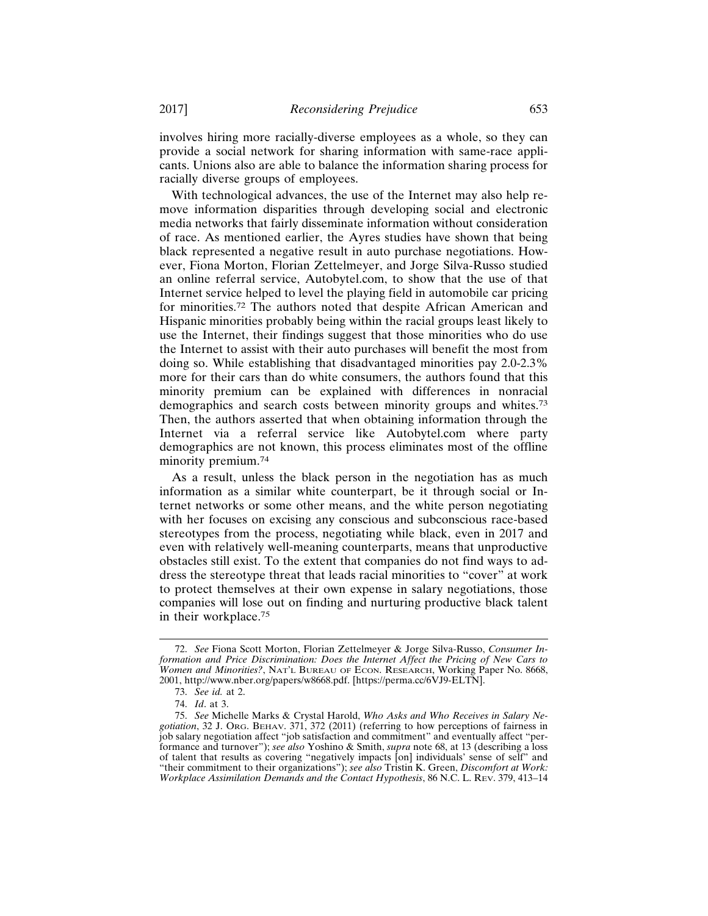involves hiring more racially-diverse employees as a whole, so they can provide a social network for sharing information with same-race applicants. Unions also are able to balance the information sharing process for racially diverse groups of employees.

With technological advances, the use of the Internet may also help remove information disparities through developing social and electronic media networks that fairly disseminate information without consideration of race. As mentioned earlier, the Ayres studies have shown that being black represented a negative result in auto purchase negotiations. However, Fiona Morton, Florian Zettelmeyer, and Jorge Silva-Russo studied an online referral service, Autobytel.com, to show that the use of that Internet service helped to level the playing field in automobile car pricing for minorities.72 The authors noted that despite African American and Hispanic minorities probably being within the racial groups least likely to use the Internet, their findings suggest that those minorities who do use the Internet to assist with their auto purchases will benefit the most from doing so. While establishing that disadvantaged minorities pay 2.0-2.3% more for their cars than do white consumers, the authors found that this minority premium can be explained with differences in nonracial demographics and search costs between minority groups and whites.<sup>73</sup> Then, the authors asserted that when obtaining information through the Internet via a referral service like Autobytel.com where party demographics are not known, this process eliminates most of the offline minority premium.<sup>74</sup>

As a result, unless the black person in the negotiation has as much information as a similar white counterpart, be it through social or Internet networks or some other means, and the white person negotiating with her focuses on excising any conscious and subconscious race-based stereotypes from the process, negotiating while black, even in 2017 and even with relatively well-meaning counterparts, means that unproductive obstacles still exist. To the extent that companies do not find ways to address the stereotype threat that leads racial minorities to "cover" at work to protect themselves at their own expense in salary negotiations, those companies will lose out on finding and nurturing productive black talent in their workplace.<sup>75</sup>

<sup>72.</sup> *See* Fiona Scott Morton, Florian Zettelmeyer & Jorge Silva-Russo, *Consumer Information and Price Discrimination: Does the Internet Affect the Pricing of New Cars to Women and Minorities?*, NAT'L BUREAU OF ECON. RESEARCH, Working Paper No. 8668, 2001, http://www.nber.org/papers/w8668.pdf. [https://perma.cc/6VJ9-ELTN].

<sup>73.</sup> *See id.* at 2.

<sup>74.</sup> *Id*. at 3.

<sup>75.</sup> *See* Michelle Marks & Crystal Harold, *Who Asks and Who Receives in Salary Negotiation*, 32 J. ORG. BEHAV. 371, 372 (2011) (referring to how perceptions of fairness in job salary negotiation affect "job satisfaction and commitment" and eventually affect "performance and turnover"); *see also* Yoshino & Smith, *supra* note 68, at 13 (describing a loss of talent that results as covering "negatively impacts [on] individuals' sense of self" and "their commitment to their organizations"); *see also* Tristin K. Green, *Discomfort at Work: Workplace Assimilation Demands and the Contact Hypothesis*, 86 N.C. L. REV. 379, 413–14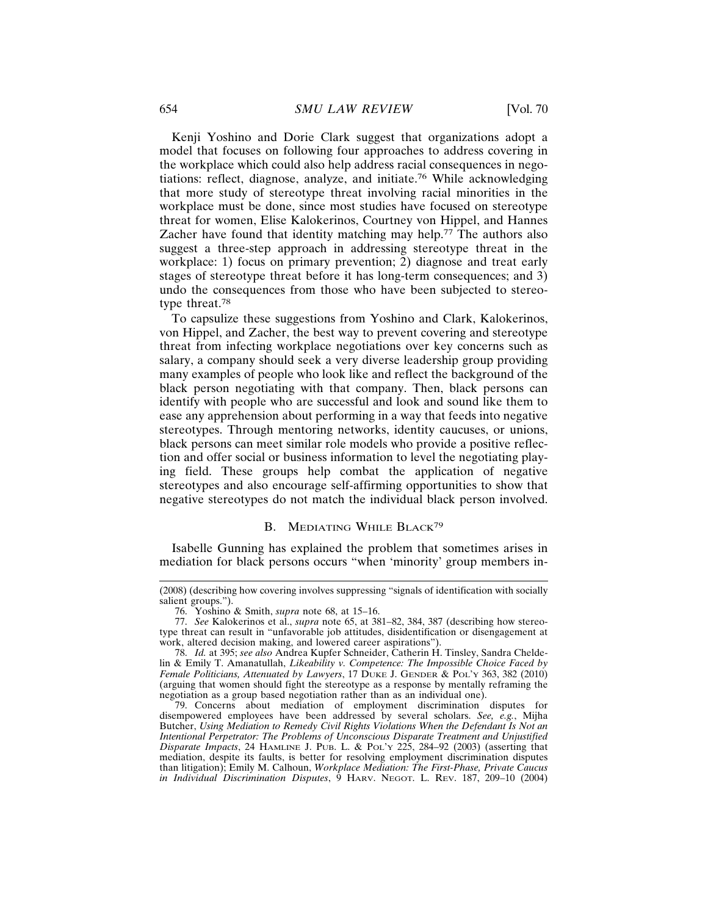Kenji Yoshino and Dorie Clark suggest that organizations adopt a model that focuses on following four approaches to address covering in the workplace which could also help address racial consequences in negotiations: reflect, diagnose, analyze, and initiate.76 While acknowledging that more study of stereotype threat involving racial minorities in the workplace must be done, since most studies have focused on stereotype threat for women, Elise Kalokerinos, Courtney von Hippel, and Hannes Zacher have found that identity matching may help.77 The authors also suggest a three-step approach in addressing stereotype threat in the workplace: 1) focus on primary prevention; 2) diagnose and treat early stages of stereotype threat before it has long-term consequences; and 3) undo the consequences from those who have been subjected to stereotype threat.<sup>78</sup>

To capsulize these suggestions from Yoshino and Clark, Kalokerinos, von Hippel, and Zacher, the best way to prevent covering and stereotype threat from infecting workplace negotiations over key concerns such as salary, a company should seek a very diverse leadership group providing many examples of people who look like and reflect the background of the black person negotiating with that company. Then, black persons can identify with people who are successful and look and sound like them to ease any apprehension about performing in a way that feeds into negative stereotypes. Through mentoring networks, identity caucuses, or unions, black persons can meet similar role models who provide a positive reflection and offer social or business information to level the negotiating playing field. These groups help combat the application of negative stereotypes and also encourage self-affirming opportunities to show that negative stereotypes do not match the individual black person involved.

#### B. MEDIATING WHILE BLACK<sup>79</sup>

Isabelle Gunning has explained the problem that sometimes arises in mediation for black persons occurs "when 'minority' group members in-

<sup>(2008) (</sup>describing how covering involves suppressing "signals of identification with socially salient groups.").

<sup>76.</sup> Yoshino & Smith, *supra* note 68, at 15–16.

<sup>77.</sup> *See* Kalokerinos et al., *supra* note 65, at 381–82, 384, 387 (describing how stereotype threat can result in "unfavorable job attitudes, disidentification or disengagement at work, altered decision making, and lowered career aspirations").

<sup>78.</sup> *Id.* at 395; *see also* Andrea Kupfer Schneider, Catherin H. Tinsley, Sandra Cheldelin & Emily T. Amanatullah, *Likeability v. Competence: The Impossible Choice Faced by Female Politicians, Attenuated by Lawyers*, 17 DUKE J. GENDER & POL'Y 363, 382 (2010) (arguing that women should fight the stereotype as a response by mentally reframing the negotiation as a group based negotiation rather than as an individual one).

<sup>79.</sup> Concerns about mediation of employment discrimination disputes for disempowered employees have been addressed by several scholars. *See, e.g.*, Mijha Butcher, *Using Mediation to Remedy Civil Rights Violations When the Defendant Is Not an Intentional Perpetrator: The Problems of Unconscious Disparate Treatment and Unjustified Disparate Impacts*, 24 HAMLINE J. PUB. L. & POL'Y 225, 284–92 (2003) (asserting that mediation, despite its faults, is better for resolving employment discrimination disputes than litigation); Emily M. Calhoun, *Workplace Mediation: The First-Phase, Private Caucus in Individual Discrimination Disputes*, 9 HARV. NEGOT. L. REV. 187, 209–10 (2004)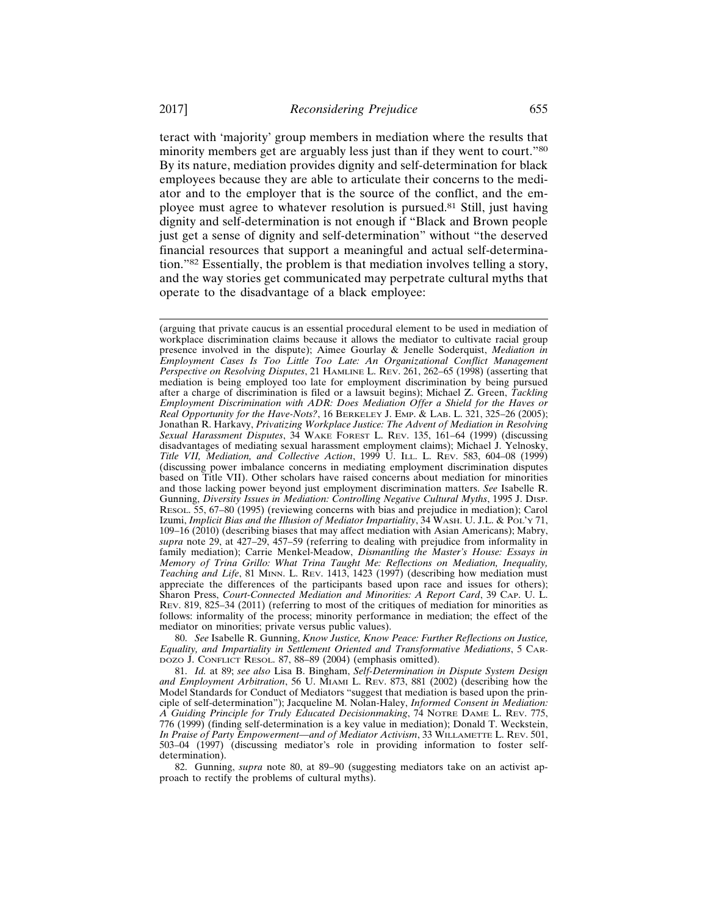teract with 'majority' group members in mediation where the results that minority members get are arguably less just than if they went to court."<sup>80</sup> By its nature, mediation provides dignity and self-determination for black employees because they are able to articulate their concerns to the mediator and to the employer that is the source of the conflict, and the employee must agree to whatever resolution is pursued.81 Still, just having dignity and self-determination is not enough if "Black and Brown people just get a sense of dignity and self-determination" without "the deserved financial resources that support a meaningful and actual self-determination."82 Essentially, the problem is that mediation involves telling a story, and the way stories get communicated may perpetrate cultural myths that operate to the disadvantage of a black employee:

80. *See* Isabelle R. Gunning, *Know Justice, Know Peace: Further Reflections on Justice, Equality, and Impartiality in Settlement Oriented and Transformative Mediations*, 5 CAR-DOZO J. CONFLICT RESOL. 87, 88–89 (2004) (emphasis omitted).

<sup>(</sup>arguing that private caucus is an essential procedural element to be used in mediation of workplace discrimination claims because it allows the mediator to cultivate racial group presence involved in the dispute); Aimee Gourlay & Jenelle Soderquist, *Mediation in Employment Cases Is Too Little Too Late: An Organizational Conflict Management Perspective on Resolving Disputes*, 21 HAMLINE L. REV. 261, 262–65 (1998) (asserting that mediation is being employed too late for employment discrimination by being pursued after a charge of discrimination is filed or a lawsuit begins); Michael Z. Green, *Tackling Employment Discrimination with ADR: Does Mediation Offer a Shield for the Haves or Real Opportunity for the Have-Nots?*, 16 BERKELEY J. EMP. & LAB. L. 321, 325–26 (2005); Jonathan R. Harkavy, *Privatizing Workplace Justice: The Advent of Mediation in Resolving Sexual Harassment Disputes*, 34 WAKE FOREST L. REV. 135, 161–64 (1999) (discussing disadvantages of mediating sexual harassment employment claims); Michael J. Yelnosky, *Title VII, Mediation, and Collective Action*, 1999 U. ILL. L. REV. 583, 604–08 (1999) (discussing power imbalance concerns in mediating employment discrimination disputes based on Title VII). Other scholars have raised concerns about mediation for minorities and those lacking power beyond just employment discrimination matters. *See* Isabelle R. Gunning, *Diversity Issues in Mediation: Controlling Negative Cultural Myths*, 1995 J. DISP. RESOL. 55, 67–80 (1995) (reviewing concerns with bias and prejudice in mediation); Carol Izumi, *Implicit Bias and the Illusion of Mediator Impartiality*, 34 WASH. U. J.L. & POL'Y 71, 109–16 (2010) (describing biases that may affect mediation with Asian Americans); Mabry, *supra* note 29, at 427–29, 457–59 (referring to dealing with prejudice from informality in family mediation); Carrie Menkel-Meadow, *Dismantling the Master's House: Essays in Memory of Trina Grillo: What Trina Taught Me: Reflections on Mediation, Inequality, Teaching and Life*, 81 MINN. L. REV. 1413, 1423 (1997) (describing how mediation must appreciate the differences of the participants based upon race and issues for others); Sharon Press, *Court-Connected Mediation and Minorities: A Report Card*, 39 CAP. U. L. REV. 819, 825–34 (2011) (referring to most of the critiques of mediation for minorities as follows: informality of the process; minority performance in mediation; the effect of the mediator on minorities; private versus public values).

<sup>81.</sup> *Id.* at 89; *see also* Lisa B. Bingham, *Self-Determination in Dispute System Design and Employment Arbitration*, 56 U. MIAMI L. REV. 873, 881 (2002) (describing how the Model Standards for Conduct of Mediators "suggest that mediation is based upon the principle of self-determination"); Jacqueline M. Nolan-Haley, *Informed Consent in Mediation: A Guiding Principle for Truly Educated Decisionmaking*, 74 NOTRE DAME L. REV. 775, 776 (1999) (finding self-determination is a key value in mediation); Donald T. Weckstein, *In Praise of Party Empowerment—and of Mediator Activism*, 33 WILLAMETTE L. REV. 501, 503–04 (1997) (discussing mediator's role in providing information to foster selfdetermination).

<sup>82.</sup> Gunning, *supra* note 80, at 89–90 (suggesting mediators take on an activist approach to rectify the problems of cultural myths).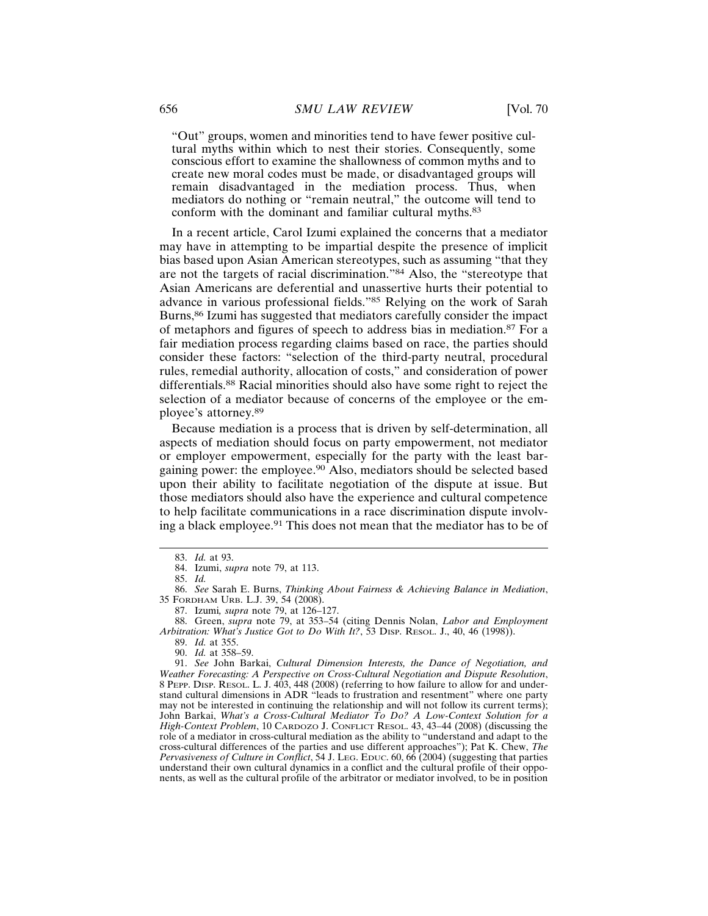"Out" groups, women and minorities tend to have fewer positive cultural myths within which to nest their stories. Consequently, some conscious effort to examine the shallowness of common myths and to create new moral codes must be made, or disadvantaged groups will remain disadvantaged in the mediation process. Thus, when mediators do nothing or "remain neutral," the outcome will tend to conform with the dominant and familiar cultural myths.<sup>83</sup>

In a recent article, Carol Izumi explained the concerns that a mediator may have in attempting to be impartial despite the presence of implicit bias based upon Asian American stereotypes, such as assuming "that they are not the targets of racial discrimination."84 Also, the "stereotype that Asian Americans are deferential and unassertive hurts their potential to advance in various professional fields."85 Relying on the work of Sarah Burns,<sup>86</sup> Izumi has suggested that mediators carefully consider the impact of metaphors and figures of speech to address bias in mediation.87 For a fair mediation process regarding claims based on race, the parties should consider these factors: "selection of the third-party neutral, procedural rules, remedial authority, allocation of costs," and consideration of power differentials.88 Racial minorities should also have some right to reject the selection of a mediator because of concerns of the employee or the employee's attorney.<sup>89</sup>

Because mediation is a process that is driven by self-determination, all aspects of mediation should focus on party empowerment, not mediator or employer empowerment, especially for the party with the least bargaining power: the employee.90 Also, mediators should be selected based upon their ability to facilitate negotiation of the dispute at issue. But those mediators should also have the experience and cultural competence to help facilitate communications in a race discrimination dispute involving a black employee.91 This does not mean that the mediator has to be of

<sup>83.</sup> *Id.* at 93.

<sup>84.</sup> Izumi, *supra* note 79, at 113.

<sup>85.</sup> *Id.*

<sup>86.</sup> *See* Sarah E. Burns, *Thinking About Fairness & Achieving Balance in Mediation*, 35 FORDHAM URB. L.J. 39, 54 (2008).

<sup>87.</sup> Izumi*, supra* note 79, at 126–127.

<sup>88.</sup> Green, *supra* note 79, at 353–54 (citing Dennis Nolan, *Labor and Employment Arbitration: What's Justice Got to Do With It?*, 53 DISP. RESOL. J., 40, 46 (1998)).

<sup>89.</sup> *Id.* at 355.

<sup>90.</sup> *Id.* at 358–59.

<sup>91.</sup> *See* John Barkai, *Cultural Dimension Interests, the Dance of Negotiation, and Weather Forecasting: A Perspective on Cross-Cultural Negotiation and Dispute Resolution*, 8 PEPP. DISP. RESOL. L. J. 403, 448 (2008) (referring to how failure to allow for and understand cultural dimensions in ADR "leads to frustration and resentment" where one party may not be interested in continuing the relationship and will not follow its current terms); John Barkai, *What's a Cross-Cultural Mediator To Do? A Low-Context Solution for a High-Context Problem*, 10 CARDOZO J. CONFLICT RESOL. 43, 43–44 (2008) (discussing the role of a mediator in cross-cultural mediation as the ability to "understand and adapt to the cross-cultural differences of the parties and use different approaches"); Pat K. Chew, *The Pervasiveness of Culture in Conflict*, 54 J. Leg. Educ. 60, 66 (2004) (suggesting that parties understand their own cultural dynamics in a conflict and the cultural profile of their opponents, as well as the cultural profile of the arbitrator or mediator involved, to be in position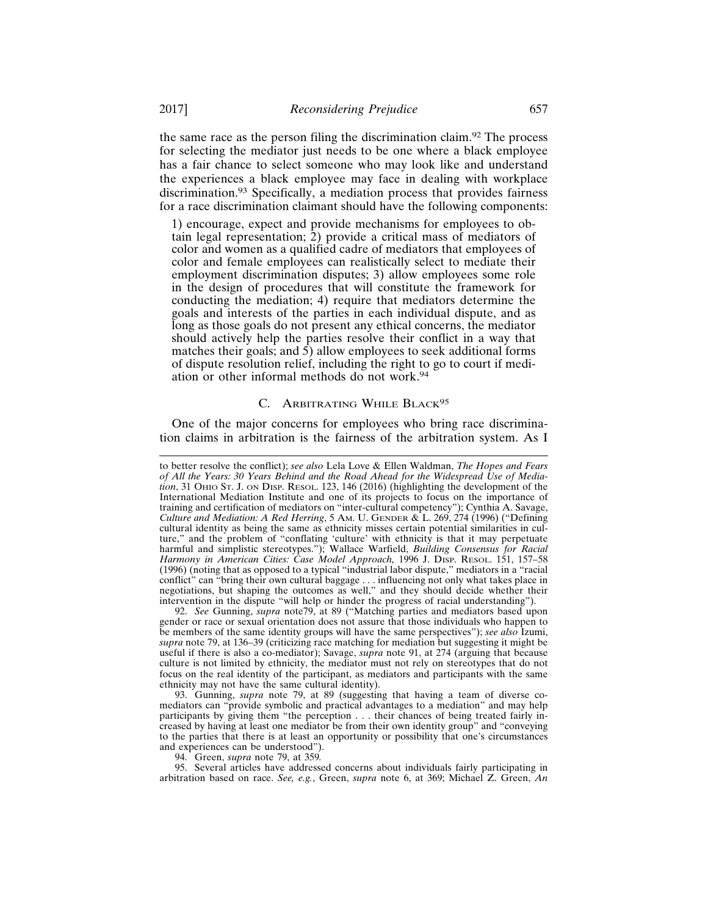the same race as the person filing the discrimination claim.92 The process for selecting the mediator just needs to be one where a black employee has a fair chance to select someone who may look like and understand the experiences a black employee may face in dealing with workplace discrimination.93 Specifically, a mediation process that provides fairness for a race discrimination claimant should have the following components:

1) encourage, expect and provide mechanisms for employees to obtain legal representation; 2) provide a critical mass of mediators of color and women as a qualified cadre of mediators that employees of color and female employees can realistically select to mediate their employment discrimination disputes; 3) allow employees some role in the design of procedures that will constitute the framework for conducting the mediation; 4) require that mediators determine the goals and interests of the parties in each individual dispute, and as long as those goals do not present any ethical concerns, the mediator should actively help the parties resolve their conflict in a way that matches their goals; and  $\overline{5}$ ) allow employees to seek additional forms of dispute resolution relief, including the right to go to court if mediation or other informal methods do not work.<sup>94</sup>

### C. ARBITRATING WHILE BLACK<sup>95</sup>

One of the major concerns for employees who bring race discrimination claims in arbitration is the fairness of the arbitration system. As I

92. *See* Gunning, *supra* note79, at 89 ("Matching parties and mediators based upon gender or race or sexual orientation does not assure that those individuals who happen to be members of the same identity groups will have the same perspectives"); *see also* Izumi, *supra* note 79, at 136–39 (criticizing race matching for mediation but suggesting it might be useful if there is also a co-mediator); Savage, *supra* note 91, at 274 (arguing that because culture is not limited by ethnicity, the mediator must not rely on stereotypes that do not focus on the real identity of the participant, as mediators and participants with the same ethnicity may not have the same cultural identity).

93. Gunning, *supra* note 79, at 89 (suggesting that having a team of diverse comediators can "provide symbolic and practical advantages to a mediation" and may help participants by giving them "the perception . . . their chances of being treated fairly increased by having at least one mediator be from their own identity group" and "conveying to the parties that there is at least an opportunity or possibility that one's circumstances and experiences can be understood").

94. Green, *supra* note 79, at 359*.*

95. Several articles have addressed concerns about individuals fairly participating in arbitration based on race. *See, e.g.*, Green, *supra* note 6, at 369; Michael Z. Green, *An*

to better resolve the conflict); *see also* Lela Love & Ellen Waldman, *The Hopes and Fears* of All the Years: 30 Years Behind and the Road Ahead for the Widespread Use of Media*tion*, 31 OHIO ST. J. ON DISP. RESOL. 123, 146 (2016) (highlighting the development of the International Mediation Institute and one of its projects to focus on the importance of training and certification of mediators on "inter-cultural competency"); Cynthia A. Savage, *Culture and Mediation: A Red Herring*, 5 AM. U. GENDER & L. 269, 274 (1996) ("Defining cultural identity as being the same as ethnicity misses certain potential similarities in culture," and the problem of "conflating 'culture' with ethnicity is that it may perpetuate harmful and simplistic stereotypes."); Wallace Warfield, *Building Consensus for Racial Harmony in American Cities: Case Model Approach,* 1996 J. DISP. RESOL. 151, 157–58 (1996) (noting that as opposed to a typical "industrial labor dispute," mediators in a "racial conflict" can "bring their own cultural baggage . . . influencing not only what takes place in negotiations, but shaping the outcomes as well," and they should decide whether their intervention in the dispute "will help or hinder the progress of racial understanding").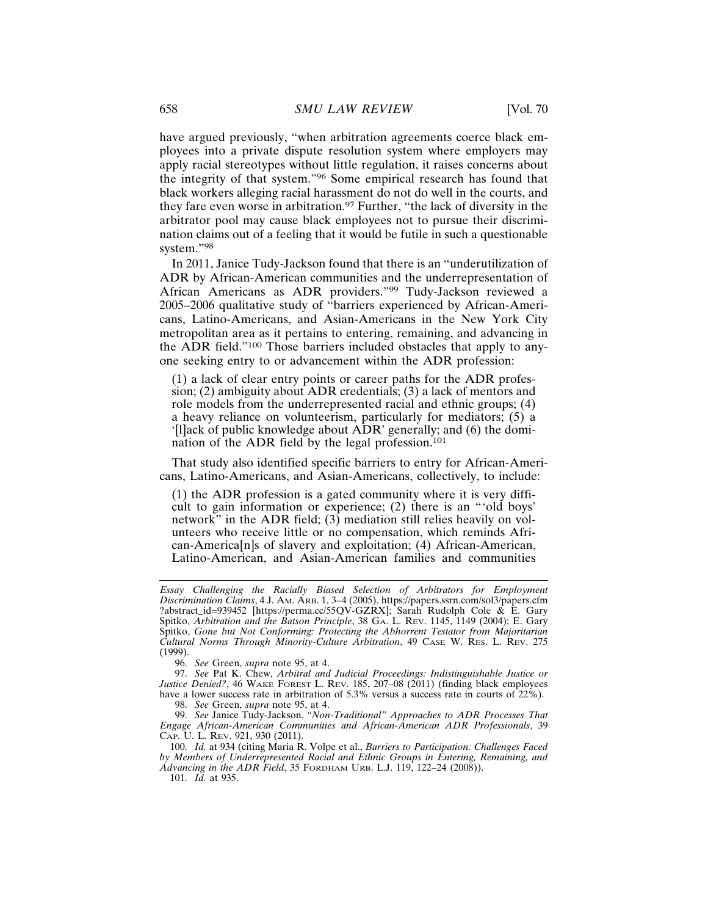have argued previously, "when arbitration agreements coerce black employees into a private dispute resolution system where employers may apply racial stereotypes without little regulation, it raises concerns about the integrity of that system."96 Some empirical research has found that black workers alleging racial harassment do not do well in the courts, and they fare even worse in arbitration.<sup>97</sup> Further, "the lack of diversity in the arbitrator pool may cause black employees not to pursue their discrimination claims out of a feeling that it would be futile in such a questionable system."<sup>98</sup>

In 2011, Janice Tudy-Jackson found that there is an "underutilization of ADR by African-American communities and the underrepresentation of African Americans as ADR providers."99 Tudy-Jackson reviewed a 2005–2006 qualitative study of "barriers experienced by African-Americans, Latino-Americans, and Asian-Americans in the New York City metropolitan area as it pertains to entering, remaining, and advancing in the ADR field."100 Those barriers included obstacles that apply to anyone seeking entry to or advancement within the ADR profession:

(1) a lack of clear entry points or career paths for the ADR profession; (2) ambiguity about ADR credentials; (3) a lack of mentors and role models from the underrepresented racial and ethnic groups; (4) a heavy reliance on volunteerism, particularly for mediators; (5) a '[l]ack of public knowledge about ADR' generally; and (6) the domination of the ADR field by the legal profession.<sup>101</sup>

That study also identified specific barriers to entry for African-Americans, Latino-Americans, and Asian-Americans, collectively, to include:

(1) the ADR profession is a gated community where it is very difficult to gain information or experience; (2) there is an "'old boys' network" in the ADR field;  $(3)$  mediation still relies heavily on volunteers who receive little or no compensation, which reminds African-America[n]s of slavery and exploitation; (4) African-American, Latino-American, and Asian-American families and communities

98. *See* Green, *supra* note 95, at 4.

99. *See* Janice Tudy-Jackson, *"Non-Traditional" Approaches to ADR Processes That Engage African-American Communities and African-American ADR Professionals*, 39 CAP. U. L. REV. 921, 930 (2011).

100. *Id.* at 934 (citing Maria R. Volpe et al., *Barriers to Participation: Challenges Faced by Members of Underrepresented Racial and Ethnic Groups in Entering, Remaining, and Advancing in the ADR Field*, 35 FORDHAM URB. L.J. 119, 122–24 (2008)).

101. *Id.* at 935.

*Essay Challenging the Racially Biased Selection of Arbitrators for Employment Discrimination Claims*, 4 J. AM. ARB. 1, 3–4 (2005), https://papers.ssrn.com/sol3/papers.cfm ?abstract\_id=939452 [https://perma.cc/55QV-GZRX]; Sarah Rudolph Cole & E. Gary Spitko, *Arbitration and the Batson Principle*, 38 GA. L. REV. 1145, 1149 (2004); E. Gary Spitko, *Gone but Not Conforming: Protecting the Abhorrent Testator from Majoritarian Cultural Norms Through Minority-Culture Arbitration*, 49 CASE W. RES. L. REV. 275 (1999).

<sup>96.</sup> *See* Green, *supra* note 95, at 4.

<sup>97.</sup> *See* Pat K. Chew, *Arbitral and Judicial Proceedings: Indistinguishable Justice or Justice Denied?*, 46 WAKE FOREST L. REV. 185, 207–08 (2011) (finding black employees have a lower success rate in arbitration of 5.3% versus a success rate in courts of 22%).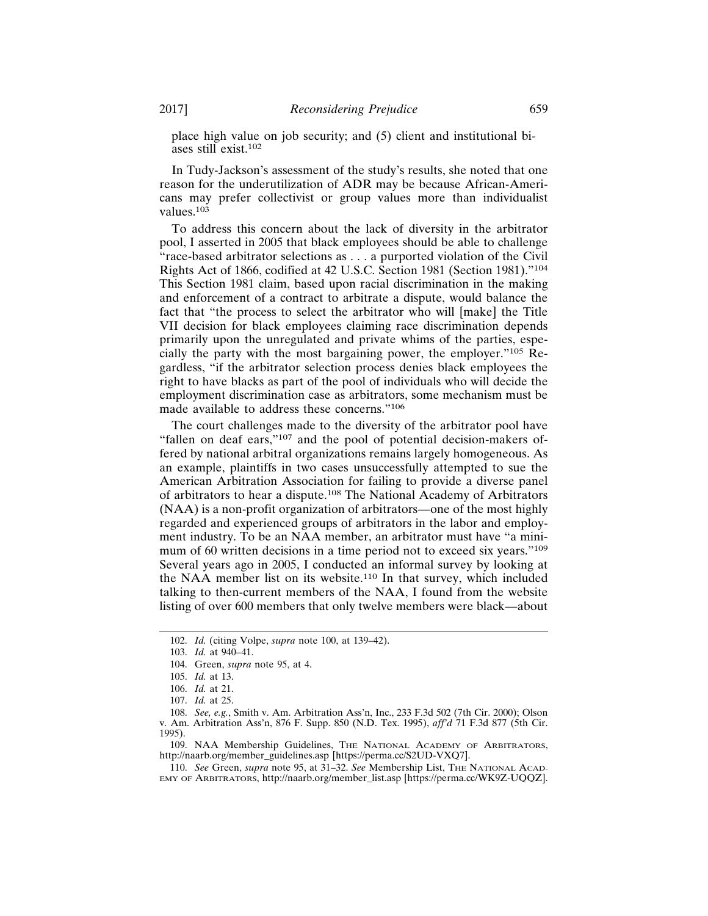place high value on job security; and (5) client and institutional biases still exist.<sup>102</sup>

In Tudy-Jackson's assessment of the study's results, she noted that one reason for the underutilization of ADR may be because African-Americans may prefer collectivist or group values more than individualist values.103

To address this concern about the lack of diversity in the arbitrator pool, I asserted in 2005 that black employees should be able to challenge "race-based arbitrator selections as . . . a purported violation of the Civil Rights Act of 1866, codified at 42 U.S.C. Section 1981 (Section 1981)."<sup>104</sup> This Section 1981 claim, based upon racial discrimination in the making and enforcement of a contract to arbitrate a dispute, would balance the fact that "the process to select the arbitrator who will [make] the Title VII decision for black employees claiming race discrimination depends primarily upon the unregulated and private whims of the parties, especially the party with the most bargaining power, the employer."105 Regardless, "if the arbitrator selection process denies black employees the right to have blacks as part of the pool of individuals who will decide the employment discrimination case as arbitrators, some mechanism must be made available to address these concerns."<sup>106</sup>

The court challenges made to the diversity of the arbitrator pool have "fallen on deaf ears,"<sup>107</sup> and the pool of potential decision-makers offered by national arbitral organizations remains largely homogeneous. As an example, plaintiffs in two cases unsuccessfully attempted to sue the American Arbitration Association for failing to provide a diverse panel of arbitrators to hear a dispute.108 The National Academy of Arbitrators (NAA) is a non-profit organization of arbitrators—one of the most highly regarded and experienced groups of arbitrators in the labor and employment industry. To be an NAA member, an arbitrator must have "a minimum of 60 written decisions in a time period not to exceed six years."<sup>109</sup> Several years ago in 2005, I conducted an informal survey by looking at the NAA member list on its website.110 In that survey, which included talking to then-current members of the NAA, I found from the website listing of over 600 members that only twelve members were black—about

109. NAA Membership Guidelines, THE NATIONAL ACADEMY OF ARBITRATORS, http://naarb.org/member\_guidelines.asp [https://perma.cc/S2UD-VXQ7].

110. *See* Green, *supra* note 95, at 31–32. *See* Membership List, THE NATIONAL ACAD-EMY OF ARBITRATORS, http://naarb.org/member\_list.asp [https://perma.cc/WK9Z-UQQZ].

<sup>102.</sup> *Id.* (citing Volpe, *supra* note 100, at 139–42).

<sup>103.</sup> *Id.* at 940–41.

<sup>104.</sup> Green, *supra* note 95, at 4.

<sup>105.</sup> *Id.* at 13.

<sup>106.</sup> *Id.* at 21.

<sup>107.</sup> *Id.* at 25.

<sup>108.</sup> *See, e.g.*, Smith v. Am. Arbitration Ass'n, Inc., 233 F.3d 502 (7th Cir. 2000); Olson v. Am. Arbitration Ass'n, 876 F. Supp. 850 (N.D. Tex. 1995), *aff'd* 71 F.3d 877 (5th Cir. 1995).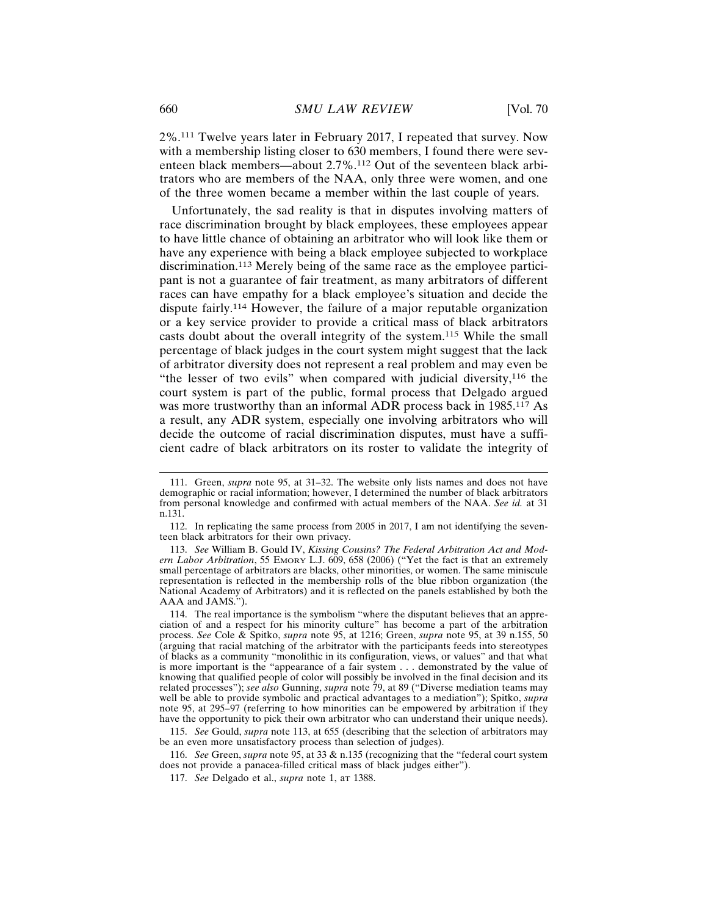2%.111 Twelve years later in February 2017, I repeated that survey. Now with a membership listing closer to 630 members, I found there were seventeen black members—about 2.7%.112 Out of the seventeen black arbitrators who are members of the NAA, only three were women, and one of the three women became a member within the last couple of years.

Unfortunately, the sad reality is that in disputes involving matters of race discrimination brought by black employees, these employees appear to have little chance of obtaining an arbitrator who will look like them or have any experience with being a black employee subjected to workplace discrimination.113 Merely being of the same race as the employee participant is not a guarantee of fair treatment, as many arbitrators of different races can have empathy for a black employee's situation and decide the dispute fairly.114 However, the failure of a major reputable organization or a key service provider to provide a critical mass of black arbitrators casts doubt about the overall integrity of the system.115 While the small percentage of black judges in the court system might suggest that the lack of arbitrator diversity does not represent a real problem and may even be "the lesser of two evils" when compared with judicial diversity,116 the court system is part of the public, formal process that Delgado argued was more trustworthy than an informal ADR process back in 1985.117 As a result, any ADR system, especially one involving arbitrators who will decide the outcome of racial discrimination disputes, must have a sufficient cadre of black arbitrators on its roster to validate the integrity of

<sup>111.</sup> Green, *supra* note 95, at 31–32. The website only lists names and does not have demographic or racial information; however, I determined the number of black arbitrators from personal knowledge and confirmed with actual members of the NAA. *See id.* at 31 n.131.

<sup>112.</sup> In replicating the same process from 2005 in 2017, I am not identifying the seventeen black arbitrators for their own privacy.

<sup>113.</sup> *See* William B. Gould IV, *Kissing Cousins? The Federal Arbitration Act and Modern Labor Arbitration*, 55 EMORY L.J. 609, 658 (2006) ("Yet the fact is that an extremely small percentage of arbitrators are blacks, other minorities, or women. The same miniscule representation is reflected in the membership rolls of the blue ribbon organization (the National Academy of Arbitrators) and it is reflected on the panels established by both the AAA and JAMS.").

<sup>114.</sup> The real importance is the symbolism "where the disputant believes that an appreciation of and a respect for his minority culture" has become a part of the arbitration process. *See* Cole & Spitko, *supra* note 95, at 1216; Green, *supra* note 95, at 39 n.155, 50 (arguing that racial matching of the arbitrator with the participants feeds into stereotypes of blacks as a community "monolithic in its configuration, views, or values" and that what is more important is the "appearance of a fair system . . . demonstrated by the value of knowing that qualified people of color will possibly be involved in the final decision and its related processes"); *see also* Gunning, *supra* note 79, at 89 ("Diverse mediation teams may well be able to provide symbolic and practical advantages to a mediation"); Spitko, *supra* note 95, at 295–97 (referring to how minorities can be empowered by arbitration if they have the opportunity to pick their own arbitrator who can understand their unique needs).

<sup>115.</sup> *See* Gould, *supra* note 113, at 655 (describing that the selection of arbitrators may be an even more unsatisfactory process than selection of judges).

<sup>116.</sup> *See* Green, *supra* note 95, at 33 & n.135 (recognizing that the "federal court system does not provide a panacea-filled critical mass of black judges either").

<sup>117.</sup> *See* Delgado et al., *supra* note 1, aT 1388.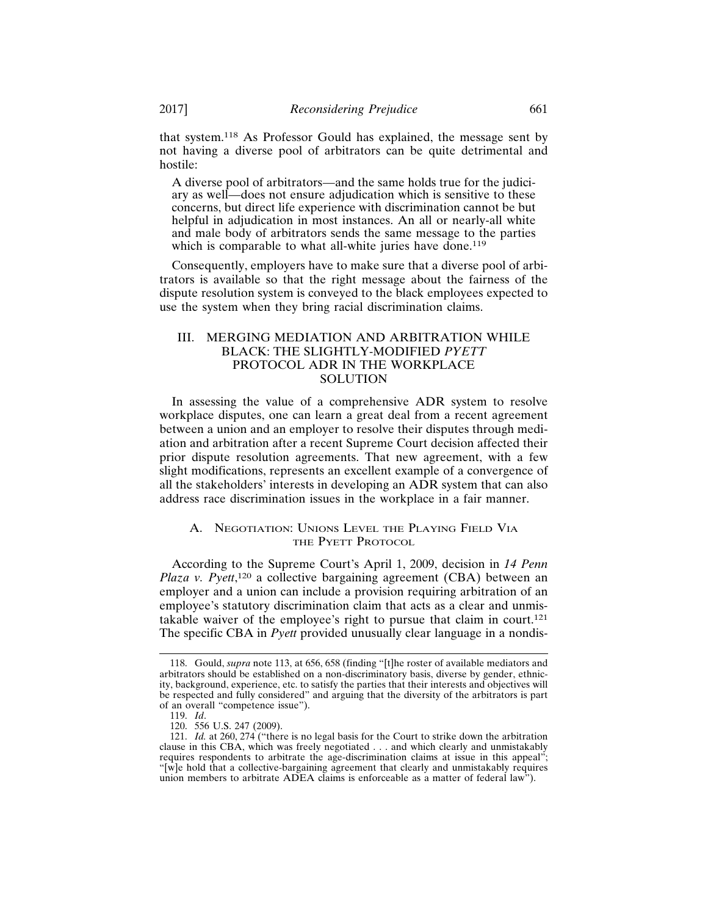that system.118 As Professor Gould has explained, the message sent by not having a diverse pool of arbitrators can be quite detrimental and hostile:

A diverse pool of arbitrators—and the same holds true for the judiciary as well—does not ensure adjudication which is sensitive to these concerns, but direct life experience with discrimination cannot be but helpful in adjudication in most instances. An all or nearly-all white and male body of arbitrators sends the same message to the parties which is comparable to what all-white juries have done.<sup>119</sup>

Consequently, employers have to make sure that a diverse pool of arbitrators is available so that the right message about the fairness of the dispute resolution system is conveyed to the black employees expected to use the system when they bring racial discrimination claims.

## III. MERGING MEDIATION AND ARBITRATION WHILE BLACK: THE SLIGHTLY-MODIFIED *PYETT* PROTOCOL ADR IN THE WORKPLACE SOLUTION

In assessing the value of a comprehensive ADR system to resolve workplace disputes, one can learn a great deal from a recent agreement between a union and an employer to resolve their disputes through mediation and arbitration after a recent Supreme Court decision affected their prior dispute resolution agreements. That new agreement, with a few slight modifications, represents an excellent example of a convergence of all the stakeholders' interests in developing an ADR system that can also address race discrimination issues in the workplace in a fair manner.

## A. NEGOTIATION: UNIONS LEVEL THE PLAYING FIELD VIA THE PYETT PROTOCOL

According to the Supreme Court's April 1, 2009, decision in *14 Penn* Plaza v. Pyett,<sup>120</sup> a collective bargaining agreement (CBA) between an employer and a union can include a provision requiring arbitration of an employee's statutory discrimination claim that acts as a clear and unmistakable waiver of the employee's right to pursue that claim in court.<sup>121</sup> The specific CBA in *Pyett* provided unusually clear language in a nondis-

<sup>118.</sup> Gould, *supra* note 113, at 656, 658 (finding "[t]he roster of available mediators and arbitrators should be established on a non-discriminatory basis, diverse by gender, ethnicity, background, experience, etc. to satisfy the parties that their interests and objectives will be respected and fully considered" and arguing that the diversity of the arbitrators is part of an overall "competence issue").

<sup>119.</sup> *Id*.

<sup>120. 556</sup> U.S. 247 (2009).

<sup>121.</sup> *Id.* at 260, 274 ("there is no legal basis for the Court to strike down the arbitration clause in this CBA, which was freely negotiated . . . and which clearly and unmistakably requires respondents to arbitrate the age-discrimination claims at issue in this appeal"; "[w]e hold that a collective-bargaining agreement that clearly and unmistakably requires union members to arbitrate ADEA claims is enforceable as a matter of federal law").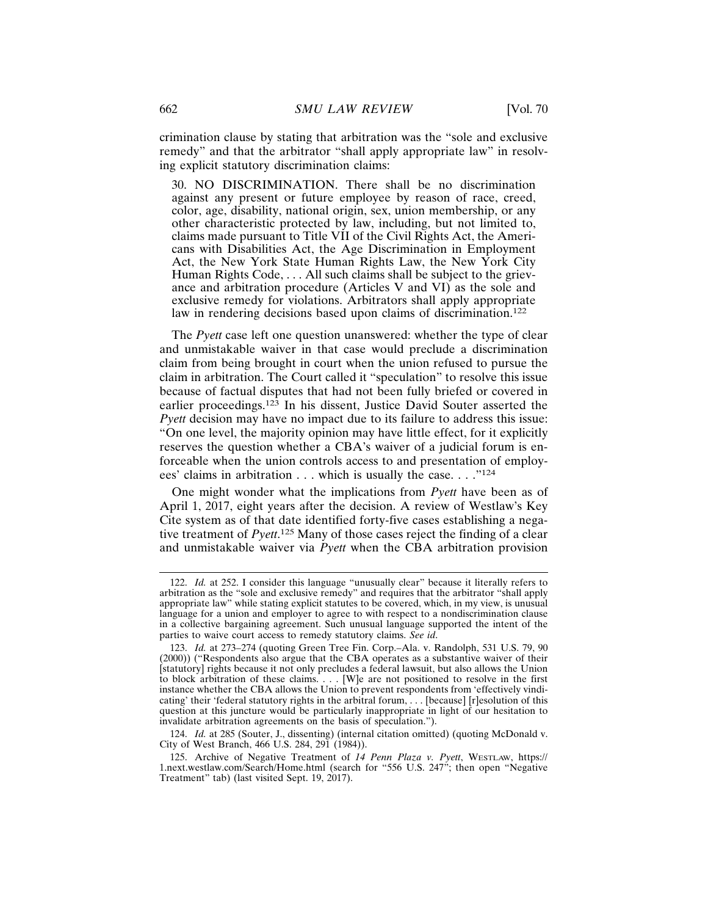crimination clause by stating that arbitration was the "sole and exclusive remedy" and that the arbitrator "shall apply appropriate law" in resolving explicit statutory discrimination claims:

30. NO DISCRIMINATION. There shall be no discrimination against any present or future employee by reason of race, creed, color, age, disability, national origin, sex, union membership, or any other characteristic protected by law, including, but not limited to, claims made pursuant to Title VII of the Civil Rights Act, the Americans with Disabilities Act, the Age Discrimination in Employment Act, the New York State Human Rights Law, the New York City Human Rights Code, . . . All such claims shall be subject to the grievance and arbitration procedure (Articles V and VI) as the sole and exclusive remedy for violations. Arbitrators shall apply appropriate law in rendering decisions based upon claims of discrimination.<sup>122</sup>

The *Pyett* case left one question unanswered: whether the type of clear and unmistakable waiver in that case would preclude a discrimination claim from being brought in court when the union refused to pursue the claim in arbitration. The Court called it "speculation" to resolve this issue because of factual disputes that had not been fully briefed or covered in earlier proceedings.123 In his dissent, Justice David Souter asserted the *Pyett* decision may have no impact due to its failure to address this issue: "On one level, the majority opinion may have little effect, for it explicitly reserves the question whether a CBA's waiver of a judicial forum is enforceable when the union controls access to and presentation of employees' claims in arbitration . . . which is usually the case. . . ."<sup>124</sup>

One might wonder what the implications from *Pyett* have been as of April 1, 2017, eight years after the decision. A review of Westlaw's Key Cite system as of that date identified forty-five cases establishing a negative treatment of *Pyett*. 125 Many of those cases reject the finding of a clear and unmistakable waiver via *Pyett* when the CBA arbitration provision

124. *Id.* at 285 (Souter, J., dissenting) (internal citation omitted) (quoting McDonald v. City of West Branch, 466 U.S. 284, 291 (1984)).

<sup>122.</sup> *Id.* at 252. I consider this language "unusually clear" because it literally refers to arbitration as the "sole and exclusive remedy" and requires that the arbitrator "shall apply appropriate law" while stating explicit statutes to be covered, which, in my view, is unusual language for a union and employer to agree to with respect to a nondiscrimination clause in a collective bargaining agreement. Such unusual language supported the intent of the parties to waive court access to remedy statutory claims. *See id*.

<sup>123.</sup> *Id.* at 273–274 (quoting Green Tree Fin. Corp.–Ala. v. Randolph, 531 U.S. 79, 90 (2000)) ("Respondents also argue that the CBA operates as a substantive waiver of their [statutory] rights because it not only precludes a federal lawsuit, but also allows the Union to block arbitration of these claims. . . . [W]e are not positioned to resolve in the first instance whether the CBA allows the Union to prevent respondents from 'effectively vindicating' their 'federal statutory rights in the arbitral forum, . . . [because] [r]esolution of this question at this juncture would be particularly inappropriate in light of our hesitation to invalidate arbitration agreements on the basis of speculation.").

<sup>125.</sup> Archive of Negative Treatment of *14 Penn Plaza v. Pyett*, WESTLAW, https:// 1.next.westlaw.com/Search/Home.html (search for "556 U.S. 247"; then open "Negative Treatment" tab) (last visited Sept. 19, 2017).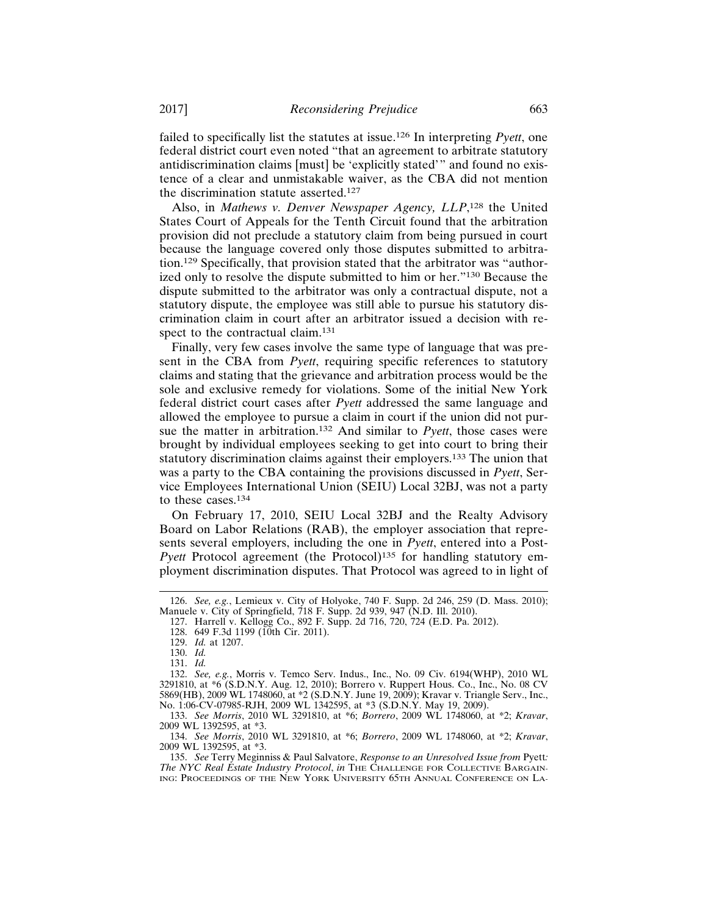failed to specifically list the statutes at issue.126 In interpreting *Pyett*, one federal district court even noted "that an agreement to arbitrate statutory antidiscrimination claims [must] be 'explicitly stated'" and found no existence of a clear and unmistakable waiver, as the CBA did not mention the discrimination statute asserted.<sup>127</sup>

Also, in Mathews v. Denver Newspaper Agency, LLP,<sup>128</sup> the United States Court of Appeals for the Tenth Circuit found that the arbitration provision did not preclude a statutory claim from being pursued in court because the language covered only those disputes submitted to arbitration.129 Specifically, that provision stated that the arbitrator was "authorized only to resolve the dispute submitted to him or her."130 Because the dispute submitted to the arbitrator was only a contractual dispute, not a statutory dispute, the employee was still able to pursue his statutory discrimination claim in court after an arbitrator issued a decision with respect to the contractual claim.<sup>131</sup>

Finally, very few cases involve the same type of language that was present in the CBA from *Pyett*, requiring specific references to statutory claims and stating that the grievance and arbitration process would be the sole and exclusive remedy for violations. Some of the initial New York federal district court cases after *Pyett* addressed the same language and allowed the employee to pursue a claim in court if the union did not pursue the matter in arbitration.132 And similar to *Pyett*, those cases were brought by individual employees seeking to get into court to bring their statutory discrimination claims against their employers.<sup>133</sup> The union that was a party to the CBA containing the provisions discussed in *Pyett*, Service Employees International Union (SEIU) Local 32BJ, was not a party to these cases.<sup>134</sup>

On February 17, 2010, SEIU Local 32BJ and the Realty Advisory Board on Labor Relations (RAB), the employer association that represents several employers, including the one in *Pyett*, entered into a Post-*Pyett* Protocol agreement (the Protocol)<sup>135</sup> for handling statutory employment discrimination disputes. That Protocol was agreed to in light of

<sup>126.</sup> *See, e.g.*, Lemieux v. City of Holyoke, 740 F. Supp. 2d 246, 259 (D. Mass. 2010); Manuele v. City of Springfield, 718 F. Supp. 2d 939, 947 (N.D. Ill. 2010).

<sup>127.</sup> Harrell v. Kellogg Co., 892 F. Supp. 2d 716, 720, 724 (E.D. Pa. 2012). 128. 649 F.3d 1199 (10th Cir. 2011).

<sup>129.</sup> *Id.* at 1207.

<sup>130.</sup> *Id.* 131. *Id.*

<sup>132.</sup> *See, e.g.*, Morris v. Temco Serv. Indus., Inc., No. 09 Civ. 6194(WHP), 2010 WL 3291810, at \*6 (S.D.N.Y. Aug. 12, 2010); Borrero v. Ruppert Hous. Co., Inc., No. 08 CV 5869(HB), 2009 WL 1748060, at \*2 (S.D.N.Y. June 19, 2009); Kravar v. Triangle Serv., Inc.,

No. 1:06-CV-07985-RJH, 2009 WL 1342595, at \*3 (S.D.N.Y. May 19, 2009). 133. *See Morris*, 2010 WL 3291810, at \*6; *Borrero*, 2009 WL 1748060, at \*2; *Kravar*, 2009 WL 1392595, at \*3.

<sup>134.</sup> *See Morris*, 2010 WL 3291810, at \*6; *Borrero*, 2009 WL 1748060, at \*2; *Kravar*, 2009 WL 1392595, at \*3.

<sup>135.</sup> *See* Terry Meginniss & Paul Salvatore, *Response to an Unresolved Issue from* Pyett*: The NYC Real Estate Industry Protocol*, *in* THE CHALLENGE FOR COLLECTIVE BARGAIN-ING: PROCEEDINGS OF THE NEW YORK UNIVERSITY 65TH ANNUAL CONFERENCE ON LA-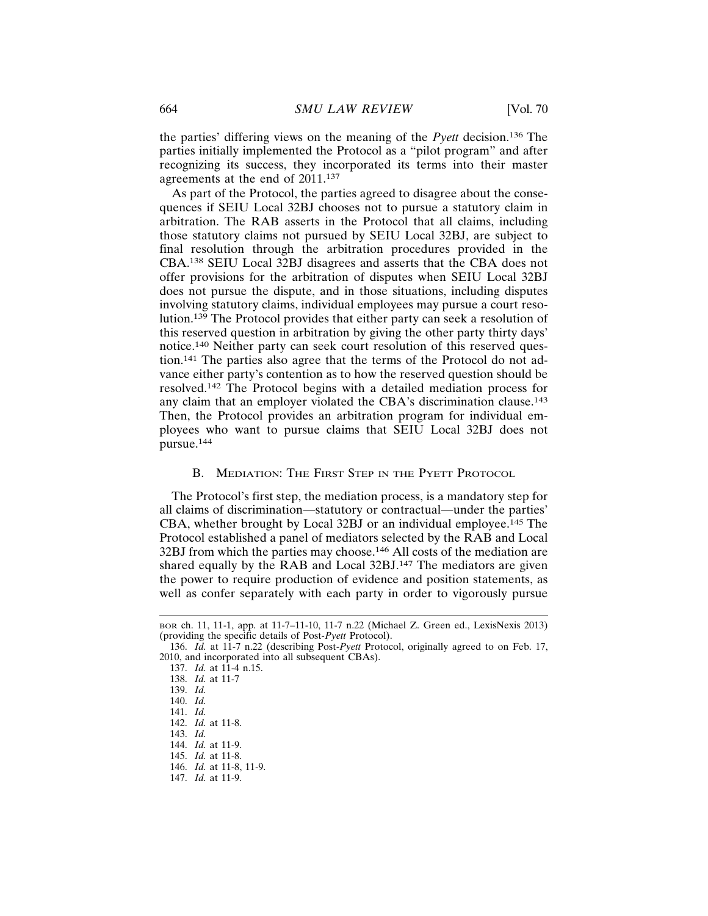the parties' differing views on the meaning of the *Pyett* decision.136 The parties initially implemented the Protocol as a "pilot program" and after recognizing its success, they incorporated its terms into their master agreements at the end of 2011.<sup>137</sup>

As part of the Protocol, the parties agreed to disagree about the consequences if SEIU Local 32BJ chooses not to pursue a statutory claim in arbitration. The RAB asserts in the Protocol that all claims, including those statutory claims not pursued by SEIU Local 32BJ, are subject to final resolution through the arbitration procedures provided in the CBA.138 SEIU Local 32BJ disagrees and asserts that the CBA does not offer provisions for the arbitration of disputes when SEIU Local 32BJ does not pursue the dispute, and in those situations, including disputes involving statutory claims, individual employees may pursue a court resolution.139 The Protocol provides that either party can seek a resolution of this reserved question in arbitration by giving the other party thirty days' notice.140 Neither party can seek court resolution of this reserved question.141 The parties also agree that the terms of the Protocol do not advance either party's contention as to how the reserved question should be resolved.142 The Protocol begins with a detailed mediation process for any claim that an employer violated the CBA's discrimination clause.<sup>143</sup> Then, the Protocol provides an arbitration program for individual employees who want to pursue claims that SEIU Local 32BJ does not pursue.<sup>144</sup>

## B. MEDIATION: THE FIRST STEP IN THE PYETT PROTOCOL

The Protocol's first step, the mediation process, is a mandatory step for all claims of discrimination—statutory or contractual—under the parties' CBA, whether brought by Local 32BJ or an individual employee.<sup>145</sup> The Protocol established a panel of mediators selected by the RAB and Local 32BJ from which the parties may choose.146 All costs of the mediation are shared equally by the RAB and Local 32BJ.147 The mediators are given the power to require production of evidence and position statements, as well as confer separately with each party in order to vigorously pursue

143. *Id.*

BOR ch. 11, 11-1, app. at 11-7–11-10, 11-7 n.22 (Michael Z. Green ed., LexisNexis 2013) (providing the specific details of Post-*Pyett* Protocol).

<sup>136.</sup> *Id.* at 11-7 n.22 (describing Post-*Pyett* Protocol, originally agreed to on Feb. 17, 2010, and incorporated into all subsequent CBAs).

<sup>137.</sup> *Id.* at 11-4 n.15.

<sup>138.</sup> *Id.* at 11-7

<sup>139.</sup> *Id.*

<sup>140.</sup> *Id.*

<sup>141.</sup> *Id.*

<sup>142.</sup> *Id.* at 11-8.

<sup>144.</sup> *Id.* at 11-9.

<sup>145.</sup> *Id.* at 11-8.

<sup>146.</sup> *Id.* at 11-8, 11-9.

<sup>147.</sup> *Id.* at 11-9.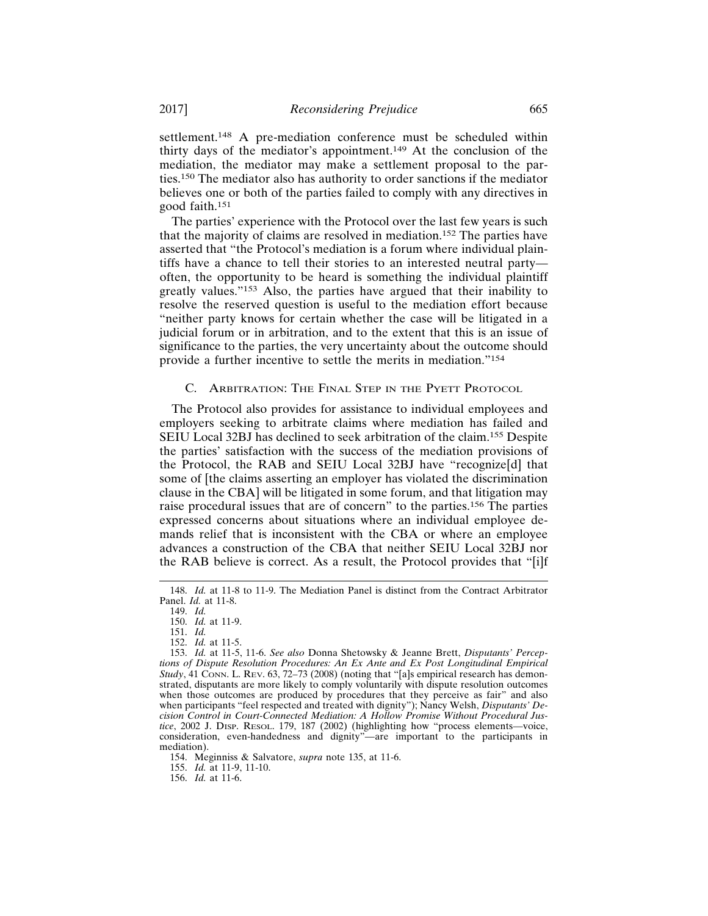settlement.<sup>148</sup> A pre-mediation conference must be scheduled within thirty days of the mediator's appointment.149 At the conclusion of the mediation, the mediator may make a settlement proposal to the parties.150 The mediator also has authority to order sanctions if the mediator believes one or both of the parties failed to comply with any directives in good faith.<sup>151</sup>

The parties' experience with the Protocol over the last few years is such that the majority of claims are resolved in mediation.152 The parties have asserted that "the Protocol's mediation is a forum where individual plaintiffs have a chance to tell their stories to an interested neutral party often, the opportunity to be heard is something the individual plaintiff greatly values."153 Also, the parties have argued that their inability to resolve the reserved question is useful to the mediation effort because "neither party knows for certain whether the case will be litigated in a judicial forum or in arbitration, and to the extent that this is an issue of significance to the parties, the very uncertainty about the outcome should provide a further incentive to settle the merits in mediation."<sup>154</sup>

## C. ARBITRATION: THE FINAL STEP IN THE PYETT PROTOCOL

The Protocol also provides for assistance to individual employees and employers seeking to arbitrate claims where mediation has failed and SEIU Local 32BJ has declined to seek arbitration of the claim.155 Despite the parties' satisfaction with the success of the mediation provisions of the Protocol, the RAB and SEIU Local 32BJ have "recognize[d] that some of [the claims asserting an employer has violated the discrimination clause in the CBA] will be litigated in some forum, and that litigation may raise procedural issues that are of concern" to the parties.156 The parties expressed concerns about situations where an individual employee demands relief that is inconsistent with the CBA or where an employee advances a construction of the CBA that neither SEIU Local 32BJ nor the RAB believe is correct. As a result, the Protocol provides that "[i]f

154. Meginniss & Salvatore, *supra* note 135, at 11-6.

155. *Id.* at 11-9, 11-10.

156. *Id.* at 11-6.

<sup>148.</sup> *Id.* at 11-8 to 11-9. The Mediation Panel is distinct from the Contract Arbitrator Panel. *Id.* at 11-8.

<sup>149.</sup> *Id.*

<sup>150.</sup> *Id.* at 11-9.

<sup>151.</sup> *Id.*

<sup>152.</sup> *Id.* at 11-5.

<sup>153.</sup> *Id.* at 11-5, 11-6. *See also* Donna Shetowsky & Jeanne Brett, *Disputants' Perceptions of Dispute Resolution Procedures: An Ex Ante and Ex Post Longitudinal Empirical Study*, 41 CONN. L. REV. 63, 72–73 (2008) (noting that "[a]s empirical research has demonstrated, disputants are more likely to comply voluntarily with dispute resolution outcomes when those outcomes are produced by procedures that they perceive as fair" and also when participants "feel respected and treated with dignity"); Nancy Welsh, *Disputants' Decision Control in Court-Connected Mediation: A Hollow Promise Without Procedural Justice*, 2002 J. DISP. RESOL. 179, 187 (2002) (highlighting how "process elements—voice, consideration, even-handedness and dignity"—are important to the participants in mediation).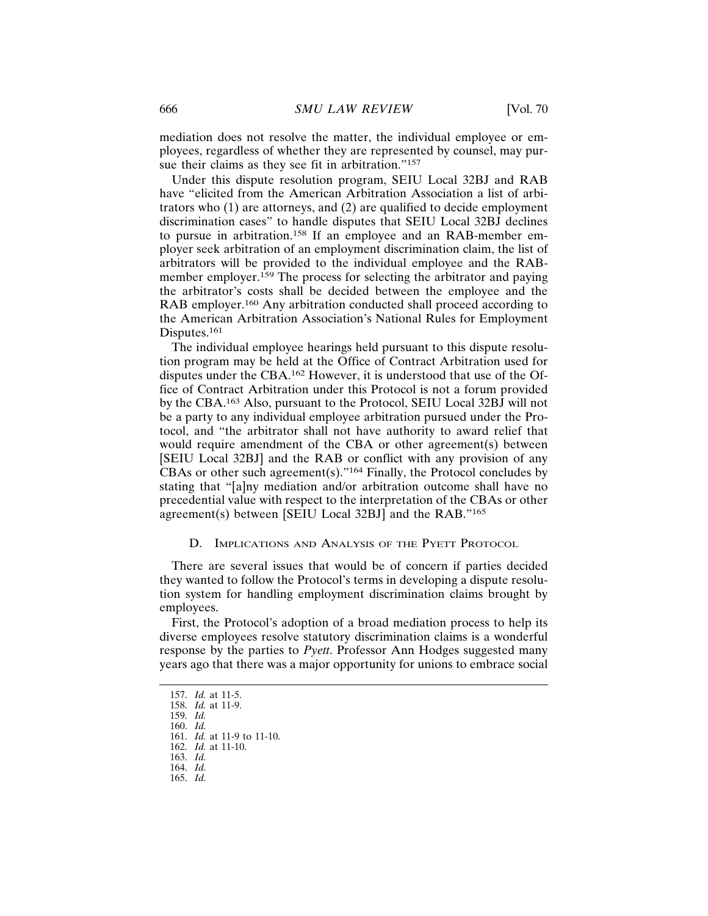mediation does not resolve the matter, the individual employee or employees, regardless of whether they are represented by counsel, may pursue their claims as they see fit in arbitration."<sup>157</sup>

Under this dispute resolution program, SEIU Local 32BJ and RAB have "elicited from the American Arbitration Association a list of arbitrators who (1) are attorneys, and (2) are qualified to decide employment discrimination cases" to handle disputes that SEIU Local 32BJ declines to pursue in arbitration.158 If an employee and an RAB-member employer seek arbitration of an employment discrimination claim, the list of arbitrators will be provided to the individual employee and the RABmember employer.<sup>159</sup> The process for selecting the arbitrator and paying the arbitrator's costs shall be decided between the employee and the RAB employer.<sup>160</sup> Any arbitration conducted shall proceed according to the American Arbitration Association's National Rules for Employment Disputes.<sup>161</sup>

The individual employee hearings held pursuant to this dispute resolution program may be held at the Office of Contract Arbitration used for disputes under the CBA.162 However, it is understood that use of the Office of Contract Arbitration under this Protocol is not a forum provided by the CBA.163 Also, pursuant to the Protocol, SEIU Local 32BJ will not be a party to any individual employee arbitration pursued under the Protocol, and "the arbitrator shall not have authority to award relief that would require amendment of the CBA or other agreement(s) between [SEIU Local 32BJ] and the RAB or conflict with any provision of any CBAs or other such agreement(s)."164 Finally, the Protocol concludes by stating that "[a]ny mediation and/or arbitration outcome shall have no precedential value with respect to the interpretation of the CBAs or other agreement(s) between [SEIU Local 32BJ] and the RAB."<sup>165</sup>

#### D. IMPLICATIONS AND ANALYSIS OF THE PYETT PROTOCOL

There are several issues that would be of concern if parties decided they wanted to follow the Protocol's terms in developing a dispute resolution system for handling employment discrimination claims brought by employees.

First, the Protocol's adoption of a broad mediation process to help its diverse employees resolve statutory discrimination claims is a wonderful response by the parties to *Pyett*. Professor Ann Hodges suggested many years ago that there was a major opportunity for unions to embrace social

159. *Id.*

<sup>157.</sup> *Id.* at 11-5.

<sup>158.</sup> *Id.* at 11-9.

<sup>160.</sup> *Id.*

<sup>161.</sup> *Id.* at 11-9 to 11-10.

<sup>162.</sup> *Id.* at 11-10. 163. *Id.*

<sup>164.</sup> *Id.*

<sup>165.</sup> *Id.*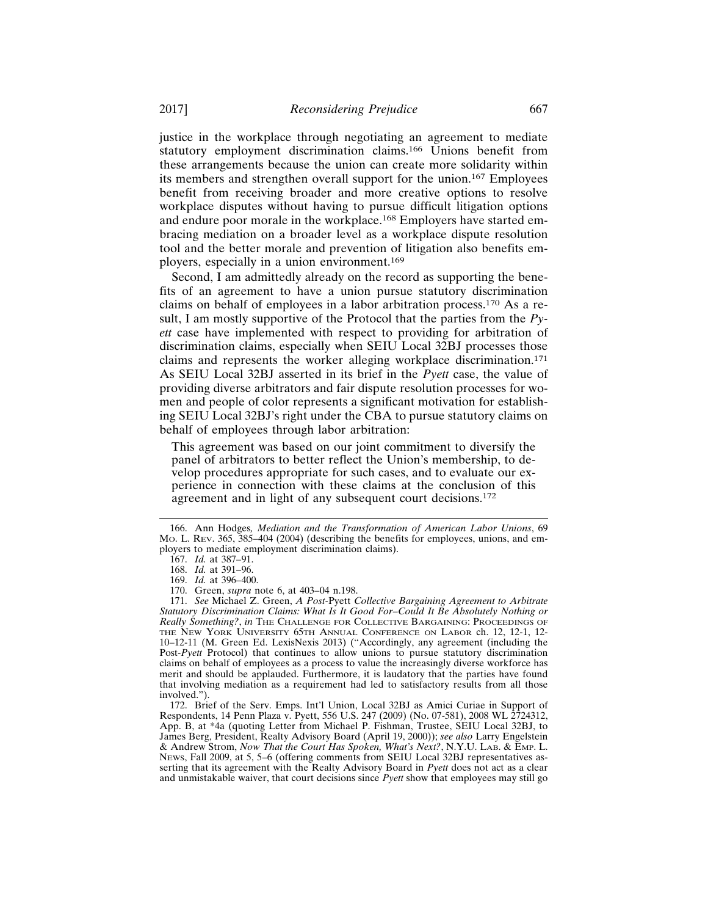justice in the workplace through negotiating an agreement to mediate statutory employment discrimination claims.166 Unions benefit from these arrangements because the union can create more solidarity within its members and strengthen overall support for the union.167 Employees benefit from receiving broader and more creative options to resolve workplace disputes without having to pursue difficult litigation options and endure poor morale in the workplace.168 Employers have started embracing mediation on a broader level as a workplace dispute resolution tool and the better morale and prevention of litigation also benefits employers, especially in a union environment.<sup>169</sup>

Second, I am admittedly already on the record as supporting the benefits of an agreement to have a union pursue statutory discrimination claims on behalf of employees in a labor arbitration process.170 As a result, I am mostly supportive of the Protocol that the parties from the *Pyett* case have implemented with respect to providing for arbitration of discrimination claims, especially when SEIU Local 32BJ processes those claims and represents the worker alleging workplace discrimination.<sup>171</sup> As SEIU Local 32BJ asserted in its brief in the *Pyett* case, the value of providing diverse arbitrators and fair dispute resolution processes for women and people of color represents a significant motivation for establishing SEIU Local 32BJ's right under the CBA to pursue statutory claims on behalf of employees through labor arbitration:

This agreement was based on our joint commitment to diversify the panel of arbitrators to better reflect the Union's membership, to develop procedures appropriate for such cases, and to evaluate our experience in connection with these claims at the conclusion of this agreement and in light of any subsequent court decisions.<sup>172</sup>

<sup>166.</sup> Ann Hodges*, Mediation and the Transformation of American Labor Unions*, 69 MO. L. REV. 365, 385–404 (2004) (describing the benefits for employees, unions, and employers to mediate employment discrimination claims).

<sup>167.</sup> *Id.* at 387–91.

<sup>168.</sup> *Id.* at 391–96.

<sup>169.</sup> *Id.* at 396–400.

<sup>170.</sup> Green, *supra* note 6, at 403–04 n.198.

<sup>171.</sup> *See* Michael Z. Green, *A Post-*Pyett *Collective Bargaining Agreement to Arbitrate Statutory Discrimination Claims: What Is It Good For–Could It Be Absolutely Nothing or Really Something?*, *in* THE CHALLENGE FOR COLLECTIVE BARGAINING: PROCEEDINGS OF THE NEW YORK UNIVERSITY 65TH ANNUAL CONFERENCE ON LABOR ch. 12, 12-1, 12- 10–12-11 (M. Green Ed. LexisNexis 2013) ("Accordingly, any agreement (including the Post-*Pyett* Protocol) that continues to allow unions to pursue statutory discrimination claims on behalf of employees as a process to value the increasingly diverse workforce has merit and should be applauded. Furthermore, it is laudatory that the parties have found that involving mediation as a requirement had led to satisfactory results from all those involved.").

<sup>172.</sup> Brief of the Serv. Emps. Int'l Union, Local 32BJ as Amici Curiae in Support of Respondents, 14 Penn Plaza v. Pyett, 556 U.S. 247 (2009) (No. 07-581), 2008 WL 2724312, App. B, at \*4a (quoting Letter from Michael P. Fishman, Trustee, SEIU Local 32BJ, to James Berg, President, Realty Advisory Board (April 19, 2000)); *see also* Larry Engelstein & Andrew Strom, *Now That the Court Has Spoken, What's Next?*, N.Y.U. LAB. & EMP. L. NEWS, Fall 2009, at 5, 5–6 (offering comments from SEIU Local 32BJ representatives asserting that its agreement with the Realty Advisory Board in *Pyett* does not act as a clear and unmistakable waiver, that court decisions since *Pyett* show that employees may still go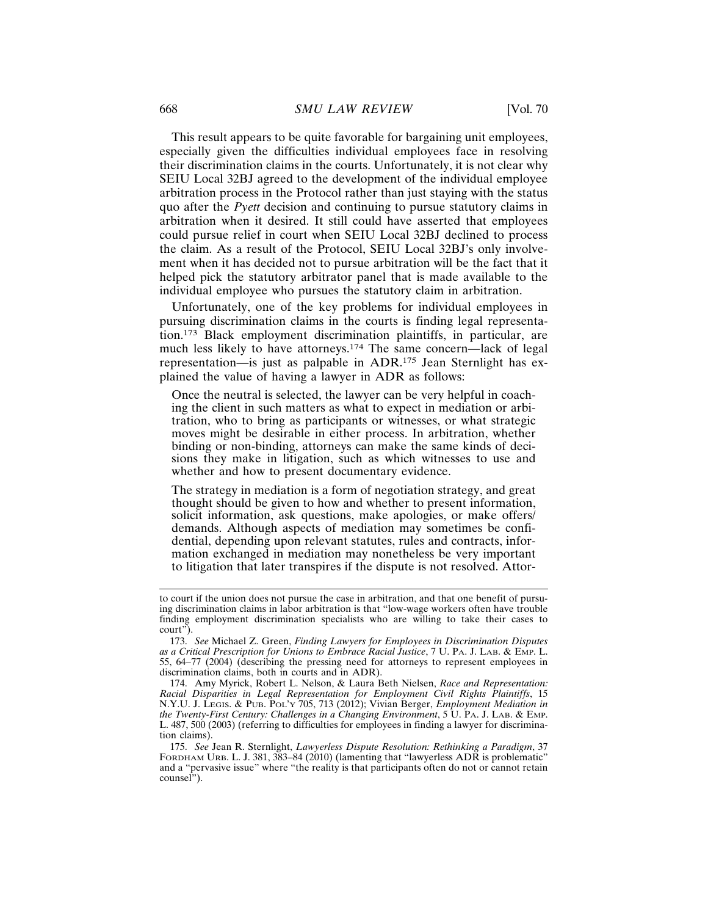This result appears to be quite favorable for bargaining unit employees, especially given the difficulties individual employees face in resolving their discrimination claims in the courts. Unfortunately, it is not clear why SEIU Local 32BJ agreed to the development of the individual employee arbitration process in the Protocol rather than just staying with the status quo after the *Pyett* decision and continuing to pursue statutory claims in arbitration when it desired. It still could have asserted that employees could pursue relief in court when SEIU Local 32BJ declined to process the claim. As a result of the Protocol, SEIU Local 32BJ's only involvement when it has decided not to pursue arbitration will be the fact that it helped pick the statutory arbitrator panel that is made available to the individual employee who pursues the statutory claim in arbitration.

Unfortunately, one of the key problems for individual employees in pursuing discrimination claims in the courts is finding legal representation.173 Black employment discrimination plaintiffs, in particular, are much less likely to have attorneys.174 The same concern—lack of legal representation—is just as palpable in ADR.175 Jean Sternlight has explained the value of having a lawyer in ADR as follows:

Once the neutral is selected, the lawyer can be very helpful in coaching the client in such matters as what to expect in mediation or arbitration, who to bring as participants or witnesses, or what strategic moves might be desirable in either process. In arbitration, whether binding or non-binding, attorneys can make the same kinds of decisions they make in litigation, such as which witnesses to use and whether and how to present documentary evidence.

The strategy in mediation is a form of negotiation strategy, and great thought should be given to how and whether to present information, solicit information, ask questions, make apologies, or make offers/ demands. Although aspects of mediation may sometimes be confidential, depending upon relevant statutes, rules and contracts, information exchanged in mediation may nonetheless be very important to litigation that later transpires if the dispute is not resolved. Attor-

to court if the union does not pursue the case in arbitration, and that one benefit of pursuing discrimination claims in labor arbitration is that "low-wage workers often have trouble finding employment discrimination specialists who are willing to take their cases to court").

<sup>173.</sup> *See* Michael Z. Green, *Finding Lawyers for Employees in Discrimination Disputes as a Critical Prescription for Unions to Embrace Racial Justice*, 7 U. PA. J. LAB. & EMP. L. 55, 64–77 (2004) (describing the pressing need for attorneys to represent employees in discrimination claims, both in courts and in ADR).

<sup>174.</sup> Amy Myrick, Robert L. Nelson, & Laura Beth Nielsen, *Race and Representation: Racial Disparities in Legal Representation for Employment Civil Rights Plaintiffs*, 15 N.Y.U. J. LEGIS. & PUB. POL'Y 705, 713 (2012); Vivian Berger, *Employment Mediation in the Twenty-First Century: Challenges in a Changing Environment*, 5 U. PA. J. LAB. & EMP. L. 487, 500 (2003) (referring to difficulties for employees in finding a lawyer for discrimination claims).

<sup>175.</sup> *See* Jean R. Sternlight, *Lawyerless Dispute Resolution: Rethinking a Paradigm*, 37 FORDHAM URB. L. J. 381, 383–84 (2010) (lamenting that "lawyerless ADR is problematic" and a "pervasive issue" where "the reality is that participants often do not or cannot retain counsel").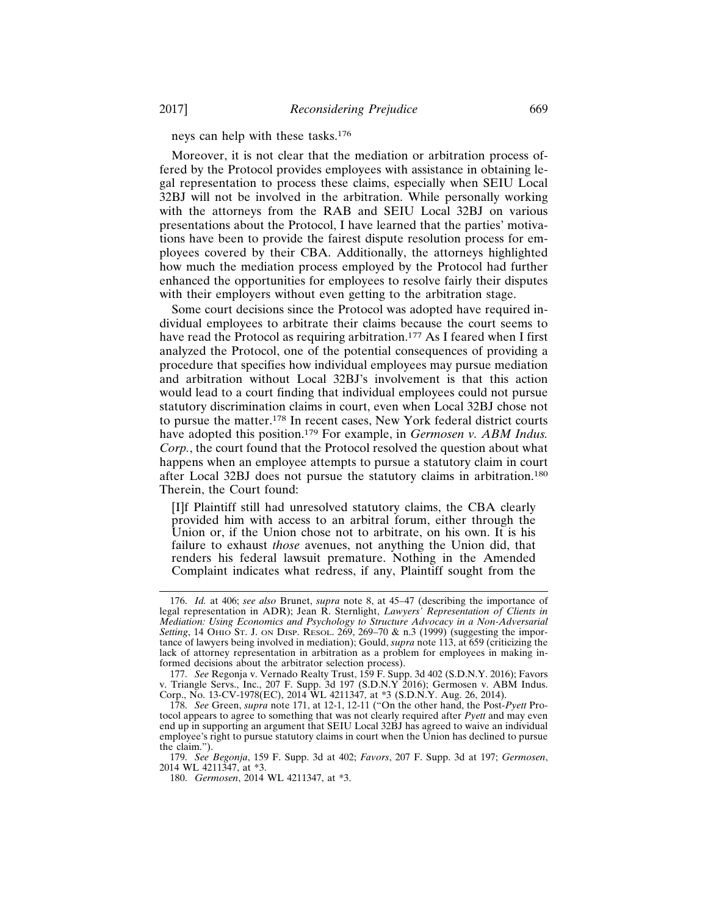neys can help with these tasks.<sup>176</sup>

Moreover, it is not clear that the mediation or arbitration process offered by the Protocol provides employees with assistance in obtaining legal representation to process these claims, especially when SEIU Local 32BJ will not be involved in the arbitration. While personally working with the attorneys from the RAB and SEIU Local 32BJ on various presentations about the Protocol, I have learned that the parties' motivations have been to provide the fairest dispute resolution process for employees covered by their CBA. Additionally, the attorneys highlighted how much the mediation process employed by the Protocol had further enhanced the opportunities for employees to resolve fairly their disputes with their employers without even getting to the arbitration stage.

Some court decisions since the Protocol was adopted have required individual employees to arbitrate their claims because the court seems to have read the Protocol as requiring arbitration.<sup>177</sup> As I feared when I first analyzed the Protocol, one of the potential consequences of providing a procedure that specifies how individual employees may pursue mediation and arbitration without Local 32BJ's involvement is that this action would lead to a court finding that individual employees could not pursue statutory discrimination claims in court, even when Local 32BJ chose not to pursue the matter.178 In recent cases, New York federal district courts have adopted this position.179 For example, in *Germosen v. ABM Indus. Corp.*, the court found that the Protocol resolved the question about what happens when an employee attempts to pursue a statutory claim in court after Local 32BJ does not pursue the statutory claims in arbitration.<sup>180</sup> Therein, the Court found:

[I]f Plaintiff still had unresolved statutory claims, the CBA clearly provided him with access to an arbitral forum, either through the Union or, if the Union chose not to arbitrate, on his own. It is his failure to exhaust *those* avenues, not anything the Union did, that renders his federal lawsuit premature. Nothing in the Amended Complaint indicates what redress, if any, Plaintiff sought from the

<sup>176.</sup> *Id.* at 406; *see also* Brunet, *supra* note 8, at 45–47 (describing the importance of legal representation in ADR); Jean R. Sternlight, *Lawyers' Representation of Clients in Mediation: Using Economics and Psychology to Structure Advocacy in a Non-Adversarial Setting*, 14 OHIO ST. J. ON DISP. RESOL. 269, 269–70 & n.3 (1999) (suggesting the importance of lawyers being involved in mediation); Gould, *supra* note 113, at 659 (criticizing the lack of attorney representation in arbitration as a problem for employees in making informed decisions about the arbitrator selection process).

<sup>177.</sup> *See* Regonja v. Vernado Realty Trust, 159 F. Supp. 3d 402 (S.D.N.Y. 2016); Favors v. Triangle Servs., Inc., 207 F. Supp. 3d 197 (S.D.N.Y 2016); Germosen v. ABM Indus. Corp., No. 13-CV-1978(EC), 2014 WL 4211347, at \*3 (S.D.N.Y. Aug. 26, 2014).

<sup>178.</sup> *See* Green, *supra* note 171, at 12-1, 12-11 ("On the other hand, the Post-*Pyett* Protocol appears to agree to something that was not clearly required after *Pyett* and may even end up in supporting an argument that SEIU Local 32BJ has agreed to waive an individual employee's right to pursue statutory claims in court when the Union has declined to pursue the claim.").

<sup>179.</sup> *See Begonja*, 159 F. Supp. 3d at 402; *Favors*, 207 F. Supp. 3d at 197; *Germosen*, 2014 WL 4211347, at \*3.

<sup>180.</sup> *Germosen*, 2014 WL 4211347, at \*3.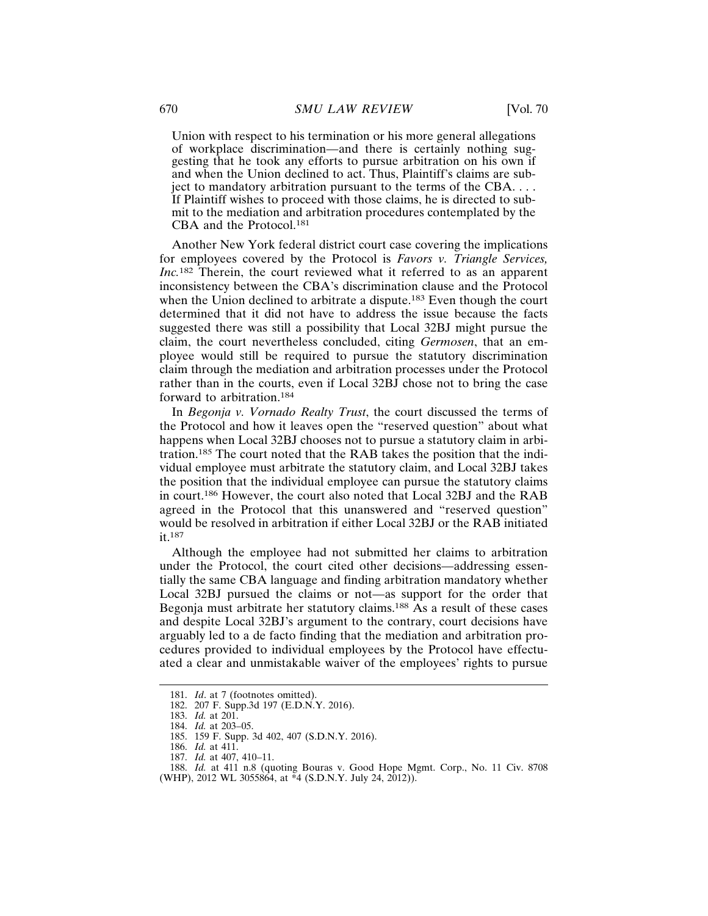Union with respect to his termination or his more general allegations of workplace discrimination—and there is certainly nothing suggesting that he took any efforts to pursue arbitration on his own if and when the Union declined to act. Thus, Plaintiff's claims are subject to mandatory arbitration pursuant to the terms of the CBA. . . . If Plaintiff wishes to proceed with those claims, he is directed to submit to the mediation and arbitration procedures contemplated by the CBA and the Protocol.<sup>181</sup>

Another New York federal district court case covering the implications for employees covered by the Protocol is *Favors v. Triangle Services, Inc.*182 Therein, the court reviewed what it referred to as an apparent inconsistency between the CBA's discrimination clause and the Protocol when the Union declined to arbitrate a dispute.<sup>183</sup> Even though the court determined that it did not have to address the issue because the facts suggested there was still a possibility that Local 32BJ might pursue the claim, the court nevertheless concluded, citing *Germosen*, that an employee would still be required to pursue the statutory discrimination claim through the mediation and arbitration processes under the Protocol rather than in the courts, even if Local 32BJ chose not to bring the case forward to arbitration.<sup>184</sup>

In *Begonja v. Vornado Realty Trust*, the court discussed the terms of the Protocol and how it leaves open the "reserved question" about what happens when Local 32BJ chooses not to pursue a statutory claim in arbitration.185 The court noted that the RAB takes the position that the individual employee must arbitrate the statutory claim, and Local 32BJ takes the position that the individual employee can pursue the statutory claims in court.186 However, the court also noted that Local 32BJ and the RAB agreed in the Protocol that this unanswered and "reserved question" would be resolved in arbitration if either Local 32BJ or the RAB initiated it.187

Although the employee had not submitted her claims to arbitration under the Protocol, the court cited other decisions—addressing essentially the same CBA language and finding arbitration mandatory whether Local 32BJ pursued the claims or not—as support for the order that Begonja must arbitrate her statutory claims.<sup>188</sup> As a result of these cases and despite Local 32BJ's argument to the contrary, court decisions have arguably led to a de facto finding that the mediation and arbitration procedures provided to individual employees by the Protocol have effectuated a clear and unmistakable waiver of the employees' rights to pursue

<sup>181.</sup> *Id*. at 7 (footnotes omitted).

<sup>182. 207</sup> F. Supp.3d 197 (E.D.N.Y. 2016).

<sup>183.</sup> *Id.* at 201.

<sup>184.</sup> *Id.* at 203–05.

<sup>185. 159</sup> F. Supp. 3d 402, 407 (S.D.N.Y. 2016).

<sup>186.</sup> *Id.* at 411.

<sup>187.</sup> *Id.* at 407, 410–11.

<sup>188.</sup> *Id.* at 411 n.8 (quoting Bouras v. Good Hope Mgmt. Corp., No. 11 Civ. 8708 (WHP), 2012 WL 3055864, at  $*4$  (S.D.N.Y. July 24, 2012)).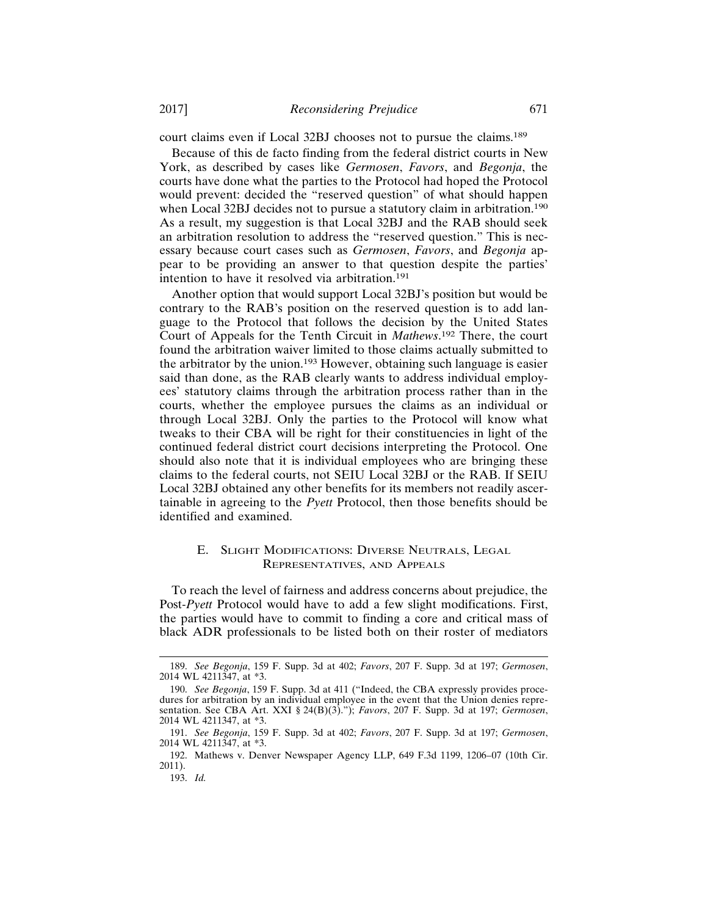court claims even if Local 32BJ chooses not to pursue the claims.<sup>189</sup>

Because of this de facto finding from the federal district courts in New York, as described by cases like *Germosen*, *Favors*, and *Begonja*, the courts have done what the parties to the Protocol had hoped the Protocol would prevent: decided the "reserved question" of what should happen when Local 32BJ decides not to pursue a statutory claim in arbitration.<sup>190</sup> As a result, my suggestion is that Local 32BJ and the RAB should seek an arbitration resolution to address the "reserved question." This is necessary because court cases such as *Germosen*, *Favors*, and *Begonja* appear to be providing an answer to that question despite the parties' intention to have it resolved via arbitration.<sup>191</sup>

Another option that would support Local 32BJ's position but would be contrary to the RAB's position on the reserved question is to add language to the Protocol that follows the decision by the United States Court of Appeals for the Tenth Circuit in *Mathews*. 192 There, the court found the arbitration waiver limited to those claims actually submitted to the arbitrator by the union.193 However, obtaining such language is easier said than done, as the RAB clearly wants to address individual employees' statutory claims through the arbitration process rather than in the courts, whether the employee pursues the claims as an individual or through Local 32BJ. Only the parties to the Protocol will know what tweaks to their CBA will be right for their constituencies in light of the continued federal district court decisions interpreting the Protocol. One should also note that it is individual employees who are bringing these claims to the federal courts, not SEIU Local 32BJ or the RAB. If SEIU Local 32BJ obtained any other benefits for its members not readily ascertainable in agreeing to the *Pyett* Protocol, then those benefits should be identified and examined.

## E. SLIGHT MODIFICATIONS: DIVERSE NEUTRALS, LEGAL REPRESENTATIVES, AND APPEALS

To reach the level of fairness and address concerns about prejudice, the Post-*Pyett* Protocol would have to add a few slight modifications. First, the parties would have to commit to finding a core and critical mass of black ADR professionals to be listed both on their roster of mediators

<sup>189.</sup> *See Begonja*, 159 F. Supp. 3d at 402; *Favors*, 207 F. Supp. 3d at 197; *Germosen*, 2014 WL 4211347, at \*3.

<sup>190.</sup> *See Begonja*, 159 F. Supp. 3d at 411 ("Indeed, the CBA expressly provides procedures for arbitration by an individual employee in the event that the Union denies representation. See CBA Art. XXI § 24(B)(3)."); *Favors*, 207 F. Supp. 3d at 197; *Germosen*, 2014 WL 4211347, at \*3.

<sup>191.</sup> *See Begonja*, 159 F. Supp. 3d at 402; *Favors*, 207 F. Supp. 3d at 197; *Germosen*, 2014 WL 4211347, at \*3.

<sup>192.</sup> Mathews v. Denver Newspaper Agency LLP, 649 F.3d 1199, 1206–07 (10th Cir. 2011).

<sup>193.</sup> *Id.*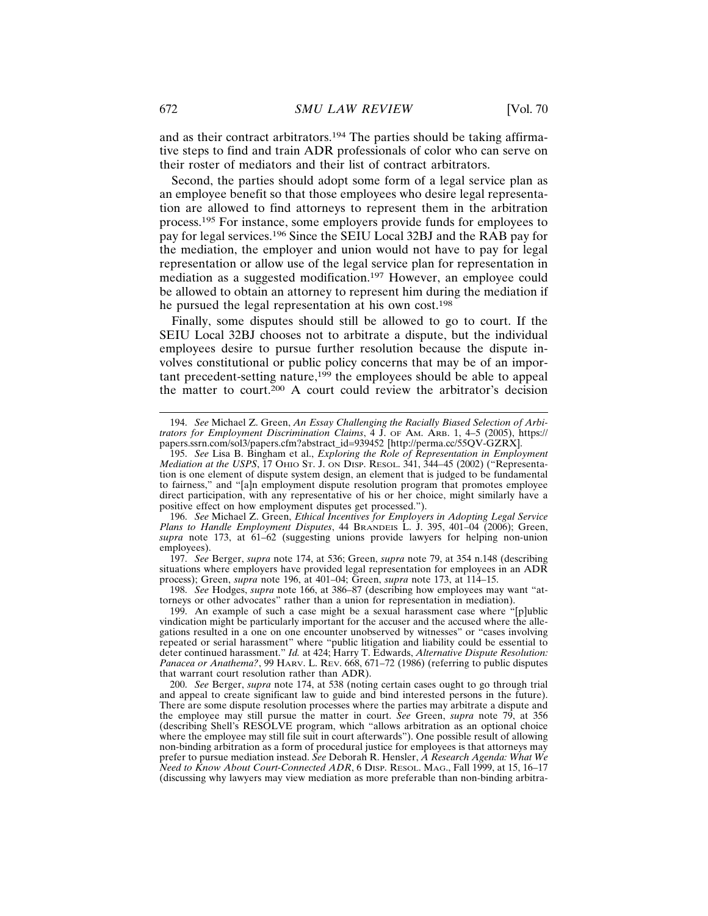and as their contract arbitrators.194 The parties should be taking affirmative steps to find and train ADR professionals of color who can serve on their roster of mediators and their list of contract arbitrators.

Second, the parties should adopt some form of a legal service plan as an employee benefit so that those employees who desire legal representation are allowed to find attorneys to represent them in the arbitration process.195 For instance, some employers provide funds for employees to pay for legal services.196 Since the SEIU Local 32BJ and the RAB pay for the mediation, the employer and union would not have to pay for legal representation or allow use of the legal service plan for representation in mediation as a suggested modification.<sup>197</sup> However, an employee could be allowed to obtain an attorney to represent him during the mediation if he pursued the legal representation at his own cost.<sup>198</sup>

Finally, some disputes should still be allowed to go to court. If the SEIU Local 32BJ chooses not to arbitrate a dispute, but the individual employees desire to pursue further resolution because the dispute involves constitutional or public policy concerns that may be of an important precedent-setting nature,199 the employees should be able to appeal the matter to court.<sup>200</sup> A court could review the arbitrator's decision

196. *See* Michael Z. Green, *Ethical Incentives for Employers in Adopting Legal Service Plans to Handle Employment Disputes*, 44 BRANDEIS L. J. 395, 401–04 (2006); Green, *supra* note 173, at 61–62 (suggesting unions provide lawyers for helping non-union employees).

197. *See* Berger, *supra* note 174, at 536; Green, *supra* note 79, at 354 n.148 (describing situations where employers have provided legal representation for employees in an ADR process); Green, *supra* note 196, at 401–04; Green, *supra* note 173, at 114–15.

198. *See* Hodges, *supra* note 166, at 386–87 (describing how employees may want "attorneys or other advocates" rather than a union for representation in mediation).

199. An example of such a case might be a sexual harassment case where "[p]ublic vindication might be particularly important for the accuser and the accused where the allegations resulted in a one on one encounter unobserved by witnesses" or "cases involving repeated or serial harassment" where "public litigation and liability could be essential to deter continued harassment." *Id.* at 424; Harry T. Edwards, *Alternative Dispute Resolution: Panacea or Anathema?*, 99 HARV. L. REV. 668, 671–72 (1986) (referring to public disputes that warrant court resolution rather than ADR).

200. *See* Berger, *supra* note 174, at 538 (noting certain cases ought to go through trial and appeal to create significant law to guide and bind interested persons in the future). There are some dispute resolution processes where the parties may arbitrate a dispute and the employee may still pursue the matter in court. *See* Green, *supra* note 79, at 356 (describing Shell's RESOLVE program, which "allows arbitration as an optional choice where the employee may still file suit in court afterwards"). One possible result of allowing non-binding arbitration as a form of procedural justice for employees is that attorneys may prefer to pursue mediation instead. *See* Deborah R. Hensler, *A Research Agenda: What We Need to Know About Court-Connected ADR*, 6 DISP. RESOL. MAG., Fall 1999, at 15, 16–17 (discussing why lawyers may view mediation as more preferable than non-binding arbitra-

<sup>194.</sup> *See* Michael Z. Green, *An Essay Challenging the Racially Biased Selection of Arbitrators for Employment Discrimination Claims*, 4 J. OF AM. ARB. 1, 4–5 (2005), https:// papers.ssrn.com/sol3/papers.cfm?abstract\_id=939452 [http://perma.cc/55QV-GZRX].

<sup>195.</sup> *See* Lisa B. Bingham et al., *Exploring the Role of Representation in Employment Mediation at the USPS*, 17 OHIO ST. J. ON DISP. RESOL. 341, 344–45 (2002) ("Representation is one element of dispute system design, an element that is judged to be fundamental to fairness," and "[a]n employment dispute resolution program that promotes employee direct participation, with any representative of his or her choice, might similarly have a positive effect on how employment disputes get processed.").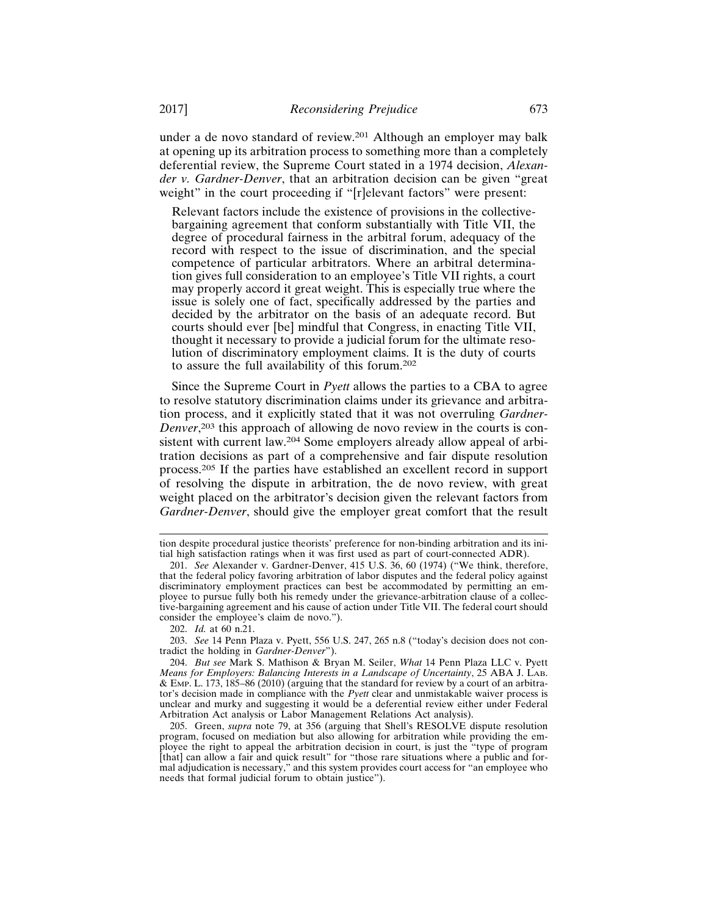under a de novo standard of review.201 Although an employer may balk at opening up its arbitration process to something more than a completely deferential review, the Supreme Court stated in a 1974 decision, *Alexander v. Gardner-Denver*, that an arbitration decision can be given "great weight" in the court proceeding if "[r]elevant factors" were present:

Relevant factors include the existence of provisions in the collectivebargaining agreement that conform substantially with Title VII, the degree of procedural fairness in the arbitral forum, adequacy of the record with respect to the issue of discrimination, and the special competence of particular arbitrators. Where an arbitral determination gives full consideration to an employee's Title VII rights, a court may properly accord it great weight. This is especially true where the issue is solely one of fact, specifically addressed by the parties and decided by the arbitrator on the basis of an adequate record. But courts should ever [be] mindful that Congress, in enacting Title VII, thought it necessary to provide a judicial forum for the ultimate resolution of discriminatory employment claims. It is the duty of courts to assure the full availability of this forum.<sup>202</sup>

Since the Supreme Court in *Pyett* allows the parties to a CBA to agree to resolve statutory discrimination claims under its grievance and arbitration process, and it explicitly stated that it was not overruling *Gardner-Denver*, 203 this approach of allowing de novo review in the courts is consistent with current law.204 Some employers already allow appeal of arbitration decisions as part of a comprehensive and fair dispute resolution process.205 If the parties have established an excellent record in support of resolving the dispute in arbitration, the de novo review, with great weight placed on the arbitrator's decision given the relevant factors from *Gardner-Denver*, should give the employer great comfort that the result

202. *Id.* at 60 n.21.

203. *See* 14 Penn Plaza v. Pyett, 556 U.S. 247, 265 n.8 ("today's decision does not contradict the holding in *Gardner-Denver*").

tion despite procedural justice theorists' preference for non-binding arbitration and its initial high satisfaction ratings when it was first used as part of court-connected ADR).

<sup>201.</sup> *See* Alexander v. Gardner-Denver, 415 U.S. 36, 60 (1974) ("We think, therefore, that the federal policy favoring arbitration of labor disputes and the federal policy against discriminatory employment practices can best be accommodated by permitting an employee to pursue fully both his remedy under the grievance-arbitration clause of a collective-bargaining agreement and his cause of action under Title VII. The federal court should consider the employee's claim de novo.").

<sup>204.</sup> *But see* Mark S. Mathison & Bryan M. Seiler, *What* 14 Penn Plaza LLC v. Pyett *Means for Employers: Balancing Interests in a Landscape of Uncertainty*, 25 ABA J. LAB. & EMP. L. 173, 185–86 (2010) (arguing that the standard for review by a court of an arbitrator's decision made in compliance with the *Pyett* clear and unmistakable waiver process is unclear and murky and suggesting it would be a deferential review either under Federal Arbitration Act analysis or Labor Management Relations Act analysis).

<sup>205.</sup> Green, *supra* note 79, at 356 (arguing that Shell's RESOLVE dispute resolution program, focused on mediation but also allowing for arbitration while providing the employee the right to appeal the arbitration decision in court, is just the "type of program [that] can allow a fair and quick result" for "those rare situations where a public and formal adjudication is necessary," and this system provides court access for "an employee who needs that formal judicial forum to obtain justice").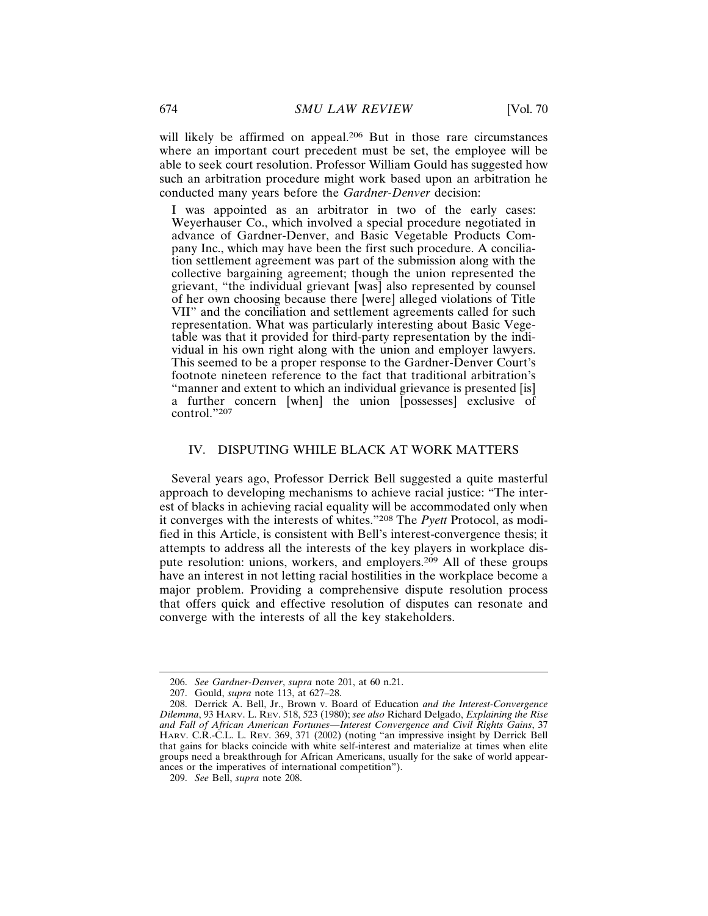will likely be affirmed on appeal.<sup>206</sup> But in those rare circumstances where an important court precedent must be set, the employee will be able to seek court resolution. Professor William Gould has suggested how such an arbitration procedure might work based upon an arbitration he conducted many years before the *Gardner-Denver* decision:

I was appointed as an arbitrator in two of the early cases: Weyerhauser Co., which involved a special procedure negotiated in advance of Gardner-Denver, and Basic Vegetable Products Company Inc., which may have been the first such procedure. A conciliation settlement agreement was part of the submission along with the collective bargaining agreement; though the union represented the grievant, "the individual grievant [was] also represented by counsel of her own choosing because there [were] alleged violations of Title VII" and the conciliation and settlement agreements called for such representation. What was particularly interesting about Basic Vegetable was that it provided for third-party representation by the individual in his own right along with the union and employer lawyers. This seemed to be a proper response to the Gardner-Denver Court's footnote nineteen reference to the fact that traditional arbitration's "manner and extent to which an individual grievance is presented [is] a further concern [when] the union [possesses] exclusive of control."<sup>207</sup>

## IV. DISPUTING WHILE BLACK AT WORK MATTERS

Several years ago, Professor Derrick Bell suggested a quite masterful approach to developing mechanisms to achieve racial justice: "The interest of blacks in achieving racial equality will be accommodated only when it converges with the interests of whites."208 The *Pyett* Protocol, as modified in this Article, is consistent with Bell's interest-convergence thesis; it attempts to address all the interests of the key players in workplace dispute resolution: unions, workers, and employers.209 All of these groups have an interest in not letting racial hostilities in the workplace become a major problem. Providing a comprehensive dispute resolution process that offers quick and effective resolution of disputes can resonate and converge with the interests of all the key stakeholders.

<sup>206.</sup> *See Gardner-Denver*, *supra* note 201, at 60 n.21.

<sup>207.</sup> Gould, *supra* note 113, at 627–28.

<sup>208.</sup> Derrick A. Bell, Jr., Brown v. Board of Education *and the Interest-Convergence Dilemma*, 93 HARV. L. REV. 518, 523 (1980); *see also* Richard Delgado, *Explaining the Rise and Fall of African American Fortunes—Interest Convergence and Civil Rights Gains*, 37 HARV. C.R.-C.L. L. REV. 369, 371 (2002) (noting "an impressive insight by Derrick Bell that gains for blacks coincide with white self-interest and materialize at times when elite groups need a breakthrough for African Americans, usually for the sake of world appearances or the imperatives of international competition").

<sup>209.</sup> *See* Bell, *supra* note 208.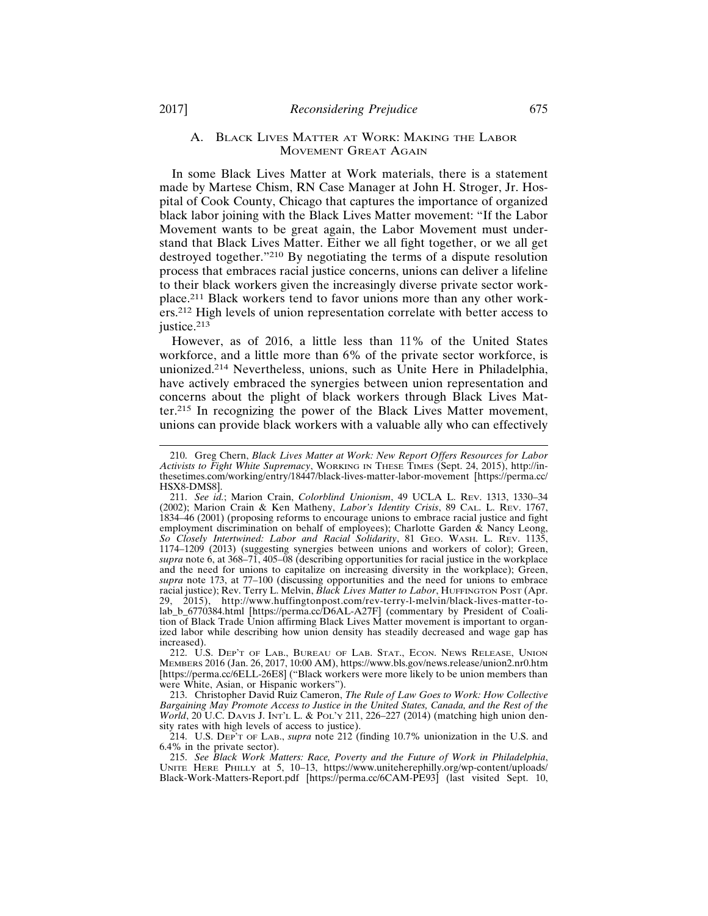#### A. BLACK LIVES MATTER AT WORK: MAKING THE LABOR MOVEMENT GREAT AGAIN

In some Black Lives Matter at Work materials, there is a statement made by Martese Chism, RN Case Manager at John H. Stroger, Jr. Hospital of Cook County, Chicago that captures the importance of organized black labor joining with the Black Lives Matter movement: "If the Labor Movement wants to be great again, the Labor Movement must understand that Black Lives Matter. Either we all fight together, or we all get destroyed together."210 By negotiating the terms of a dispute resolution process that embraces racial justice concerns, unions can deliver a lifeline to their black workers given the increasingly diverse private sector workplace.211 Black workers tend to favor unions more than any other workers.212 High levels of union representation correlate with better access to justice.<sup>213</sup>

However, as of 2016, a little less than 11% of the United States workforce, and a little more than 6% of the private sector workforce, is unionized.214 Nevertheless, unions, such as Unite Here in Philadelphia, have actively embraced the synergies between union representation and concerns about the plight of black workers through Black Lives Matter.215 In recognizing the power of the Black Lives Matter movement, unions can provide black workers with a valuable ally who can effectively

212. U.S. DEP'T OF LAB., BUREAU OF LAB. STAT., ECON. NEWS RELEASE, UNION MEMBERS 2016 (Jan. 26, 2017, 10:00 AM), https://www.bls.gov/news.release/union2.nr0.htm [https://perma.cc/6ELL-26E8] ("Black workers were more likely to be union members than were White, Asian, or Hispanic workers").

213. Christopher David Ruiz Cameron, *The Rule of Law Goes to Work: How Collective Bargaining May Promote Access to Justice in the United States, Canada, and the Rest of the World*, 20 U.C. DAVIS J. INT'L L. & POL'Y 211, 226-227 (2014) (matching high union density rates with high levels of access to justice).

214. U.S. DEP'T OF LAB., *supra* note 212 (finding 10.7% unionization in the U.S. and 6.4% in the private sector).

215. *See Black Work Matters: Race, Poverty and the Future of Work in Philadelphia*, UNITE HERE PHILLY at 5, 10–13, https://www.uniteherephilly.org/wp-content/uploads/ Black-Work-Matters-Report.pdf [https://perma.cc/6CAM-PE93] (last visited Sept. 10,

<sup>210.</sup> Greg Chern, *Black Lives Matter at Work: New Report Offers Resources for Labor Activists to Fight White Supremacy*, WORKING IN THESE TIMES (Sept. 24, 2015), http://inthesetimes.com/working/entry/18447/black-lives-matter-labor-movement [https://perma.cc/ HSX8-DMS8].

<sup>211.</sup> *See id.*; Marion Crain, *Colorblind Unionism*, 49 UCLA L. REV. 1313, 1330–34 (2002); Marion Crain & Ken Matheny, *Labor's Identity Crisis*, 89 CAL. L. REV. 1767, 1834–46 (2001) (proposing reforms to encourage unions to embrace racial justice and fight employment discrimination on behalf of employees); Charlotte Garden & Nancy Leong, *So Closely Intertwined: Labor and Racial Solidarity*, 81 GEO. WASH. L. REV. 1135, 1174–1209 (2013) (suggesting synergies between unions and workers of color); Green, *supra* note 6, at 368–71, 405–08 (describing opportunities for racial justice in the workplace and the need for unions to capitalize on increasing diversity in the workplace); Green, *supra* note 173, at 77–100 (discussing opportunities and the need for unions to embrace racial justice); Rev. Terry L. Melvin, *Black Lives Matter to Labor*, HUFFINGTON POST (Apr. 29, 2015), http://www.huffingtonpost.com/rev-terry-l-melvin/black-lives-matter-tolab\_b\_6770384.html [https://perma.cc/D6AL-A27F] (commentary by President of Coalition of Black Trade Union affirming Black Lives Matter movement is important to organized labor while describing how union density has steadily decreased and wage gap has increased).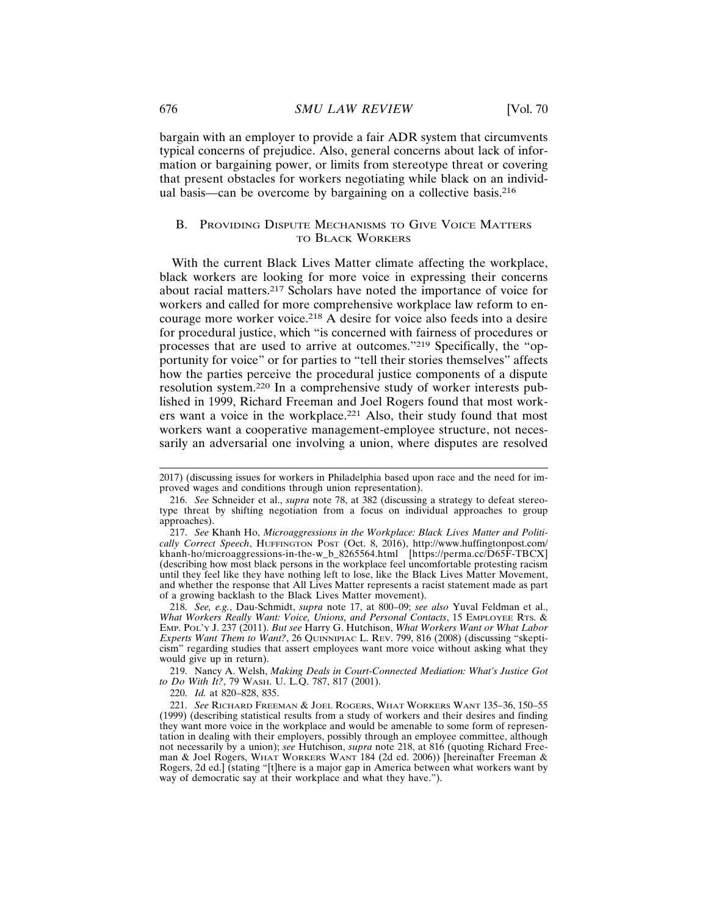bargain with an employer to provide a fair ADR system that circumvents typical concerns of prejudice. Also, general concerns about lack of information or bargaining power, or limits from stereotype threat or covering that present obstacles for workers negotiating while black on an individual basis—can be overcome by bargaining on a collective basis.<sup>216</sup>

## B. PROVIDING DISPUTE MECHANISMS TO GIVE VOICE MATTERS TO BLACK WORKERS

With the current Black Lives Matter climate affecting the workplace, black workers are looking for more voice in expressing their concerns about racial matters.217 Scholars have noted the importance of voice for workers and called for more comprehensive workplace law reform to encourage more worker voice.218 A desire for voice also feeds into a desire for procedural justice, which "is concerned with fairness of procedures or processes that are used to arrive at outcomes."219 Specifically, the "opportunity for voice" or for parties to "tell their stories themselves" affects how the parties perceive the procedural justice components of a dispute resolution system.220 In a comprehensive study of worker interests published in 1999, Richard Freeman and Joel Rogers found that most workers want a voice in the workplace.221 Also, their study found that most workers want a cooperative management-employee structure, not necessarily an adversarial one involving a union, where disputes are resolved

<sup>2017) (</sup>discussing issues for workers in Philadelphia based upon race and the need for improved wages and conditions through union representation).

<sup>216.</sup> *See* Schneider et al., *supra* note 78, at 382 (discussing a strategy to defeat stereotype threat by shifting negotiation from a focus on individual approaches to group approaches).

<sup>217.</sup> *See* Khanh Ho, *Microaggressions in the Workplace: Black Lives Matter and Politically Correct Speech*, HUFFINGTON POST (Oct. 8, 2016), http://www.huffingtonpost.com/ khanh-ho/microaggressions-in-the-w\_b\_8265564.html [https://perma.cc/D65F-TBCX] (describing how most black persons in the workplace feel uncomfortable protesting racism until they feel like they have nothing left to lose, like the Black Lives Matter Movement, and whether the response that All Lives Matter represents a racist statement made as part of a growing backlash to the Black Lives Matter movement).

<sup>218.</sup> *See, e.g.*, Dau-Schmidt, *supra* note 17, at 800–09; *see also* Yuval Feldman et al., *What Workers Really Want: Voice, Unions, and Personal Contacts*, 15 EMPLOYEE RTS. & EMP. POL'Y J. 237 (2011). *But see* Harry G. Hutchison, *What Workers Want or What Labor Experts Want Them to Want?*, 26 QUINNIPIAC L. REV. 799, 816 (2008) (discussing "skepticism" regarding studies that assert employees want more voice without asking what they would give up in return).

<sup>219.</sup> Nancy A. Welsh, *Making Deals in Court-Connected Mediation: What's Justice Got to Do With It?*, 79 WASH. U. L.Q. 787, 817 (2001).

<sup>220.</sup> *Id.* at 820–828, 835.

<sup>221.</sup> *See* RICHARD FREEMAN & JOEL ROGERS, WHAT WORKERS WANT 135–36, 150–55 (1999) (describing statistical results from a study of workers and their desires and finding they want more voice in the workplace and would be amenable to some form of representation in dealing with their employers, possibly through an employee committee, although not necessarily by a union); *see* Hutchison, *supra* note 218, at 816 (quoting Richard Freeman & Joel Rogers, WHAT WORKERS WANT 184 (2d ed. 2006)) [hereinafter Freeman & Rogers, 2d ed.] (stating "[t]here is a major gap in America between what workers want by way of democratic say at their workplace and what they have.").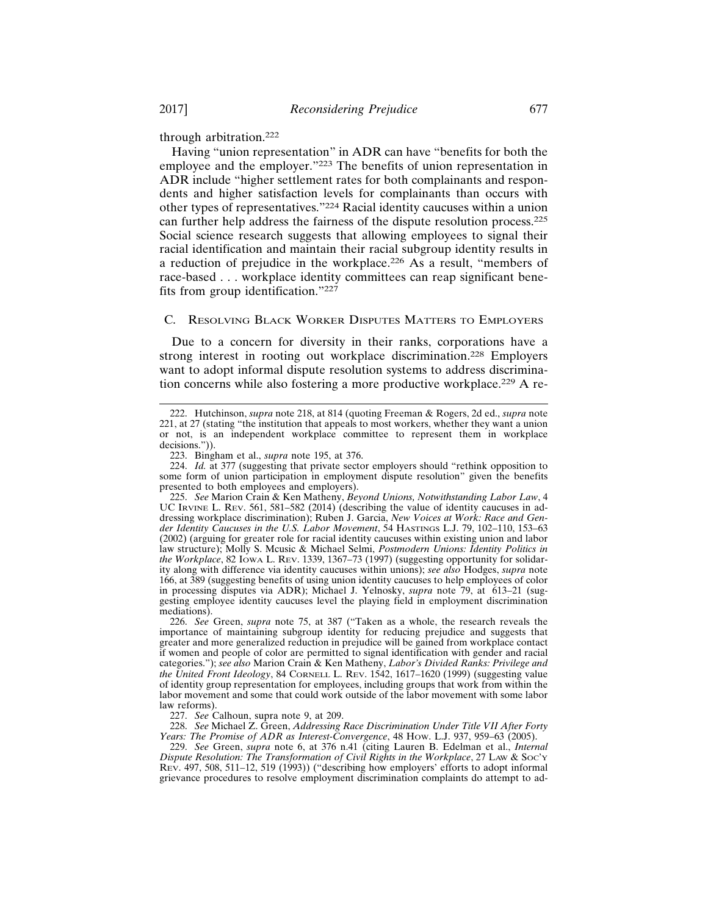through arbitration.<sup>222</sup>

Having "union representation" in ADR can have "benefits for both the employee and the employer."223 The benefits of union representation in ADR include "higher settlement rates for both complainants and respondents and higher satisfaction levels for complainants than occurs with other types of representatives."224 Racial identity caucuses within a union can further help address the fairness of the dispute resolution process.<sup>225</sup> Social science research suggests that allowing employees to signal their racial identification and maintain their racial subgroup identity results in a reduction of prejudice in the workplace.226 As a result, "members of race-based . . . workplace identity committees can reap significant benefits from group identification."<sup>227</sup>

## C. RESOLVING BLACK WORKER DISPUTES MATTERS TO EMPLOYERS

Due to a concern for diversity in their ranks, corporations have a strong interest in rooting out workplace discrimination.228 Employers want to adopt informal dispute resolution systems to address discrimination concerns while also fostering a more productive workplace.229 A re-

<sup>222.</sup> Hutchinson, *supra* note 218, at 814 (quoting Freeman & Rogers, 2d ed., *supra* note 221, at 27 (stating "the institution that appeals to most workers, whether they want a union or not, is an independent workplace committee to represent them in workplace decisions.")).

<sup>223.</sup> Bingham et al., *supra* note 195, at 376.

<sup>224.</sup> *Id.* at 377 (suggesting that private sector employers should "rethink opposition to some form of union participation in employment dispute resolution" given the benefits presented to both employees and employers).

<sup>225.</sup> *See* Marion Crain & Ken Matheny, *Beyond Unions, Notwithstanding Labor Law*, 4 UC IRVINE L. REV. 561, 581–582 (2014) (describing the value of identity caucuses in addressing workplace discrimination); Ruben J. Garcia, *New Voices at Work: Race and Gender Identity Caucuses in the U.S. Labor Movement*, 54 HASTINGS L.J. 79, 102–110, 153–63 (2002) (arguing for greater role for racial identity caucuses within existing union and labor law structure); Molly S. Mcusic & Michael Selmi, *Postmodern Unions: Identity Politics in the Workplace*, 82 IOWA L. REV. 1339, 1367–73 (1997) (suggesting opportunity for solidarity along with difference via identity caucuses within unions); *see also* Hodges, *supra* note 166, at 389 (suggesting benefits of using union identity caucuses to help employees of color in processing disputes via ADR); Michael J. Yelnosky, *supra* note 79, at 613–21 (suggesting employee identity caucuses level the playing field in employment discrimination mediations).

<sup>226.</sup> *See* Green, *supra* note 75, at 387 ("Taken as a whole, the research reveals the importance of maintaining subgroup identity for reducing prejudice and suggests that greater and more generalized reduction in prejudice will be gained from workplace contact if women and people of color are permitted to signal identification with gender and racial categories."); *see also* Marion Crain & Ken Matheny, *Labor's Divided Ranks: Privilege and the United Front Ideology*, 84 CORNELL L. REV. 1542, 1617–1620 (1999) (suggesting value of identity group representation for employees, including groups that work from within the labor movement and some that could work outside of the labor movement with some labor law reforms).

<sup>227.</sup> *See* Calhoun, supra note 9, at 209.

<sup>228.</sup> *See* Michael Z. Green, *Addressing Race Discrimination Under Title VII After Forty Years: The Promise of ADR as Interest-Convergence*, 48 HOW. L.J. 937, 959–63 (2005).

<sup>229.</sup> *See* Green, *supra* note 6, at 376 n.41 (citing Lauren B. Edelman et al., *Internal Dispute Resolution: The Transformation of Civil Rights in the Workplace*, 27 LAW & SOC'Y REV. 497, 508, 511–12, 519 (1993)) ("describing how employers' efforts to adopt informal grievance procedures to resolve employment discrimination complaints do attempt to ad-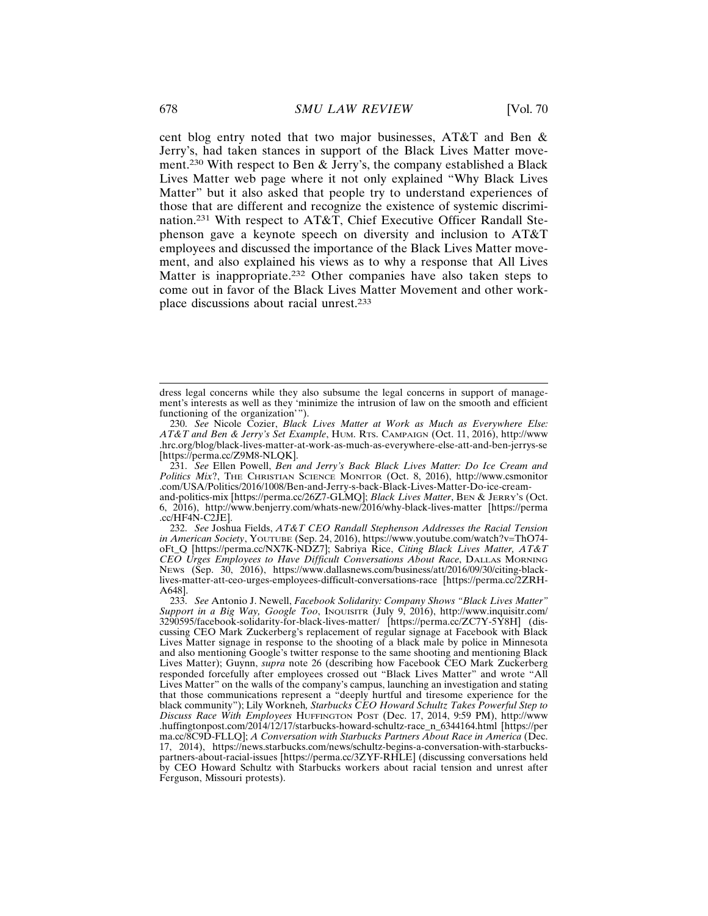cent blog entry noted that two major businesses, AT&T and Ben & Jerry's, had taken stances in support of the Black Lives Matter movement.230 With respect to Ben & Jerry's, the company established a Black Lives Matter web page where it not only explained "Why Black Lives Matter" but it also asked that people try to understand experiences of those that are different and recognize the existence of systemic discrimination.231 With respect to AT&T, Chief Executive Officer Randall Stephenson gave a keynote speech on diversity and inclusion to AT&T employees and discussed the importance of the Black Lives Matter movement, and also explained his views as to why a response that All Lives Matter is inappropriate.232 Other companies have also taken steps to come out in favor of the Black Lives Matter Movement and other workplace discussions about racial unrest.<sup>233</sup>

231. *See* Ellen Powell, *Ben and Jerry's Back Black Lives Matter: Do Ice Cream and Politics Mix*?, THE CHRISTIAN SCIENCE MONITOR (Oct. 8, 2016), http://www.csmonitor .com/USA/Politics/2016/1008/Ben-and-Jerry-s-back-Black-Lives-Matter-Do-ice-creamand-politics-mix [https://perma.cc/26Z7-GLMQ]; *Black Lives Matter*, BEN & JERRY'S (Oct. 6, 2016), http://www.benjerry.com/whats-new/2016/why-black-lives-matter [https://perma

.cc/HF4N-C2JE]. 232. *See* Joshua Fields, *AT&T CEO Randall Stephenson Addresses the Racial Tension in American Society*, YOUTUBE (Sep. 24, 2016), https://www.youtube.com/watch?v=ThO74 oFt\_Q [https://perma.cc/NX7K-NDZ7]; Sabriya Rice, *Citing Black Lives Matter, AT&T CEO Urges Employees to Have Difficult Conversations About Race*, DALLAS MORNING NEWS (Sep. 30, 2016), https://www.dallasnews.com/business/att/2016/09/30/citing-blacklives-matter-att-ceo-urges-employees-difficult-conversations-race [https://perma.cc/2ZRH-A648].

dress legal concerns while they also subsume the legal concerns in support of management's interests as well as they 'minimize the intrusion of law on the smooth and efficient functioning of the organization'").

<sup>230.</sup> *See* Nicole Cozier, *Black Lives Matter at Work as Much as Everywhere Else: AT&T and Ben & Jerry's Set Example*, HUM. RTS. CAMPAIGN (Oct. 11, 2016), http://www .hrc.org/blog/black-lives-matter-at-work-as-much-as-everywhere-else-att-and-ben-jerrys-se [https://perma.cc/Z9M8-NLQK].

<sup>233.</sup> *See* Antonio J. Newell, *Facebook Solidarity: Company Shows "Black Lives Matter" Support in a Big Way, Google Too*, INQUISITR (July 9, 2016), http://www.inquisitr.com/ 3290595/facebook-solidarity-for-black-lives-matter/ [https://perma.cc/ZC7Y-5Y8H] (discussing CEO Mark Zuckerberg's replacement of regular signage at Facebook with Black Lives Matter signage in response to the shooting of a black male by police in Minnesota and also mentioning Google's twitter response to the same shooting and mentioning Black Lives Matter); Guynn, *supra* note 26 (describing how Facebook CEO Mark Zuckerberg responded forcefully after employees crossed out "Black Lives Matter" and wrote "All Lives Matter" on the walls of the company's campus, launching an investigation and stating that those communications represent a "deeply hurtful and tiresome experience for the black community"); Lily Workneh*, Starbucks CEO Howard Schultz Takes Powerful Step to Discuss Race With Employees* HUFFINGTON POST (Dec. 17, 2014, 9:59 PM), http://www .huffingtonpost.com/2014/12/17/starbucks-howard-schultz-race\_n\_6344164.html [https://per ma.cc/8C9D-FLLQ]; *A Conversation with Starbucks Partners About Race in America* (Dec. 17, 2014), https://news.starbucks.com/news/schultz-begins-a-conversation-with-starbuckspartners-about-racial-issues [https://perma.cc/3ZYF-RHLE] (discussing conversations held by CEO Howard Schultz with Starbucks workers about racial tension and unrest after Ferguson, Missouri protests).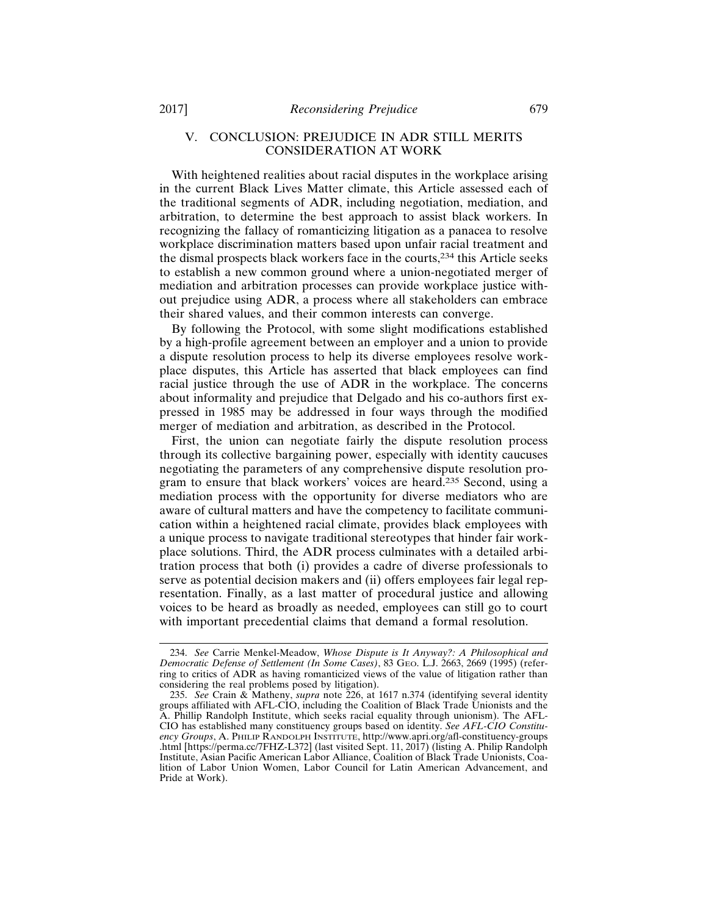## V. CONCLUSION: PREJUDICE IN ADR STILL MERITS CONSIDERATION AT WORK

With heightened realities about racial disputes in the workplace arising in the current Black Lives Matter climate, this Article assessed each of the traditional segments of ADR, including negotiation, mediation, and arbitration, to determine the best approach to assist black workers. In recognizing the fallacy of romanticizing litigation as a panacea to resolve workplace discrimination matters based upon unfair racial treatment and the dismal prospects black workers face in the courts,234 this Article seeks to establish a new common ground where a union-negotiated merger of mediation and arbitration processes can provide workplace justice without prejudice using ADR, a process where all stakeholders can embrace their shared values, and their common interests can converge.

By following the Protocol, with some slight modifications established by a high-profile agreement between an employer and a union to provide a dispute resolution process to help its diverse employees resolve workplace disputes, this Article has asserted that black employees can find racial justice through the use of ADR in the workplace. The concerns about informality and prejudice that Delgado and his co-authors first expressed in 1985 may be addressed in four ways through the modified merger of mediation and arbitration, as described in the Protocol.

First, the union can negotiate fairly the dispute resolution process through its collective bargaining power, especially with identity caucuses negotiating the parameters of any comprehensive dispute resolution program to ensure that black workers' voices are heard.235 Second, using a mediation process with the opportunity for diverse mediators who are aware of cultural matters and have the competency to facilitate communication within a heightened racial climate, provides black employees with a unique process to navigate traditional stereotypes that hinder fair workplace solutions. Third, the ADR process culminates with a detailed arbitration process that both (i) provides a cadre of diverse professionals to serve as potential decision makers and (ii) offers employees fair legal representation. Finally, as a last matter of procedural justice and allowing voices to be heard as broadly as needed, employees can still go to court with important precedential claims that demand a formal resolution.

<sup>234.</sup> *See* Carrie Menkel-Meadow, *Whose Dispute is It Anyway?: A Philosophical and Democratic Defense of Settlement (In Some Cases)*, 83 GEO. L.J. 2663, 2669 (1995) (referring to critics of ADR as having romanticized views of the value of litigation rather than considering the real problems posed by litigation).

<sup>235.</sup> *See* Crain & Matheny, *supra* note 226, at 1617 n.374 (identifying several identity groups affiliated with AFL-CIO, including the Coalition of Black Trade Unionists and the A. Phillip Randolph Institute, which seeks racial equality through unionism). The AFL-CIO has established many constituency groups based on identity. *See AFL-CIO Constituency Groups*, A. PHILIP RANDOLPH INSTITUTE, http://www.apri.org/afl-constituency-groups .html [https://perma.cc/7FHZ-L372] (last visited Sept. 11, 2017) (listing A. Philip Randolph Institute, Asian Pacific American Labor Alliance, Coalition of Black Trade Unionists, Coalition of Labor Union Women, Labor Council for Latin American Advancement, and Pride at Work).